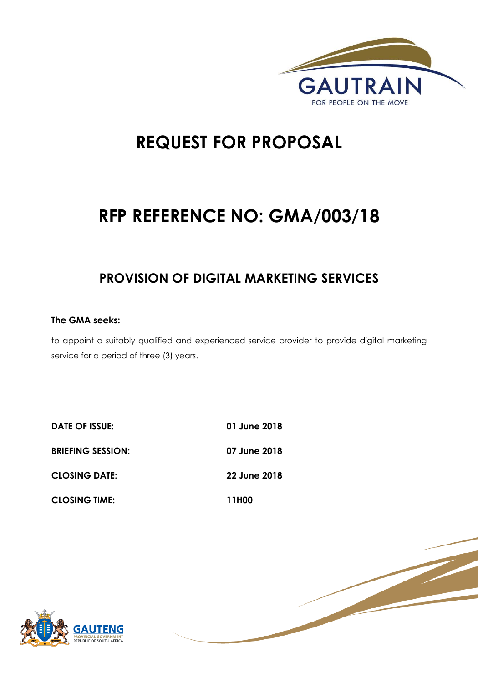

# **REQUEST FOR PROPOSAL**

# **RFP REFERENCE NO: GMA/003/18**

## **PROVISION OF DIGITAL MARKETING SERVICES**

#### **The GMA seeks:**

to appoint a suitably qualified and experienced service provider to provide digital marketing service for a period of three (3) years.

| DATE OF ISSUE:           | 01 June 2018 |
|--------------------------|--------------|
| <b>BRIEFING SESSION:</b> | 07 June 2018 |
| <b>CLOSING DATE:</b>     | 22 June 2018 |
| <b>CLOSING TIME:</b>     | 11H00        |



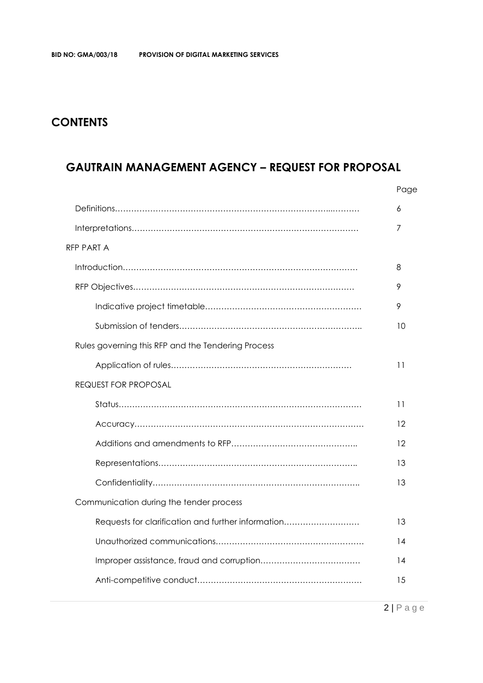### **CONTENTS**

### **GAUTRAIN MANAGEMENT AGENCY – REQUEST FOR PROPOSAL**

|                                                    | Page |
|----------------------------------------------------|------|
|                                                    | 6    |
|                                                    | 7    |
| RFP PART A                                         |      |
|                                                    | 8    |
|                                                    | 9    |
|                                                    | 9    |
|                                                    | 10   |
| Rules governing this RFP and the Tendering Process |      |
|                                                    | 11   |
| <b>REQUEST FOR PROPOSAL</b>                        |      |
|                                                    | 11   |
|                                                    | 12   |
|                                                    | 12   |
|                                                    | 13   |
|                                                    | 13   |
| Communication during the tender process            |      |
| Requests for clarification and further information | 13   |
|                                                    | 14   |
|                                                    | 14   |
|                                                    | 15   |
|                                                    |      |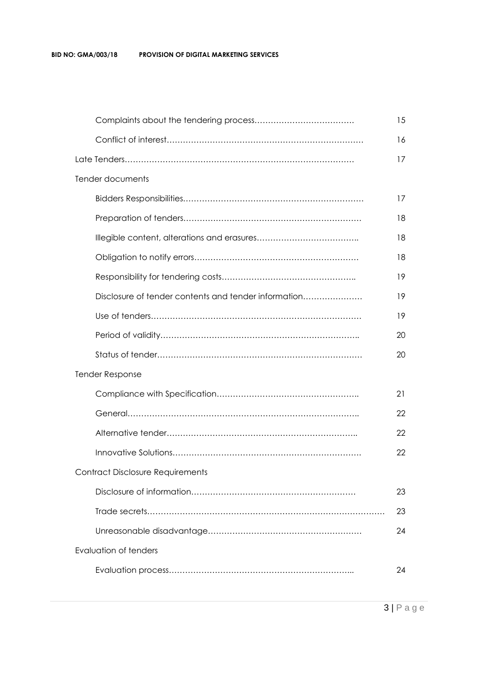#### **BID NO: GMA/003/18 PROVISION OF DIGITAL MARKETING SERVICES**

|                                                      | 15 |
|------------------------------------------------------|----|
|                                                      | 16 |
|                                                      | 17 |
| Tender documents                                     |    |
|                                                      | 17 |
|                                                      | 18 |
|                                                      | 18 |
|                                                      | 18 |
|                                                      | 19 |
| Disclosure of tender contents and tender information | 19 |
|                                                      | 19 |
|                                                      | 20 |
|                                                      | 20 |
| <b>Tender Response</b>                               |    |
|                                                      | 21 |
|                                                      | 22 |
|                                                      | 22 |
|                                                      | 22 |
| <b>Contract Disclosure Requirements</b>              |    |
|                                                      | 23 |
|                                                      | 23 |
|                                                      | 24 |
| Evaluation of tenders                                |    |
|                                                      | 24 |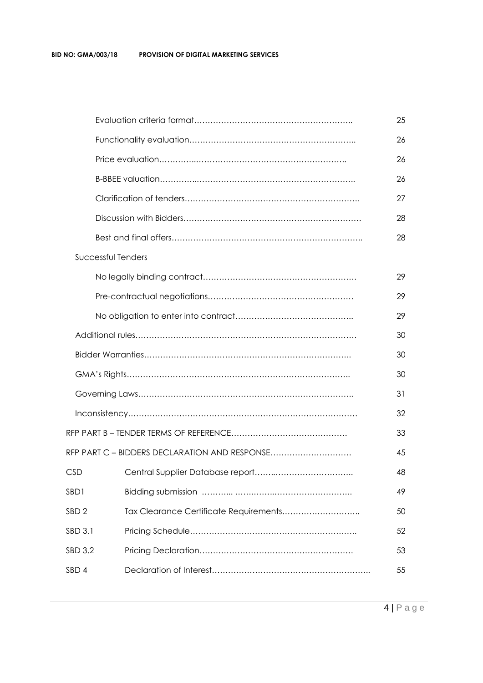|                    |                                               | 25 |
|--------------------|-----------------------------------------------|----|
|                    |                                               | 26 |
|                    |                                               | 26 |
|                    |                                               | 26 |
|                    |                                               | 27 |
|                    |                                               | 28 |
|                    |                                               | 28 |
| Successful Tenders |                                               |    |
|                    |                                               | 29 |
|                    |                                               | 29 |
|                    |                                               | 29 |
|                    |                                               | 30 |
|                    |                                               | 30 |
|                    |                                               | 30 |
|                    |                                               | 31 |
|                    |                                               | 32 |
|                    |                                               | 33 |
|                    | RFP PART C - BIDDERS DECLARATION AND RESPONSE | 45 |
| <b>CSD</b>         |                                               | 48 |
| SBD1               |                                               | 49 |
| SBD <sub>2</sub>   | Tax Clearance Certificate Requirements        | 50 |
| SBD 3.1            |                                               | 52 |
| SBD 3.2            |                                               | 53 |
| SBD 4              |                                               | 55 |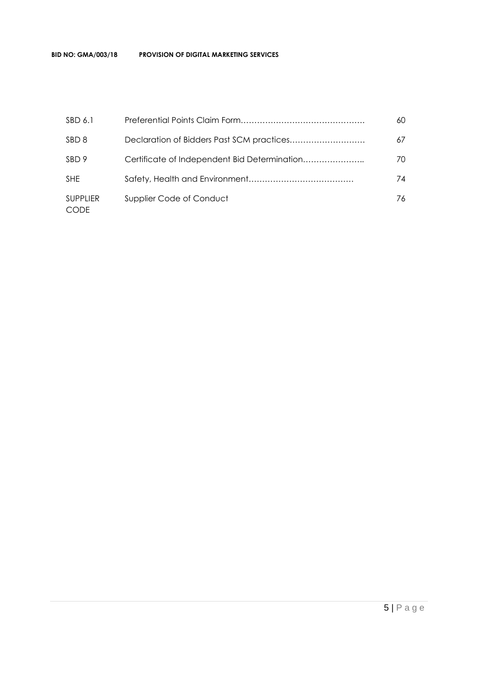| SBD 6.1                        |                          | 60  |
|--------------------------------|--------------------------|-----|
| SBD <sub>8</sub>               |                          | 67  |
| SBD 9                          |                          | 70. |
| <b>SHE</b>                     |                          | 74  |
| <b>SUPPLIER</b><br><b>CODE</b> | Supplier Code of Conduct | 76  |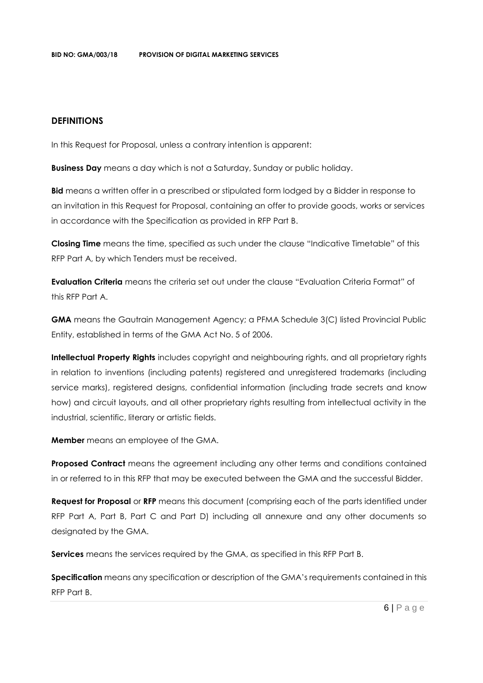#### **DEFINITIONS**

In this Request for Proposal, unless a contrary intention is apparent:

**Business Day** means a day which is not a Saturday, Sunday or public holiday.

**Bid** means a written offer in a prescribed or stipulated form lodged by a Bidder in response to an invitation in this Request for Proposal, containing an offer to provide goods, works or services in accordance with the Specification as provided in RFP Part B.

**Closing Time** means the time, specified as such under the clause "Indicative Timetable" of this RFP Part A, by which Tenders must be received.

**Evaluation Criteria** means the criteria set out under the clause "Evaluation Criteria Format" of this RFP Part A.

**GMA** means the Gautrain Management Agency; a PFMA Schedule 3(C) listed Provincial Public Entity, established in terms of the GMA Act No. 5 of 2006.

**Intellectual Property Rights** includes copyright and neighbouring rights, and all proprietary rights in relation to inventions (including patents) registered and unregistered trademarks (including service marks), registered designs, confidential information (including trade secrets and know how) and circuit layouts, and all other proprietary rights resulting from intellectual activity in the industrial, scientific, literary or artistic fields.

**Member** means an employee of the GMA.

**Proposed Contract** means the agreement including any other terms and conditions contained in or referred to in this RFP that may be executed between the GMA and the successful Bidder.

**Request for Proposal** or **RFP** means this document (comprising each of the parts identified under RFP Part A, Part B, Part C and Part D) including all annexure and any other documents so designated by the GMA.

**Services** means the services required by the GMA, as specified in this RFP Part B.

**Specification** means any specification or description of the GMA's requirements contained in this RFP Part B.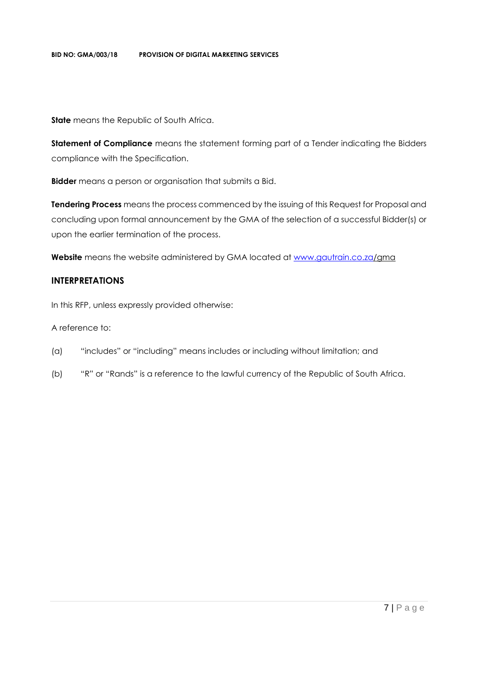**State** means the Republic of South Africa.

**Statement of Compliance** means the statement forming part of a Tender indicating the Bidders compliance with the Specification.

**Bidder** means a person or organisation that submits a Bid.

**Tendering Process** means the process commenced by the issuing of this Request for Proposal and concluding upon formal announcement by the GMA of the selection of a successful Bidder(s) or upon the earlier termination of the process.

**Website** means the website administered by GMA located at [www.gautrain.co.za/](http://www.gautrain.co.za/)gma

#### **INTERPRETATIONS**

In this RFP, unless expressly provided otherwise:

A reference to:

- (a) "includes" or "including" means includes or including without limitation; and
- (b) "R" or "Rands" is a reference to the lawful currency of the Republic of South Africa.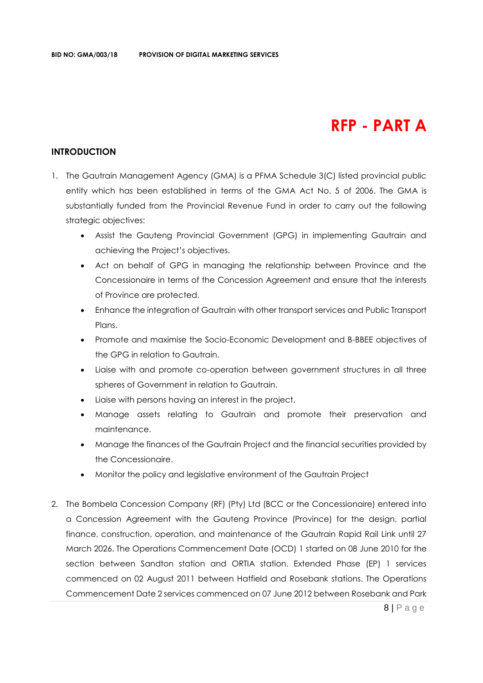## **RFP - PART A**

#### **INTRODUCTION**

- 1. The Gautrain Management Agency (GMA) is a PFMA Schedule 3(C) listed provincial public entity which has been established in terms of the GMA Act No. 5 of 2006. The GMA is substantially funded from the Provincial Revenue Fund in order to carry out the following strategic objectives:
	- Assist the Gauteng Provincial Government (GPG) in implementing Gautrain and achieving the Project's objectives.
	- Act on behalf of GPG in managing the relationship between Province and the Concessionaire in terms of the Concession Agreement and ensure that the interests of Province are protected.
	- Enhance the integration of Gautrain with other transport services and Public Transport Plans.
	- Promote and maximise the Socio-Economic Development and B-BBEE objectives of the GPG in relation to Gautrain.
	- Liaise with and promote co-operation between government structures in all three spheres of Government in relation to Gautrain.
	- Liaise with persons having an interest in the project.
	- Manage assets relating to Gautrain and promote their preservation and maintenance.
	- Manage the finances of the Gautrain Project and the financial securities provided by the Concessionaire.
	- Monitor the policy and legislative environment of the Gautrain Project
- 2. The Bombela Concession Company (RF) (Pty) Ltd (BCC or the Concessionaire) entered into a Concession Agreement with the Gauteng Province (Province) for the design, partial finance, construction, operation, and maintenance of the Gautrain Rapid Rail Link until 27 March 2026. The Operations Commencement Date (OCD) 1 started on 08 June 2010 for the section between Sandton station and ORTIA station. Extended Phase (EP) 1 services commenced on 02 August 2011 between Hatfield and Rosebank stations. The Operations Commencement Date 2 services commenced on 07 June 2012 between Rosebank and Park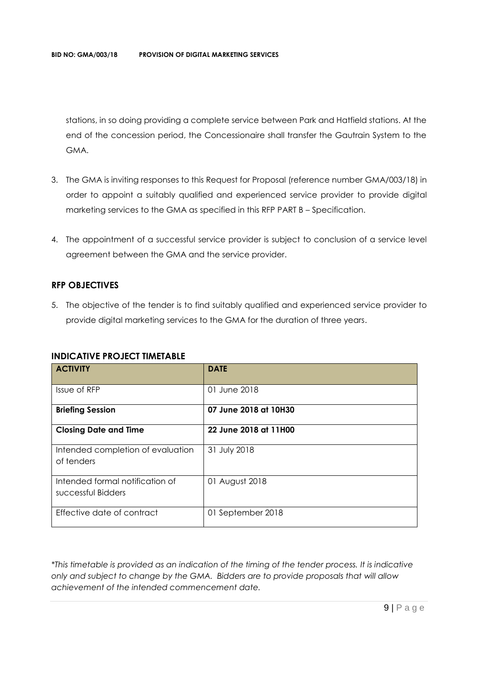stations, in so doing providing a complete service between Park and Hatfield stations. At the end of the concession period, the Concessionaire shall transfer the Gautrain System to the GMA.

- 3. The GMA is inviting responses to this Request for Proposal (reference number GMA/003/18) in order to appoint a suitably qualified and experienced service provider to provide digital marketing services to the GMA as specified in this RFP PART B – Specification.
- 4. The appointment of a successful service provider is subject to conclusion of a service level agreement between the GMA and the service provider.

#### **RFP OBJECTIVES**

5. The objective of the tender is to find suitably qualified and experienced service provider to provide digital marketing services to the GMA for the duration of three years.

#### **INDICATIVE PROJECT TIMETABLE**

| <b>ACTIVITY</b>                                       | <b>DATE</b>           |  |
|-------------------------------------------------------|-----------------------|--|
| Issue of RFP                                          | 01 June 2018          |  |
| <b>Briefing Session</b>                               | 07 June 2018 at 10H30 |  |
| <b>Closing Date and Time</b>                          | 22 June 2018 at 11H00 |  |
| Intended completion of evaluation<br>of tenders       | 31 July 2018          |  |
| Intended formal notification of<br>successful Bidders | 01 August 2018        |  |
| Effective date of contract                            | 01 September 2018     |  |

*\*This timetable is provided as an indication of the timing of the tender process. It is indicative only and subject to change by the GMA. Bidders are to provide proposals that will allow achievement of the intended commencement date.*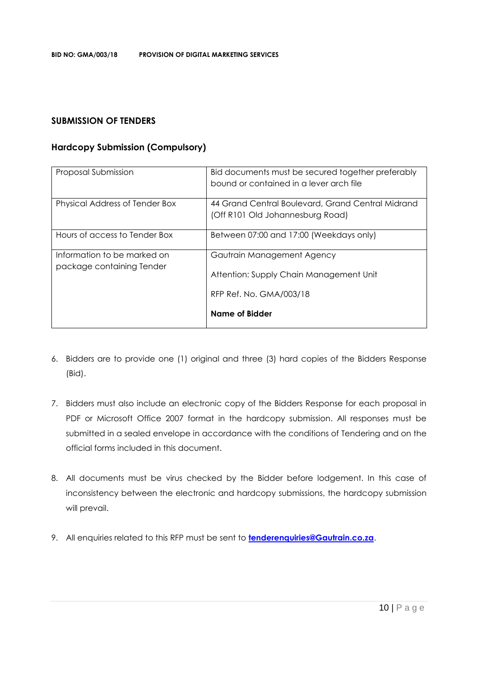#### **SUBMISSION OF TENDERS**

#### **Hardcopy Submission (Compulsory)**

| Proposal Submission                                      | Bid documents must be secured together preferably<br>bound or contained in a lever arch file     |
|----------------------------------------------------------|--------------------------------------------------------------------------------------------------|
| Physical Address of Tender Box                           | 44 Grand Central Boulevard, Grand Central Midrand<br>(Off R101 Old Johannesburg Road)            |
| Hours of access to Tender Box                            | Between 07:00 and 17:00 (Weekdays only)                                                          |
| Information to be marked on<br>package containing Tender | Gautrain Management Agency<br>Attention: Supply Chain Management Unit<br>RFP Ref. No. GMA/003/18 |
|                                                          | Name of Bidder                                                                                   |

- 6. Bidders are to provide one (1) original and three (3) hard copies of the Bidders Response (Bid).
- 7. Bidders must also include an electronic copy of the Bidders Response for each proposal in PDF or Microsoft Office 2007 format in the hardcopy submission. All responses must be submitted in a sealed envelope in accordance with the conditions of Tendering and on the official forms included in this document.
- 8. All documents must be virus checked by the Bidder before lodgement. In this case of inconsistency between the electronic and hardcopy submissions, the hardcopy submission will prevail.
- 9. All enquiries related to this RFP must be sent to **[tenderenquiries@Gautrain.co.za](mailto:tenderenquiries@Gautrain.co.za)**.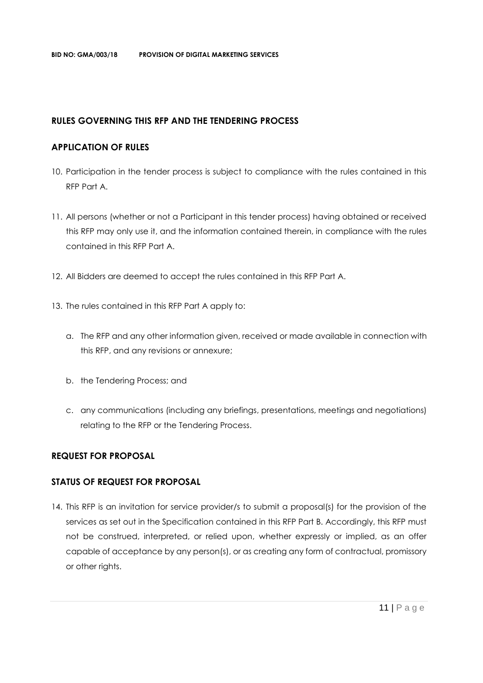#### **RULES GOVERNING THIS RFP AND THE TENDERING PROCESS**

#### **APPLICATION OF RULES**

- 10. Participation in the tender process is subject to compliance with the rules contained in this RFP Part A.
- 11. All persons (whether or not a Participant in this tender process) having obtained or received this RFP may only use it, and the information contained therein, in compliance with the rules contained in this RFP Part A.
- 12. All Bidders are deemed to accept the rules contained in this RFP Part A.
- 13. The rules contained in this RFP Part A apply to:
	- a. The RFP and any other information given, received or made available in connection with this RFP, and any revisions or annexure;
	- b. the Tendering Process; and
	- c. any communications (including any briefings, presentations, meetings and negotiations) relating to the RFP or the Tendering Process.

#### **REQUEST FOR PROPOSAL**

#### **STATUS OF REQUEST FOR PROPOSAL**

14. This RFP is an invitation for service provider/s to submit a proposal(s) for the provision of the services as set out in the Specification contained in this RFP Part B. Accordingly, this RFP must not be construed, interpreted, or relied upon, whether expressly or implied, as an offer capable of acceptance by any person(s), or as creating any form of contractual, promissory or other rights.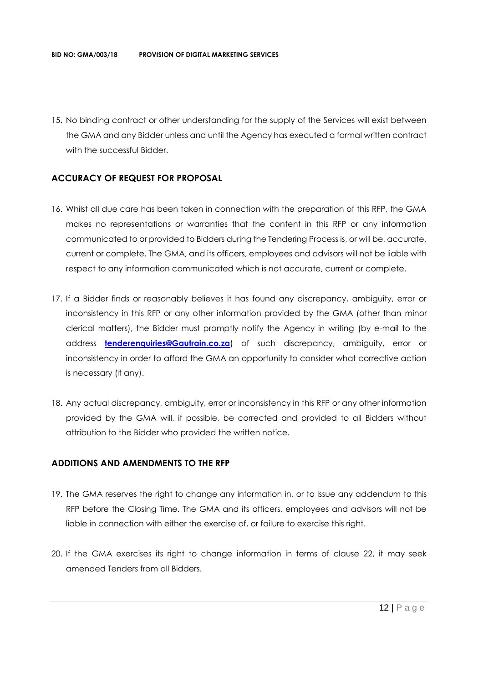15. No binding contract or other understanding for the supply of the Services will exist between the GMA and any Bidder unless and until the Agency has executed a formal written contract with the successful Bidder.

#### **ACCURACY OF REQUEST FOR PROPOSAL**

- 16. Whilst all due care has been taken in connection with the preparation of this RFP, the GMA makes no representations or warranties that the content in this RFP or any information communicated to or provided to Bidders during the Tendering Process is, or will be, accurate, current or complete. The GMA, and its officers, employees and advisors will not be liable with respect to any information communicated which is not accurate, current or complete.
- 17. If a Bidder finds or reasonably believes it has found any discrepancy, ambiguity, error or inconsistency in this RFP or any other information provided by the GMA (other than minor clerical matters), the Bidder must promptly notify the Agency in writing (by e-mail to the address **[tenderenquiries@Gautrain.co.za](mailto:tenderenquiries@gautrainpo.co.za)**) of such discrepancy, ambiguity, error or inconsistency in order to afford the GMA an opportunity to consider what corrective action is necessary (if any).
- 18. Any actual discrepancy, ambiguity, error or inconsistency in this RFP or any other information provided by the GMA will, if possible, be corrected and provided to all Bidders without attribution to the Bidder who provided the written notice.

#### **ADDITIONS AND AMENDMENTS TO THE RFP**

- 19. The GMA reserves the right to change any information in, or to issue any addendum to this RFP before the Closing Time. The GMA and its officers, employees and advisors will not be liable in connection with either the exercise of, or failure to exercise this right.
- 20. If the GMA exercises its right to change information in terms of clause 22, it may seek amended Tenders from all Bidders.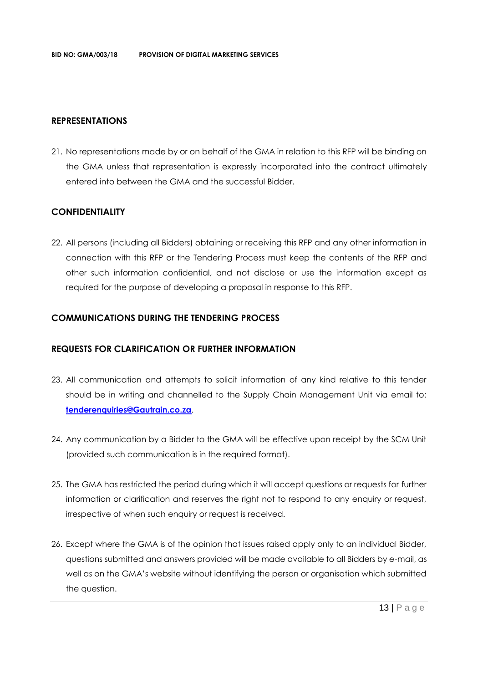#### **REPRESENTATIONS**

21. No representations made by or on behalf of the GMA in relation to this RFP will be binding on the GMA unless that representation is expressly incorporated into the contract ultimately entered into between the GMA and the successful Bidder.

#### **CONFIDENTIALITY**

22. All persons (including all Bidders) obtaining or receiving this RFP and any other information in connection with this RFP or the Tendering Process must keep the contents of the RFP and other such information confidential, and not disclose or use the information except as required for the purpose of developing a proposal in response to this RFP.

#### **COMMUNICATIONS DURING THE TENDERING PROCESS**

#### **REQUESTS FOR CLARIFICATION OR FURTHER INFORMATION**

- 23. All communication and attempts to solicit information of any kind relative to this tender should be in writing and channelled to the Supply Chain Management Unit via email to: **[tenderenquiries@Gautrain.co.za](mailto:tenderenquiries@gautrainpo.co.za)**.
- 24. Any communication by a Bidder to the GMA will be effective upon receipt by the SCM Unit (provided such communication is in the required format).
- 25. The GMA has restricted the period during which it will accept questions or requests for further information or clarification and reserves the right not to respond to any enquiry or request, irrespective of when such enquiry or request is received.
- 26. Except where the GMA is of the opinion that issues raised apply only to an individual Bidder, questions submitted and answers provided will be made available to all Bidders by e-mail, as well as on the GMA's website without identifying the person or organisation which submitted the question.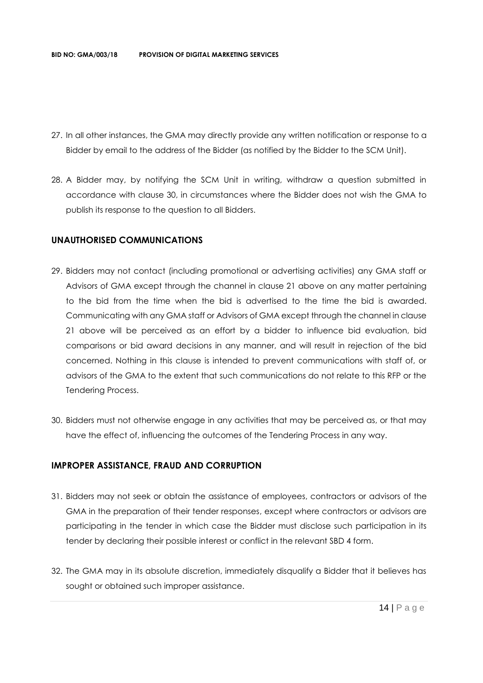- 27. In all other instances, the GMA may directly provide any written notification or response to a Bidder by email to the address of the Bidder (as notified by the Bidder to the SCM Unit).
- 28. A Bidder may, by notifying the SCM Unit in writing, withdraw a question submitted in accordance with clause 30, in circumstances where the Bidder does not wish the GMA to publish its response to the question to all Bidders.

#### **UNAUTHORISED COMMUNICATIONS**

- 29. Bidders may not contact (including promotional or advertising activities) any GMA staff or Advisors of GMA except through the channel in clause 21 above on any matter pertaining to the bid from the time when the bid is advertised to the time the bid is awarded. Communicating with any GMA staff or Advisors of GMA except through the channel in clause 21 above will be perceived as an effort by a bidder to influence bid evaluation, bid comparisons or bid award decisions in any manner, and will result in rejection of the bid concerned. Nothing in this clause is intended to prevent communications with staff of, or advisors of the GMA to the extent that such communications do not relate to this RFP or the Tendering Process.
- 30. Bidders must not otherwise engage in any activities that may be perceived as, or that may have the effect of, influencing the outcomes of the Tendering Process in any way.

#### **IMPROPER ASSISTANCE, FRAUD AND CORRUPTION**

- 31. Bidders may not seek or obtain the assistance of employees, contractors or advisors of the GMA in the preparation of their tender responses, except where contractors or advisors are participating in the tender in which case the Bidder must disclose such participation in its tender by declaring their possible interest or conflict in the relevant SBD 4 form.
- 32. The GMA may in its absolute discretion, immediately disqualify a Bidder that it believes has sought or obtained such improper assistance.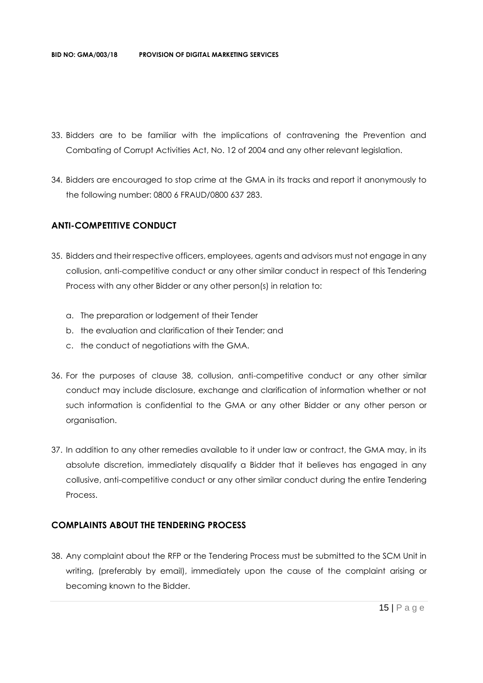- 33. Bidders are to be familiar with the implications of contravening the Prevention and Combating of Corrupt Activities Act, No. 12 of 2004 and any other relevant legislation.
- 34. Bidders are encouraged to stop crime at the GMA in its tracks and report it anonymously to the following number: 0800 6 FRAUD/0800 637 283.

#### **ANTI-COMPETITIVE CONDUCT**

- 35. Bidders and their respective officers, employees, agents and advisors must not engage in any collusion, anti-competitive conduct or any other similar conduct in respect of this Tendering Process with any other Bidder or any other person(s) in relation to:
	- a. The preparation or lodgement of their Tender
	- b. the evaluation and clarification of their Tender; and
	- c. the conduct of negotiations with the GMA.
- 36. For the purposes of clause 38, collusion, anti-competitive conduct or any other similar conduct may include disclosure, exchange and clarification of information whether or not such information is confidential to the GMA or any other Bidder or any other person or organisation.
- 37. In addition to any other remedies available to it under law or contract, the GMA may, in its absolute discretion, immediately disqualify a Bidder that it believes has engaged in any collusive, anti-competitive conduct or any other similar conduct during the entire Tendering **Process**

#### **COMPLAINTS ABOUT THE TENDERING PROCESS**

38. Any complaint about the RFP or the Tendering Process must be submitted to the SCM Unit in writing, (preferably by email), immediately upon the cause of the complaint arising or becoming known to the Bidder.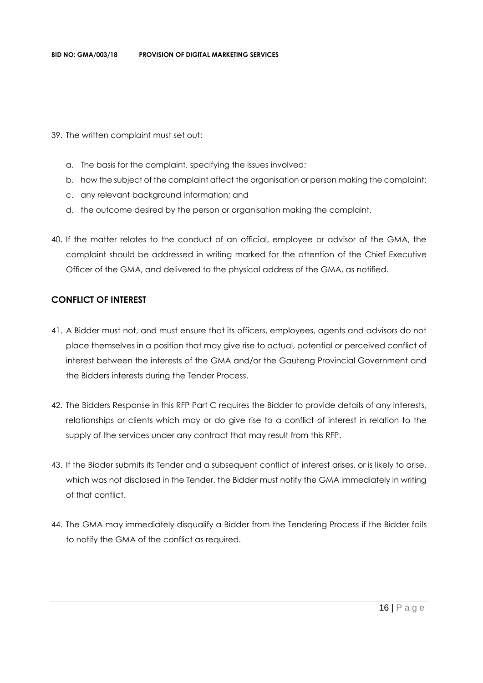- 39. The written complaint must set out:
	- a. The basis for the complaint, specifying the issues involved;
	- b. how the subject of the complaint affect the organisation or person making the complaint;
	- c. any relevant background information; and
	- d. the outcome desired by the person or organisation making the complaint.
- 40. If the matter relates to the conduct of an official, employee or advisor of the GMA, the complaint should be addressed in writing marked for the attention of the Chief Executive Officer of the GMA, and delivered to the physical address of the GMA, as notified.

#### **CONFLICT OF INTEREST**

- 41. A Bidder must not, and must ensure that its officers, employees, agents and advisors do not place themselves in a position that may give rise to actual, potential or perceived conflict of interest between the interests of the GMA and/or the Gauteng Provincial Government and the Bidders interests during the Tender Process.
- 42. The Bidders Response in this RFP Part C requires the Bidder to provide details of any interests, relationships or clients which may or do give rise to a conflict of interest in relation to the supply of the services under any contract that may result from this RFP.
- 43. If the Bidder submits its Tender and a subsequent conflict of interest arises, or is likely to arise, which was not disclosed in the Tender, the Bidder must notify the GMA immediately in writing of that conflict.
- 44. The GMA may immediately disqualify a Bidder from the Tendering Process if the Bidder fails to notify the GMA of the conflict as required.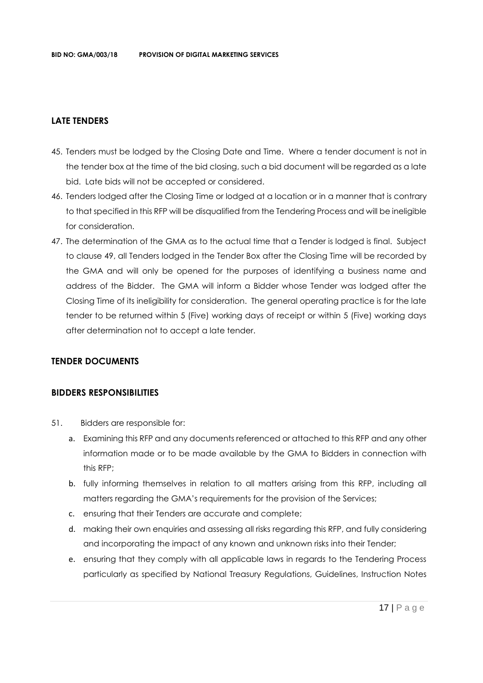#### **LATE TENDERS**

- 45. Tenders must be lodged by the Closing Date and Time. Where a tender document is not in the tender box at the time of the bid closing, such a bid document will be regarded as a late bid. Late bids will not be accepted or considered.
- 46. Tenders lodged after the Closing Time or lodged at a location or in a manner that is contrary to that specified in this RFP will be disqualified from the Tendering Process and will be ineligible for consideration.
- 47. The determination of the GMA as to the actual time that a Tender is lodged is final. Subject to clause 49, all Tenders lodged in the Tender Box after the Closing Time will be recorded by the GMA and will only be opened for the purposes of identifying a business name and address of the Bidder. The GMA will inform a Bidder whose Tender was lodged after the Closing Time of its ineligibility for consideration. The general operating practice is for the late tender to be returned within 5 (Five) working days of receipt or within 5 (Five) working days after determination not to accept a late tender.

#### **TENDER DOCUMENTS**

#### **BIDDERS RESPONSIBILITIES**

- 51. Bidders are responsible for:
	- a. Examining this RFP and any documents referenced or attached to this RFP and any other information made or to be made available by the GMA to Bidders in connection with this RFP;
	- b. fully informing themselves in relation to all matters arising from this RFP, including all matters regarding the GMA's requirements for the provision of the Services;
	- c. ensuring that their Tenders are accurate and complete;
	- d. making their own enquiries and assessing all risks regarding this RFP, and fully considering and incorporating the impact of any known and unknown risks into their Tender;
	- e. ensuring that they comply with all applicable laws in regards to the Tendering Process particularly as specified by National Treasury Regulations, Guidelines, Instruction Notes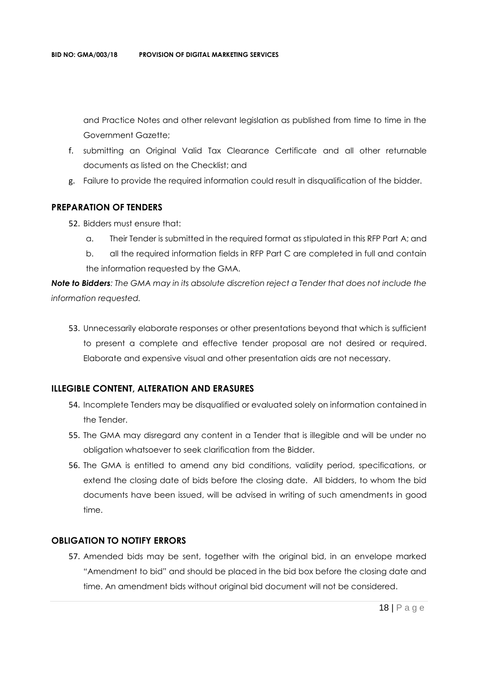and Practice Notes and other relevant legislation as published from time to time in the Government Gazette;

- f. submitting an Original Valid Tax Clearance Certificate and all other returnable documents as listed on the Checklist; and
- g. Failure to provide the required information could result in disqualification of the bidder.

#### **PREPARATION OF TENDERS**

- 52. Bidders must ensure that:
	- a. Their Tender is submitted in the required format as stipulated in this RFP Part A; and
	- b. all the required information fields in RFP Part C are completed in full and contain the information requested by the GMA.

*Note to Bidders: The GMA may in its absolute discretion reject a Tender that does not include the information requested.*

53. Unnecessarily elaborate responses or other presentations beyond that which is sufficient to present a complete and effective tender proposal are not desired or required. Elaborate and expensive visual and other presentation aids are not necessary.

#### **ILLEGIBLE CONTENT, ALTERATION AND ERASURES**

- 54. Incomplete Tenders may be disqualified or evaluated solely on information contained in the Tender.
- 55. The GMA may disregard any content in a Tender that is illegible and will be under no obligation whatsoever to seek clarification from the Bidder.
- 56. The GMA is entitled to amend any bid conditions, validity period, specifications, or extend the closing date of bids before the closing date. All bidders, to whom the bid documents have been issued, will be advised in writing of such amendments in good time.

#### **OBLIGATION TO NOTIFY ERRORS**

57. Amended bids may be sent, together with the original bid, in an envelope marked "Amendment to bid" and should be placed in the bid box before the closing date and time. An amendment bids without original bid document will not be considered.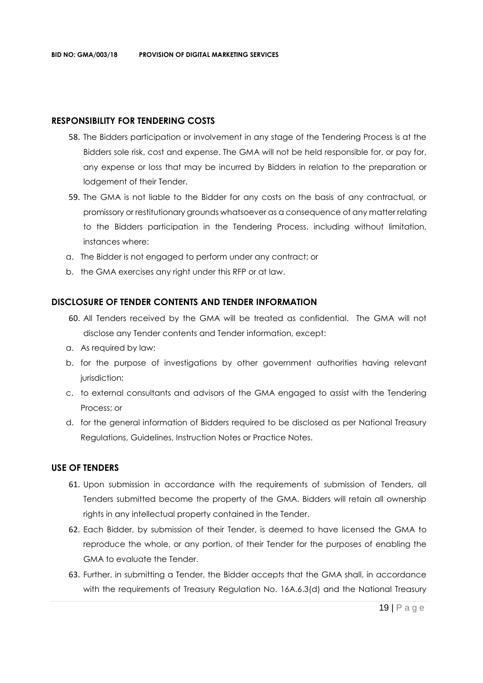#### **RESPONSIBILITY FOR TENDERING COSTS**

- 58. The Bidders participation or involvement in any stage of the Tendering Process is at the Bidders sole risk, cost and expense. The GMA will not be held responsible for, or pay for, any expense or loss that may be incurred by Bidders in relation to the preparation or lodgement of their Tender.
- 59. The GMA is not liable to the Bidder for any costs on the basis of any contractual, or promissory or restitutionary grounds whatsoever as a consequence of any matter relating to the Bidders participation in the Tendering Process, including without limitation, instances where:
- a. The Bidder is not engaged to perform under any contract; or
- b. the GMA exercises any right under this RFP or at law.

#### **DISCLOSURE OF TENDER CONTENTS AND TENDER INFORMATION**

- 60. All Tenders received by the GMA will be treated as confidential. The GMA will not disclose any Tender contents and Tender information, except:
- a. As required by law;
- b. for the purpose of investigations by other government authorities having relevant jurisdiction;
- c. to external consultants and advisors of the GMA engaged to assist with the Tendering Process; or
- d. for the general information of Bidders required to be disclosed as per National Treasury Regulations, Guidelines, Instruction Notes or Practice Notes.

#### **USE OF TENDERS**

- 61. Upon submission in accordance with the requirements of submission of Tenders, all Tenders submitted become the property of the GMA. Bidders will retain all ownership rights in any intellectual property contained in the Tender.
- 62. Each Bidder, by submission of their Tender, is deemed to have licensed the GMA to reproduce the whole, or any portion, of their Tender for the purposes of enabling the GMA to evaluate the Tender.
- 63. Further, in submitting a Tender, the Bidder accepts that the GMA shall, in accordance with the requirements of Treasury Regulation No. 16A.6.3(d) and the National Treasury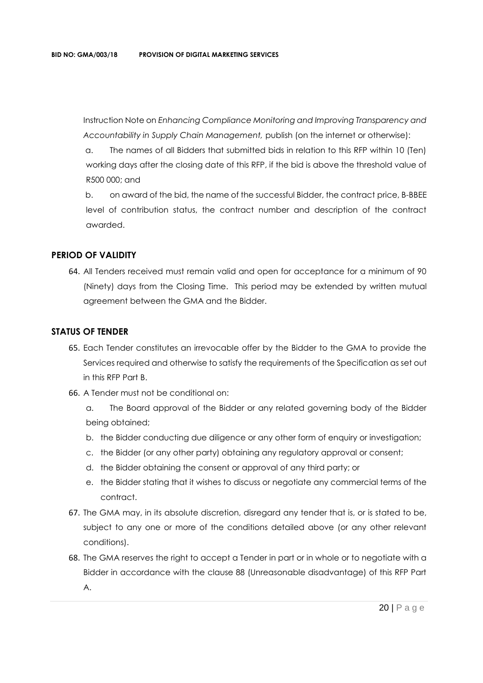Instruction Note on *Enhancing Compliance Monitoring and Improving Transparency and Accountability in Supply Chain Management,* publish (on the internet or otherwise):

a. The names of all Bidders that submitted bids in relation to this RFP within 10 (Ten) working days after the closing date of this RFP, if the bid is above the threshold value of R500 000; and

b. on award of the bid, the name of the successful Bidder, the contract price, B-BBEE level of contribution status, the contract number and description of the contract awarded.

#### **PERIOD OF VALIDITY**

64. All Tenders received must remain valid and open for acceptance for a minimum of 90 (Ninety) days from the Closing Time. This period may be extended by written mutual agreement between the GMA and the Bidder.

#### **STATUS OF TENDER**

- 65. Each Tender constitutes an irrevocable offer by the Bidder to the GMA to provide the Services required and otherwise to satisfy the requirements of the Specification as set out in this RFP Part B.
- 66. A Tender must not be conditional on:
	- a. The Board approval of the Bidder or any related governing body of the Bidder being obtained;
	- b. the Bidder conducting due diligence or any other form of enquiry or investigation;
	- c. the Bidder (or any other party) obtaining any regulatory approval or consent;
	- d. the Bidder obtaining the consent or approval of any third party; or
	- e. the Bidder stating that it wishes to discuss or negotiate any commercial terms of the contract.
- 67. The GMA may, in its absolute discretion, disregard any tender that is, or is stated to be, subject to any one or more of the conditions detailed above (or any other relevant conditions).
- 68. The GMA reserves the right to accept a Tender in part or in whole or to negotiate with a Bidder in accordance with the clause 88 (Unreasonable disadvantage) of this RFP Part A.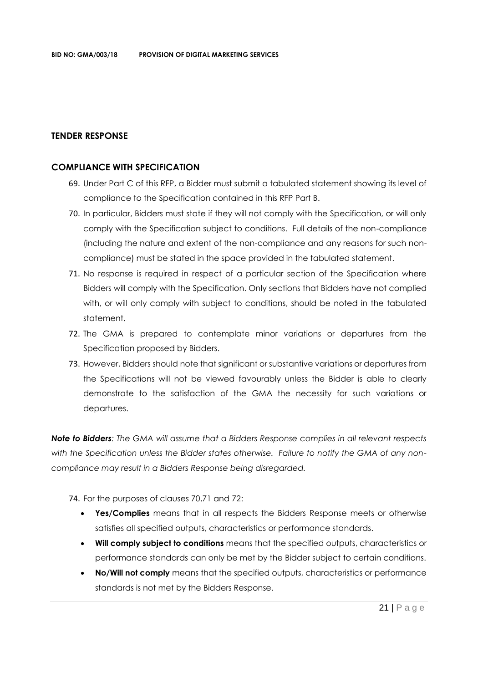#### **TENDER RESPONSE**

#### **COMPLIANCE WITH SPECIFICATION**

- 69. Under Part C of this RFP, a Bidder must submit a tabulated statement showing its level of compliance to the Specification contained in this RFP Part B.
- 70. In particular, Bidders must state if they will not comply with the Specification, or will only comply with the Specification subject to conditions. Full details of the non-compliance (including the nature and extent of the non-compliance and any reasons for such noncompliance) must be stated in the space provided in the tabulated statement.
- 71. No response is required in respect of a particular section of the Specification where Bidders will comply with the Specification. Only sections that Bidders have not complied with, or will only comply with subject to conditions, should be noted in the tabulated statement.
- 72. The GMA is prepared to contemplate minor variations or departures from the Specification proposed by Bidders.
- 73. However, Bidders should note that significant or substantive variations or departures from the Specifications will not be viewed favourably unless the Bidder is able to clearly demonstrate to the satisfaction of the GMA the necessity for such variations or departures.

*Note to Bidders: The GMA will assume that a Bidders Response complies in all relevant respects with the Specification unless the Bidder states otherwise. Failure to notify the GMA of any noncompliance may result in a Bidders Response being disregarded.*

74. For the purposes of clauses 70,71 and 72:

- **Yes/Complies** means that in all respects the Bidders Response meets or otherwise satisfies all specified outputs, characteristics or performance standards.
- **Will comply subject to conditions** means that the specified outputs, characteristics or performance standards can only be met by the Bidder subject to certain conditions.
- **No/Will not comply** means that the specified outputs, characteristics or performance standards is not met by the Bidders Response.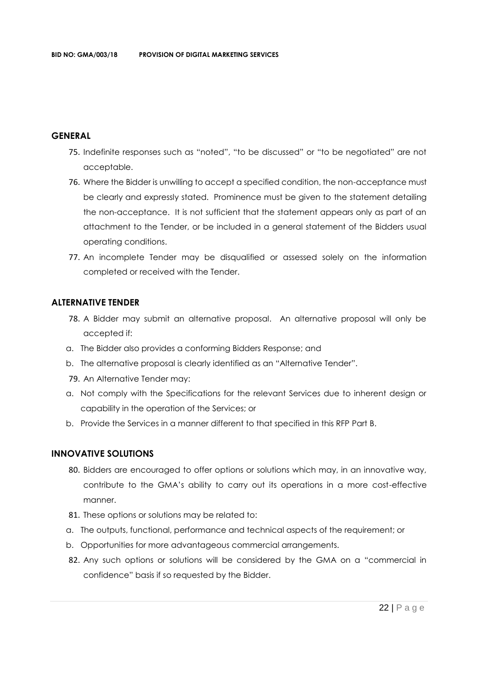#### **GENERAL**

- 75. Indefinite responses such as "noted", "to be discussed" or "to be negotiated" are not acceptable.
- 76. Where the Bidder is unwilling to accept a specified condition, the non-acceptance must be clearly and expressly stated. Prominence must be given to the statement detailing the non-acceptance. It is not sufficient that the statement appears only as part of an attachment to the Tender, or be included in a general statement of the Bidders usual operating conditions.
- 77. An incomplete Tender may be disqualified or assessed solely on the information completed or received with the Tender.

#### **ALTERNATIVE TENDER**

- 78. A Bidder may submit an alternative proposal. An alternative proposal will only be accepted if:
- a. The Bidder also provides a conforming Bidders Response; and
- b. The alternative proposal is clearly identified as an "Alternative Tender".
- 79. An Alternative Tender may:
- a. Not comply with the Specifications for the relevant Services due to inherent design or capability in the operation of the Services; or
- b. Provide the Services in a manner different to that specified in this RFP Part B.

#### **INNOVATIVE SOLUTIONS**

- 80. Bidders are encouraged to offer options or solutions which may, in an innovative way, contribute to the GMA's ability to carry out its operations in a more cost-effective manner.
- 81. These options or solutions may be related to:
- a. The outputs, functional, performance and technical aspects of the requirement; or
- b. Opportunities for more advantageous commercial arrangements.
- 82. Any such options or solutions will be considered by the GMA on a "commercial in confidence" basis if so requested by the Bidder.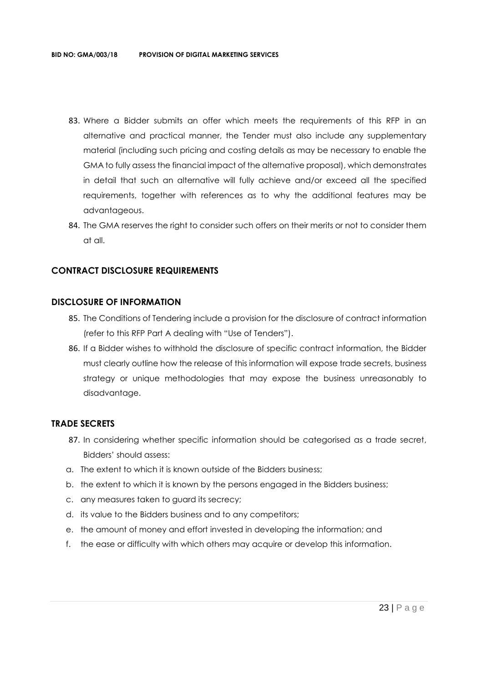- 83. Where a Bidder submits an offer which meets the requirements of this RFP in an alternative and practical manner, the Tender must also include any supplementary material (including such pricing and costing details as may be necessary to enable the GMA to fully assess the financial impact of the alternative proposal), which demonstrates in detail that such an alternative will fully achieve and/or exceed all the specified requirements, together with references as to why the additional features may be advantageous.
- 84. The GMA reserves the right to consider such offers on their merits or not to consider them at all.

#### **CONTRACT DISCLOSURE REQUIREMENTS**

#### **DISCLOSURE OF INFORMATION**

- 85. The Conditions of Tendering include a provision for the disclosure of contract information (refer to this RFP Part A dealing with "Use of Tenders").
- 86. If a Bidder wishes to withhold the disclosure of specific contract information, the Bidder must clearly outline how the release of this information will expose trade secrets, business strategy or unique methodologies that may expose the business unreasonably to disadvantage.

#### **TRADE SECRETS**

- 87. In considering whether specific information should be categorised as a trade secret, Bidders' should assess:
- a. The extent to which it is known outside of the Bidders business;
- b. the extent to which it is known by the persons engaged in the Bidders business;
- c. any measures taken to guard its secrecy;
- d. its value to the Bidders business and to any competitors;
- e. the amount of money and effort invested in developing the information; and
- f. the ease or difficulty with which others may acquire or develop this information.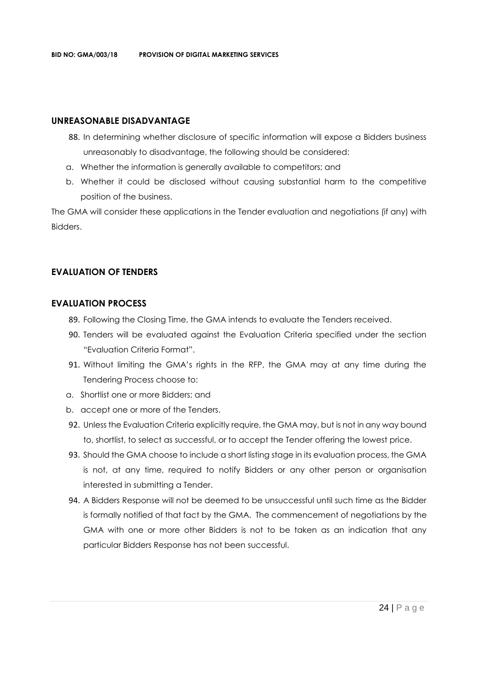#### **UNREASONABLE DISADVANTAGE**

- 88. In determining whether disclosure of specific information will expose a Bidders business unreasonably to disadvantage, the following should be considered:
- a. Whether the information is generally available to competitors; and
- b. Whether it could be disclosed without causing substantial harm to the competitive position of the business.

The GMA will consider these applications in the Tender evaluation and negotiations (if any) with Bidders.

#### **EVALUATION OF TENDERS**

#### **EVALUATION PROCESS**

- 89. Following the Closing Time, the GMA intends to evaluate the Tenders received.
- 90. Tenders will be evaluated against the Evaluation Criteria specified under the section "Evaluation Criteria Format".
- 91. Without limiting the GMA's rights in the RFP, the GMA may at any time during the Tendering Process choose to:
- a. Shortlist one or more Bidders; and
- b. accept one or more of the Tenders.
- 92. Unless the Evaluation Criteria explicitly require, the GMA may, but is not in any way bound to, shortlist, to select as successful, or to accept the Tender offering the lowest price.
- 93. Should the GMA choose to include a short listing stage in its evaluation process, the GMA is not, at any time, required to notify Bidders or any other person or organisation interested in submitting a Tender.
- 94. A Bidders Response will not be deemed to be unsuccessful until such time as the Bidder is formally notified of that fact by the GMA. The commencement of negotiations by the GMA with one or more other Bidders is not to be taken as an indication that any particular Bidders Response has not been successful.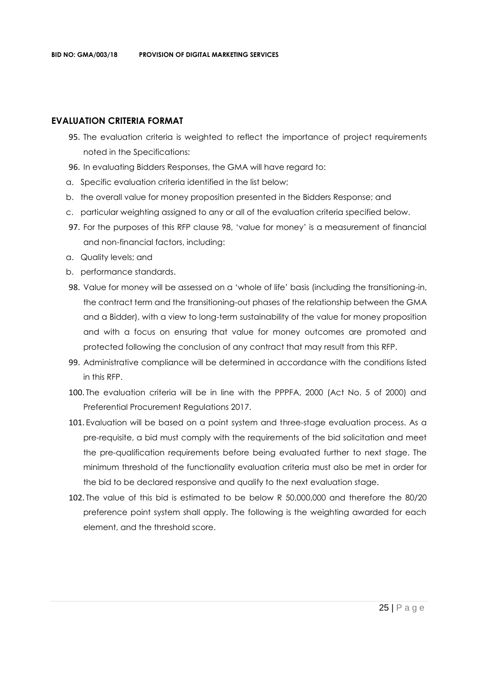#### **EVALUATION CRITERIA FORMAT**

- 95. The evaluation criteria is weighted to reflect the importance of project requirements noted in the Specifications:
- 96. In evaluating Bidders Responses, the GMA will have regard to:
- a. Specific evaluation criteria identified in the list below;
- b. the overall value for money proposition presented in the Bidders Response; and
- c. particular weighting assigned to any or all of the evaluation criteria specified below.
- 97. For the purposes of this RFP clause 98, 'value for money' is a measurement of financial and non-financial factors, including:
- a. Quality levels; and
- b. performance standards.
- 98. Value for money will be assessed on a 'whole of life' basis (including the transitioning-in, the contract term and the transitioning-out phases of the relationship between the GMA and a Bidder), with a view to long-term sustainability of the value for money proposition and with a focus on ensuring that value for money outcomes are promoted and protected following the conclusion of any contract that may result from this RFP.
- 99. Administrative compliance will be determined in accordance with the conditions listed in this RFP.
- 100. The evaluation criteria will be in line with the PPPFA, 2000 (Act No. 5 of 2000) and Preferential Procurement Regulations 2017.
- 101. Evaluation will be based on a point system and three-stage evaluation process. As a pre-requisite, a bid must comply with the requirements of the bid solicitation and meet the pre-qualification requirements before being evaluated further to next stage. The minimum threshold of the functionality evaluation criteria must also be met in order for the bid to be declared responsive and qualify to the next evaluation stage.
- 102. The value of this bid is estimated to be below R 50,000,000 and therefore the 80/20 preference point system shall apply. The following is the weighting awarded for each element, and the threshold score.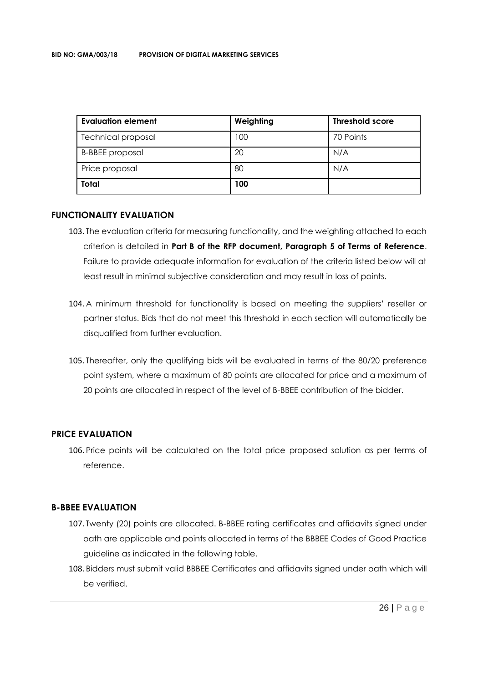| <b>Evaluation element</b> | Weighting | <b>Threshold score</b> |
|---------------------------|-----------|------------------------|
| <b>Technical proposal</b> | 100       | 70 Points              |
| <b>B-BBEE</b> proposal    | 20        | N/A                    |
| Price proposal            | 80        | N/A                    |
| Total                     | 100       |                        |

#### **FUNCTIONALITY EVALUATION**

- 103. The evaluation criteria for measuring functionality, and the weighting attached to each criterion is detailed in **Part B of the RFP document, Paragraph 5 of Terms of Reference**. Failure to provide adequate information for evaluation of the criteria listed below will at least result in minimal subjective consideration and may result in loss of points.
- 104. A minimum threshold for functionality is based on meeting the suppliers' reseller or partner status. Bids that do not meet this threshold in each section will automatically be disqualified from further evaluation.
- 105. Thereafter, only the qualifying bids will be evaluated in terms of the 80/20 preference point system, where a maximum of 80 points are allocated for price and a maximum of 20 points are allocated in respect of the level of B-BBEE contribution of the bidder.

#### **PRICE EVALUATION**

106. Price points will be calculated on the total price proposed solution as per terms of reference.

#### **B-BBEE EVALUATION**

- 107. Twenty (20) points are allocated. B-BBEE rating certificates and affidavits signed under oath are applicable and points allocated in terms of the BBBEE Codes of Good Practice guideline as indicated in the following table.
- 108. Bidders must submit valid BBBEE Certificates and affidavits signed under oath which will be verified.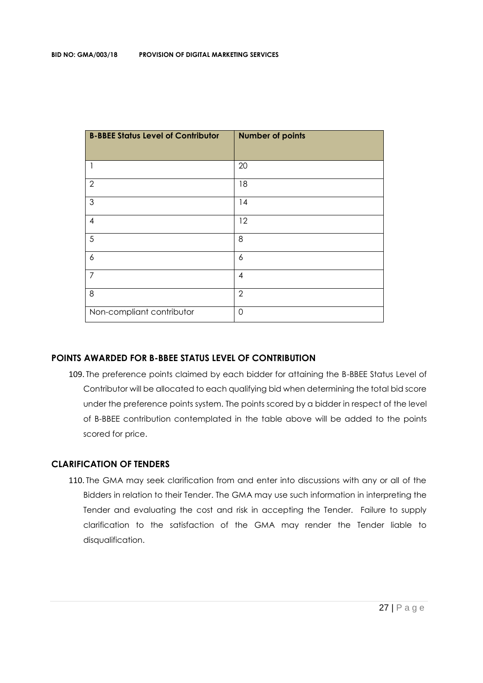| <b>B-BBEE Status Level of Contributor</b> | <b>Number of points</b> |
|-------------------------------------------|-------------------------|
| 1                                         | 20                      |
| $\overline{2}$                            | 18                      |
| $\mathfrak{Z}$                            | 14                      |
| $\overline{\mathcal{A}}$                  | 12                      |
| 5                                         | 8                       |
| 6                                         | 6                       |
| $\overline{7}$                            | $\overline{4}$          |
| 8                                         | $\overline{2}$          |
| Non-compliant contributor                 | 0                       |

#### **POINTS AWARDED FOR B-BBEE STATUS LEVEL OF CONTRIBUTION**

109. The preference points claimed by each bidder for attaining the B-BBEE Status Level of Contributor will be allocated to each qualifying bid when determining the total bid score under the preference points system. The points scored by a bidder in respect of the level of B-BBEE contribution contemplated in the table above will be added to the points scored for price.

#### **CLARIFICATION OF TENDERS**

110. The GMA may seek clarification from and enter into discussions with any or all of the Bidders in relation to their Tender. The GMA may use such information in interpreting the Tender and evaluating the cost and risk in accepting the Tender. Failure to supply clarification to the satisfaction of the GMA may render the Tender liable to disqualification.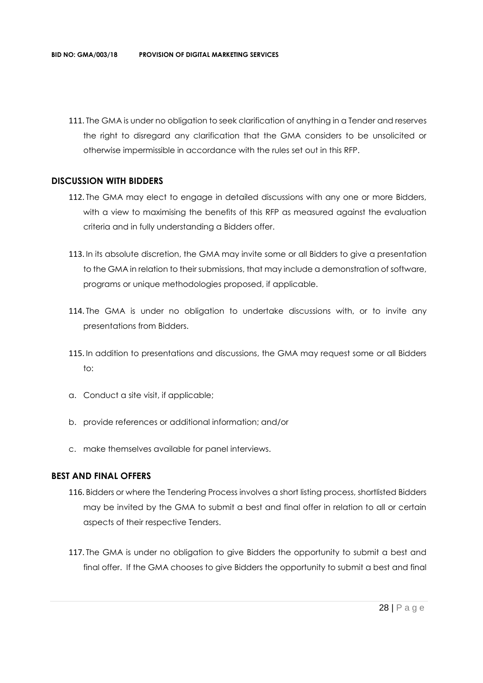111. The GMA is under no obligation to seek clarification of anything in a Tender and reserves the right to disregard any clarification that the GMA considers to be unsolicited or otherwise impermissible in accordance with the rules set out in this RFP.

#### **DISCUSSION WITH BIDDERS**

- 112. The GMA may elect to engage in detailed discussions with any one or more Bidders, with a view to maximising the benefits of this RFP as measured against the evaluation criteria and in fully understanding a Bidders offer.
- 113. In its absolute discretion, the GMA may invite some or all Bidders to give a presentation to the GMA in relation to their submissions, that may include a demonstration of software, programs or unique methodologies proposed, if applicable.
- 114. The GMA is under no obligation to undertake discussions with, or to invite any presentations from Bidders.
- 115. In addition to presentations and discussions, the GMA may request some or all Bidders to:
- a. Conduct a site visit, if applicable;
- b. provide references or additional information; and/or
- c. make themselves available for panel interviews.

#### **BEST AND FINAL OFFERS**

- 116. Bidders or where the Tendering Process involves a short listing process, shortlisted Bidders may be invited by the GMA to submit a best and final offer in relation to all or certain aspects of their respective Tenders.
- 117. The GMA is under no obligation to give Bidders the opportunity to submit a best and final offer. If the GMA chooses to give Bidders the opportunity to submit a best and final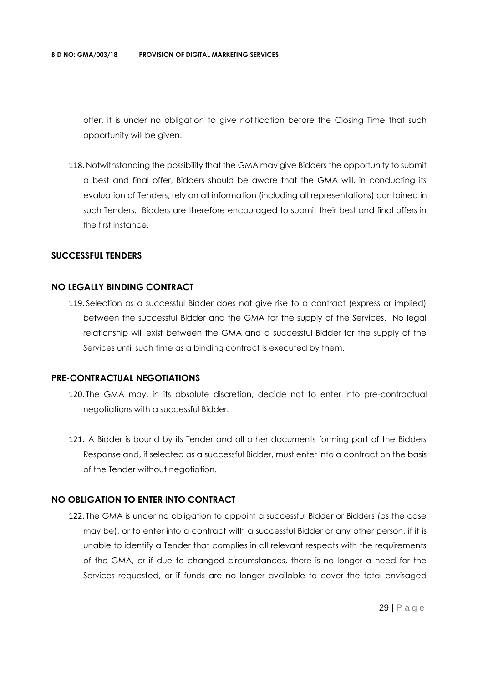offer, it is under no obligation to give notification before the Closing Time that such opportunity will be given.

118. Notwithstanding the possibility that the GMA may give Bidders the opportunity to submit a best and final offer, Bidders should be aware that the GMA will, in conducting its evaluation of Tenders, rely on all information (including all representations) contained in such Tenders. Bidders are therefore encouraged to submit their best and final offers in the first instance.

#### **SUCCESSFUL TENDERS**

#### **NO LEGALLY BINDING CONTRACT**

119. Selection as a successful Bidder does not give rise to a contract (express or implied) between the successful Bidder and the GMA for the supply of the Services. No legal relationship will exist between the GMA and a successful Bidder for the supply of the Services until such time as a binding contract is executed by them.

#### **PRE-CONTRACTUAL NEGOTIATIONS**

- 120. The GMA may, in its absolute discretion, decide not to enter into pre-contractual negotiations with a successful Bidder.
- 121. A Bidder is bound by its Tender and all other documents forming part of the Bidders Response and, if selected as a successful Bidder, must enter into a contract on the basis of the Tender without negotiation.

#### **NO OBLIGATION TO ENTER INTO CONTRACT**

122. The GMA is under no obligation to appoint a successful Bidder or Bidders (as the case may be), or to enter into a contract with a successful Bidder or any other person, if it is unable to identify a Tender that complies in all relevant respects with the requirements of the GMA, or if due to changed circumstances, there is no longer a need for the Services requested, or if funds are no longer available to cover the total envisaged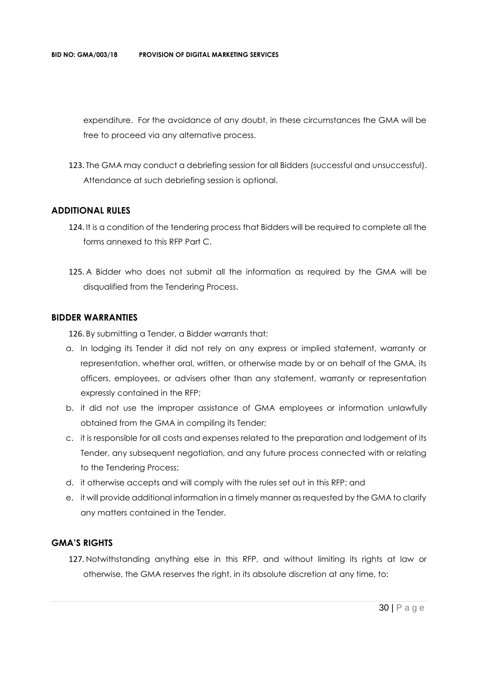expenditure. For the avoidance of any doubt, in these circumstances the GMA will be free to proceed via any alternative process.

123. The GMA may conduct a debriefing session for all Bidders (successful and unsuccessful). Attendance at such debriefing session is optional.

#### **ADDITIONAL RULES**

- 124. It is a condition of the tendering process that Bidders will be required to complete all the forms annexed to this RFP Part C.
- 125. A Bidder who does not submit all the information as required by the GMA will be disqualified from the Tendering Process.

#### **BIDDER WARRANTIES**

126. By submitting a Tender, a Bidder warrants that:

- a. In lodging its Tender it did not rely on any express or implied statement, warranty or representation, whether oral, written, or otherwise made by or on behalf of the GMA, its officers, employees, or advisers other than any statement, warranty or representation expressly contained in the RFP;
- b. it did not use the improper assistance of GMA employees or information unlawfully obtained from the GMA in compiling its Tender;
- c. it is responsible for all costs and expenses related to the preparation and lodgement of its Tender, any subsequent negotiation, and any future process connected with or relating to the Tendering Process;
- d. it otherwise accepts and will comply with the rules set out in this RFP; and
- e. it will provide additional information in a timely manner as requested by the GMA to clarify any matters contained in the Tender.

#### **GMA'S RIGHTS**

127. Notwithstanding anything else in this RFP, and without limiting its rights at law or otherwise, the GMA reserves the right, in its absolute discretion at any time, to: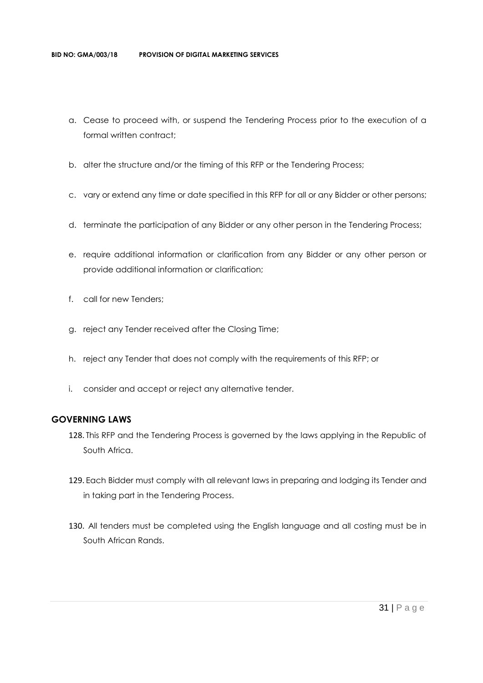- a. Cease to proceed with, or suspend the Tendering Process prior to the execution of a formal written contract:
- b. alter the structure and/or the timing of this RFP or the Tendering Process;
- c. vary or extend any time or date specified in this RFP for all or any Bidder or other persons;
- d. terminate the participation of any Bidder or any other person in the Tendering Process;
- e. require additional information or clarification from any Bidder or any other person or provide additional information or clarification;
- f. call for new Tenders;
- g. reject any Tender received after the Closing Time;
- h. reject any Tender that does not comply with the requirements of this RFP; or
- i. consider and accept or reject any alternative tender.

#### **GOVERNING LAWS**

- 128. This RFP and the Tendering Process is governed by the laws applying in the Republic of South Africa.
- 129. Each Bidder must comply with all relevant laws in preparing and lodging its Tender and in taking part in the Tendering Process.
- 130. All tenders must be completed using the English language and all costing must be in South African Rands.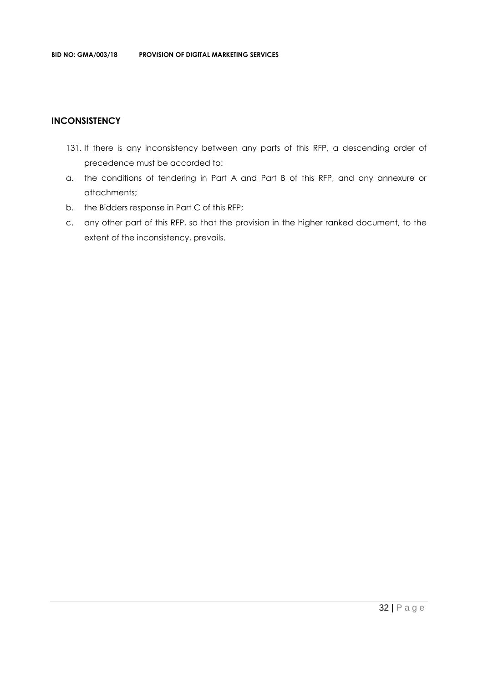#### **INCONSISTENCY**

- 131. If there is any inconsistency between any parts of this RFP, a descending order of precedence must be accorded to:
- a. the conditions of tendering in Part A and Part B of this RFP, and any annexure or attachments;
- b. the Bidders response in Part C of this RFP;
- c. any other part of this RFP, so that the provision in the higher ranked document, to the extent of the inconsistency, prevails.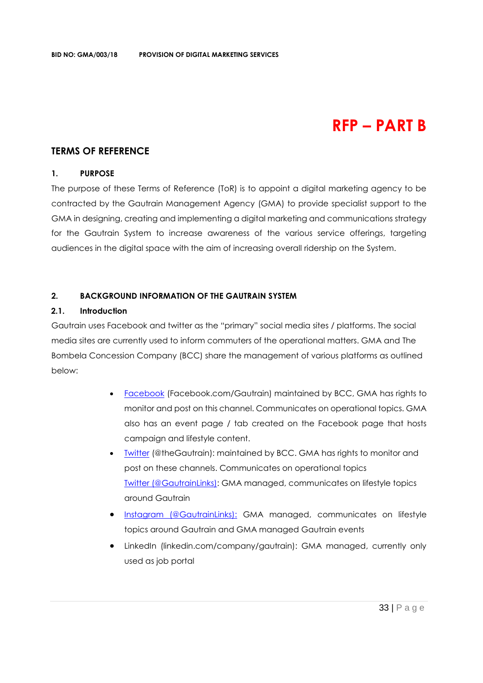## **RFP – PART B**

#### **TERMS OF REFERENCE**

#### **1. PURPOSE**

The purpose of these Terms of Reference (ToR) is to appoint a digital marketing agency to be contracted by the Gautrain Management Agency (GMA) to provide specialist support to the GMA in designing, creating and implementing a digital marketing and communications strategy for the Gautrain System to increase awareness of the various service offerings, targeting audiences in the digital space with the aim of increasing overall ridership on the System.

#### **2. BACKGROUND INFORMATION OF THE GAUTRAIN SYSTEM**

#### **2.1. Introduction**

Gautrain uses Facebook and twitter as the "primary" social media sites / platforms. The social media sites are currently used to inform commuters of the operational matters. GMA and The Bombela Concession Company (BCC) share the management of various platforms as outlined below:

- [Facebook](https://www.facebook.com/Gautrain) (Facebook.com/Gautrain) maintained by BCC, GMA has rights to monitor and post on this channel. Communicates on operational topics. GMA also has an event page / tab created on the Facebook page that hosts campaign and lifestyle content.
- Iwitter (@theGautrain): maintained by BCC. GMA has rights to monitor and post on these channels. Communicates on operational topics [Twitter \(@GautrainLinks\):](https://twitter.com/GautrainLinks) GMA managed, communicates on lifestyle topics around Gautrain
- [Instagram \(@GautrainLinks\):](https://www.instagram.com/gautrainlinks/?hl=en) GMA managed, communicates on lifestyle topics around Gautrain and GMA managed Gautrain events
- LinkedIn (linkedin.com/company/gautrain): GMA managed, currently only used as job portal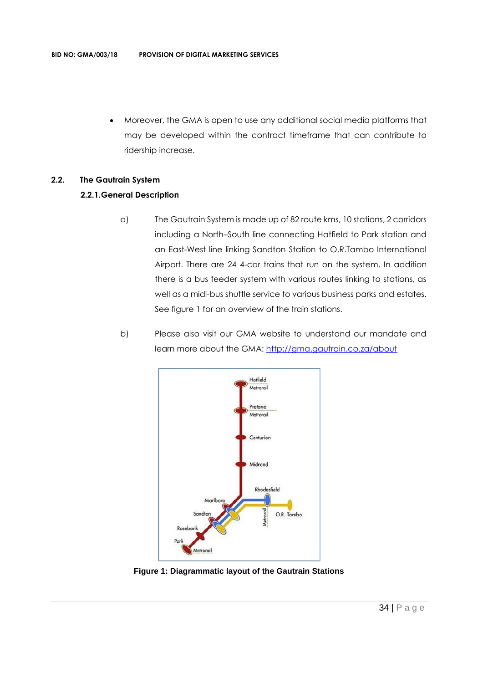• Moreover, the GMA is open to use any additional social media platforms that may be developed within the contract timeframe that can contribute to ridership increase.

#### **2.2. The Gautrain System**

#### **2.2.1.General Description**

- a) The Gautrain System is made up of 82 route kms, 10 stations, 2 corridors including a North–South line connecting Hatfield to Park station and an East-West line linking Sandton Station to O.R.Tambo International Airport. There are 24 4-car trains that run on the system. In addition there is a bus feeder system with various routes linking to stations, as well as a midi-bus shuttle service to various business parks and estates. See figure 1 for an overview of the train stations.
- b) Please also visit our GMA website to understand our mandate and learn more about the GMA:<http://gma.gautrain.co.za/about>



**Figure 1: Diagrammatic layout of the Gautrain Stations**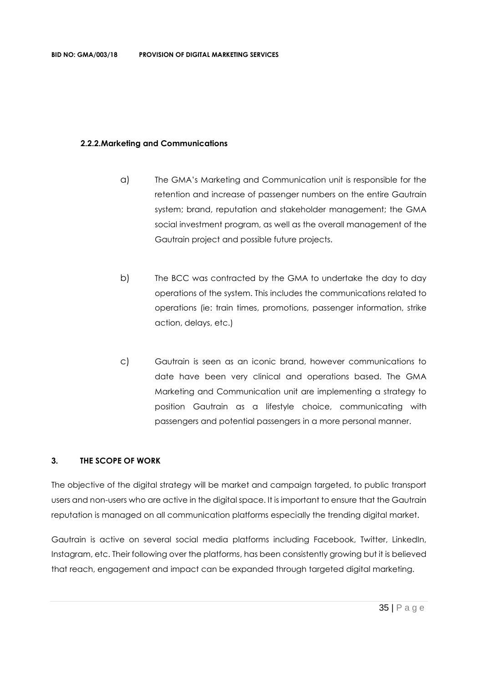#### **2.2.2.Marketing and Communications**

- a) The GMA's Marketing and Communication unit is responsible for the retention and increase of passenger numbers on the entire Gautrain system; brand, reputation and stakeholder management; the GMA social investment program, as well as the overall management of the Gautrain project and possible future projects.
- b) The BCC was contracted by the GMA to undertake the day to day operations of the system. This includes the communications related to operations (ie: train times, promotions, passenger information, strike action, delays, etc.)
- c) Gautrain is seen as an iconic brand, however communications to date have been very clinical and operations based. The GMA Marketing and Communication unit are implementing a strategy to position Gautrain as a lifestyle choice, communicating with passengers and potential passengers in a more personal manner.

#### **3. THE SCOPE OF WORK**

The objective of the digital strategy will be market and campaign targeted, to public transport users and non-users who are active in the digital space. It is important to ensure that the Gautrain reputation is managed on all communication platforms especially the trending digital market.

Gautrain is active on several social media platforms including Facebook, Twitter, LinkedIn, Instagram, etc. Their following over the platforms, has been consistently growing but it is believed that reach, engagement and impact can be expanded through targeted digital marketing.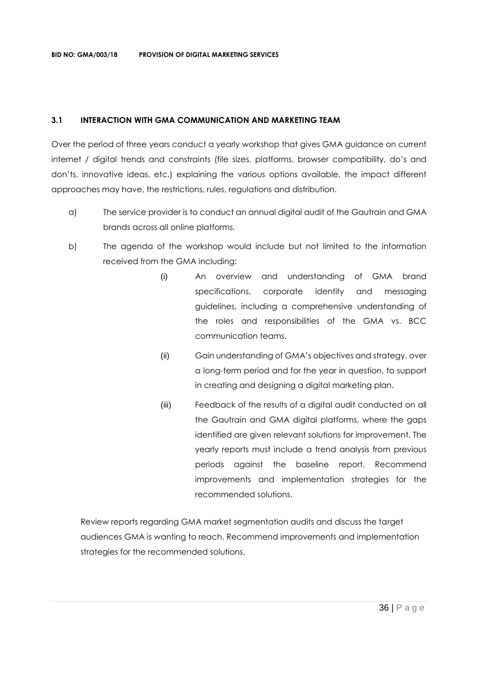#### **3.1 INTERACTION WITH GMA COMMUNICATION AND MARKETING TEAM**

Over the period of three years conduct a yearly workshop that gives GMA guidance on current internet / digital trends and constraints (file sizes, platforms, browser compatibility, do's and don'ts, innovative ideas, etc.) explaining the various options available, the impact different approaches may have, the restrictions, rules, regulations and distribution.

- a) The service provider is to conduct an annual digital audit of the Gautrain and GMA brands across all online platforms.
- b) The agenda of the workshop would include but not limited to the information received from the GMA including:
	- (i) An overview and understanding of GMA brand specifications, corporate identity and messaging guidelines, including a comprehensive understanding of the roles and responsibilities of the GMA vs. BCC communication teams.
	- (ii) Gain understanding of GMA's objectives and strategy, over a long-term period and for the year in question, to support in creating and designing a digital marketing plan.
	- (iii) Feedback of the results of a digital audit conducted on all the Gautrain and GMA digital platforms, where the gaps identified are given relevant solutions for improvement. The yearly reports must include a trend analysis from previous periods against the baseline report. Recommend improvements and implementation strategies for the recommended solutions.

Review reports regarding GMA market segmentation audits and discuss the target audiences GMA is wanting to reach. Recommend improvements and implementation strategies for the recommended solutions.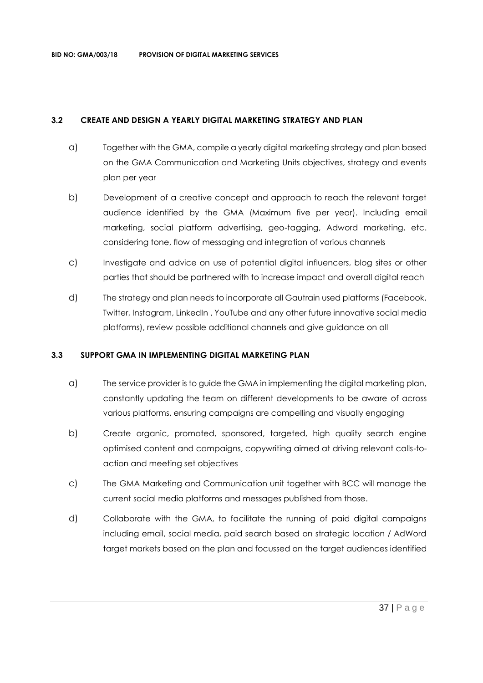#### **3.2 CREATE AND DESIGN A YEARLY DIGITAL MARKETING STRATEGY AND PLAN**

- a) Together with the GMA, compile a yearly digital marketing strategy and plan based on the GMA Communication and Marketing Units objectives, strategy and events plan per year
- b) Development of a creative concept and approach to reach the relevant target audience identified by the GMA (Maximum five per year). Including email marketing, social platform advertising, geo-tagging, Adword marketing, etc. considering tone, flow of messaging and integration of various channels
- c) Investigate and advice on use of potential digital influencers, blog sites or other parties that should be partnered with to increase impact and overall digital reach
- d) The strategy and plan needs to incorporate all Gautrain used platforms (Facebook, Twitter, Instagram, LinkedIn , YouTube and any other future innovative social media platforms), review possible additional channels and give guidance on all

#### **3.3 SUPPORT GMA IN IMPLEMENTING DIGITAL MARKETING PLAN**

- a) The service provider is to guide the GMA in implementing the digital marketing plan, constantly updating the team on different developments to be aware of across various platforms, ensuring campaigns are compelling and visually engaging
- b) Create organic, promoted, sponsored, targeted, high quality search engine optimised content and campaigns, copywriting aimed at driving relevant calls-toaction and meeting set objectives
- c) The GMA Marketing and Communication unit together with BCC will manage the current social media platforms and messages published from those.
- d) Collaborate with the GMA, to facilitate the running of paid digital campaigns including email, social media, paid search based on strategic location / AdWord target markets based on the plan and focussed on the target audiences identified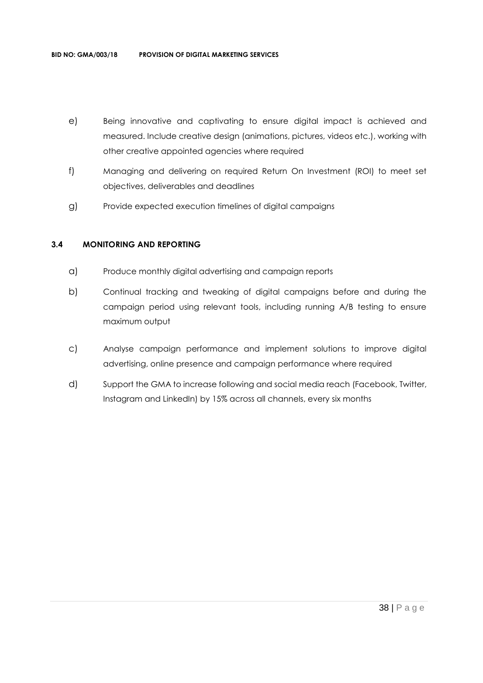- e) Being innovative and captivating to ensure digital impact is achieved and measured. Include creative design (animations, pictures, videos etc.), working with other creative appointed agencies where required
- f) Managing and delivering on required Return On Investment (ROI) to meet set objectives, deliverables and deadlines
- g) Provide expected execution timelines of digital campaigns

#### **3.4 MONITORING AND REPORTING**

- a) Produce monthly digital advertising and campaign reports
- b) Continual tracking and tweaking of digital campaigns before and during the campaign period using relevant tools, including running A/B testing to ensure maximum output
- c) Analyse campaign performance and implement solutions to improve digital advertising, online presence and campaign performance where required
- d) Support the GMA to increase following and social media reach (Facebook, Twitter, Instagram and LinkedIn) by 15% across all channels, every six months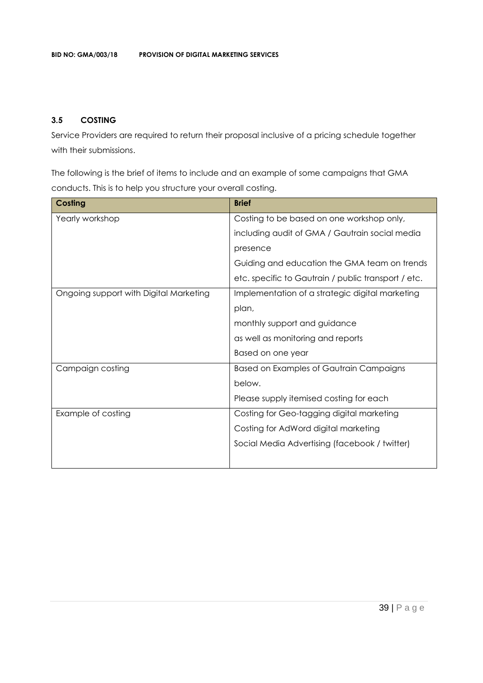## **3.5 COSTING**

Service Providers are required to return their proposal inclusive of a pricing schedule together with their submissions.

The following is the brief of items to include and an example of some campaigns that GMA conducts. This is to help you structure your overall costing.

| Costing                                | <b>Brief</b>                                        |
|----------------------------------------|-----------------------------------------------------|
| Yearly workshop                        | Costing to be based on one workshop only,           |
|                                        | including audit of GMA / Gautrain social media      |
|                                        | presence                                            |
|                                        | Guiding and education the GMA team on trends        |
|                                        | etc. specific to Gautrain / public transport / etc. |
| Ongoing support with Digital Marketing | Implementation of a strategic digital marketing     |
|                                        | plan,                                               |
|                                        | monthly support and guidance                        |
|                                        | as well as monitoring and reports                   |
|                                        | Based on one year                                   |
| Campaign costing                       | <b>Based on Examples of Gautrain Campaigns</b>      |
|                                        | below.                                              |
|                                        | Please supply itemised costing for each             |
| Example of costing                     | Costing for Geo-tagging digital marketing           |
|                                        | Costing for AdWord digital marketing                |
|                                        | Social Media Advertising (facebook / twitter)       |
|                                        |                                                     |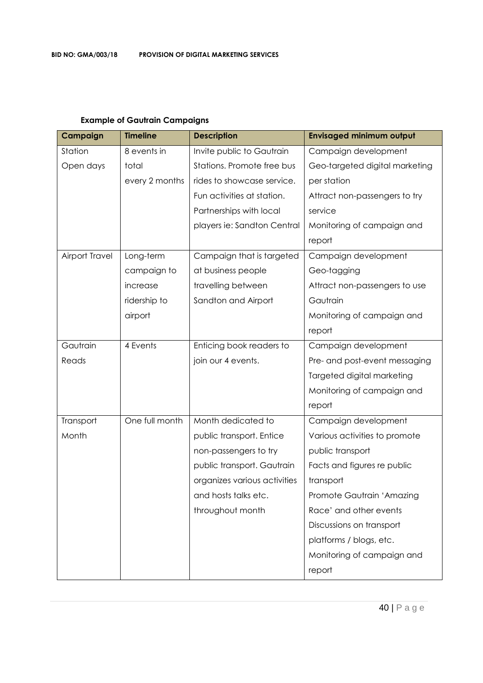| Campaign              | <b>Timeline</b> | <b>Description</b>           | <b>Envisaged minimum output</b> |
|-----------------------|-----------------|------------------------------|---------------------------------|
| Station               | 8 events in     | Invite public to Gautrain    | Campaign development            |
| Open days             | total           | Stations. Promote free bus   | Geo-targeted digital marketing  |
|                       | every 2 months  | rides to showcase service.   | per station                     |
|                       |                 | Fun activities at station.   | Attract non-passengers to try   |
|                       |                 | Partnerships with local      | service                         |
|                       |                 | players ie: Sandton Central  | Monitoring of campaign and      |
|                       |                 |                              | report                          |
| <b>Airport Travel</b> | Long-term       | Campaign that is targeted    | Campaign development            |
|                       | campaign to     | at business people           | Geo-tagging                     |
|                       | increase        | travelling between           | Attract non-passengers to use   |
|                       | ridership to    | Sandton and Airport          | Gautrain                        |
|                       | airport         |                              | Monitoring of campaign and      |
|                       |                 |                              | report                          |
| Gautrain              | 4 Events        | Enticing book readers to     | Campaign development            |
| Reads                 |                 | join our 4 events.           | Pre- and post-event messaging   |
|                       |                 |                              | Targeted digital marketing      |
|                       |                 |                              | Monitoring of campaign and      |
|                       |                 |                              | report                          |
| Transport             | One full month  | Month dedicated to           | Campaign development            |
| Month                 |                 | public transport. Entice     | Various activities to promote   |
|                       |                 | non-passengers to try        | public transport                |
|                       |                 | public transport. Gautrain   | Facts and figures re public     |
|                       |                 | organizes various activities | transport                       |
|                       |                 | and hosts talks etc.         | Promote Gautrain 'Amazing       |
|                       |                 | throughout month             | Race' and other events          |
|                       |                 |                              | Discussions on transport        |
|                       |                 |                              | platforms / blogs, etc.         |
|                       |                 |                              | Monitoring of campaign and      |
|                       |                 |                              | report                          |

## **Example of Gautrain Campaigns**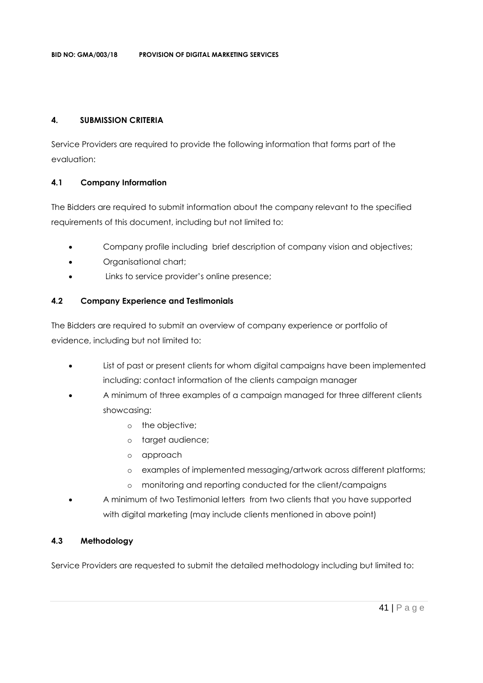#### **4. SUBMISSION CRITERIA**

Service Providers are required to provide the following information that forms part of the evaluation:

## **4.1 Company Information**

The Bidders are required to submit information about the company relevant to the specified requirements of this document, including but not limited to:

- Company profile including brief description of company vision and objectives;
- Organisational chart;
- Links to service provider's online presence;

## **4.2 Company Experience and Testimonials**

The Bidders are required to submit an overview of company experience or portfolio of evidence, including but not limited to:

- List of past or present clients for whom digital campaigns have been implemented including: contact information of the clients campaign manager
- A minimum of three examples of a campaign managed for three different clients showcasing:
	- o the objective;
	- o target audience;
	- o approach
	- o examples of implemented messaging/artwork across different platforms;
	- o monitoring and reporting conducted for the client/campaigns
- A minimum of two Testimonial letters from two clients that you have supported with digital marketing (may include clients mentioned in above point)

## **4.3 Methodology**

Service Providers are requested to submit the detailed methodology including but limited to: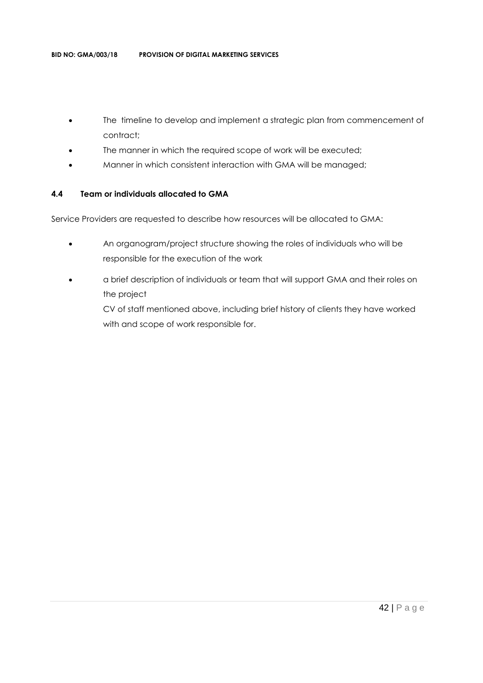- The timeline to develop and implement a strategic plan from commencement of contract;
- The manner in which the required scope of work will be executed;
- Manner in which consistent interaction with GMA will be managed;

#### **4.4 Team or individuals allocated to GMA**

Service Providers are requested to describe how resources will be allocated to GMA:

- An organogram/project structure showing the roles of individuals who will be responsible for the execution of the work
- a brief description of individuals or team that will support GMA and their roles on the project

CV of staff mentioned above, including brief history of clients they have worked with and scope of work responsible for.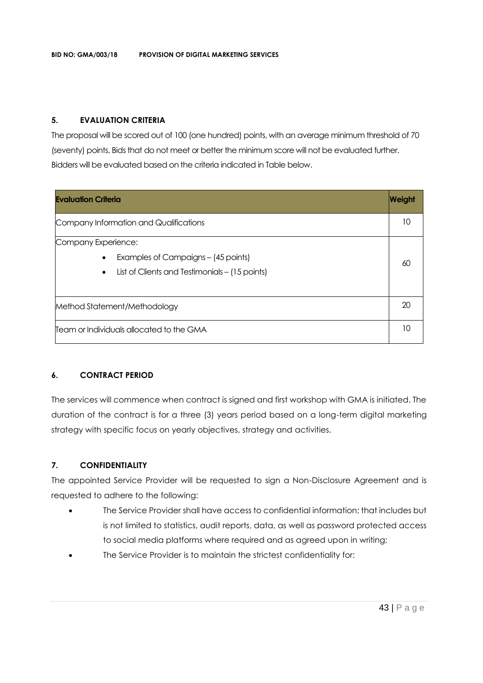### **5. EVALUATION CRITERIA**

The proposal will be scored out of 100 (one hundred) points, with an average minimum threshold of 70 (seventy) points. Bids that do not meet or better the minimum score will not be evaluated further. Bidders will be evaluated based on the criteria indicated in Table below.

| <b>Evaluation Criteria</b>                                                                                                             | Weight |
|----------------------------------------------------------------------------------------------------------------------------------------|--------|
| Company Information and Qualifications                                                                                                 | 10     |
| Company Experience:<br>Examples of Campaigns - (45 points)<br>$\bullet$<br>List of Clients and Testimonials – (15 points)<br>$\bullet$ | 60     |
| Method Statement/Methodology                                                                                                           | 20     |
| Team or Individuals allocated to the GMA                                                                                               | 10     |

## **6. CONTRACT PERIOD**

The services will commence when contract is signed and first workshop with GMA is initiated. The duration of the contract is for a three (3) years period based on a long-term digital marketing strategy with specific focus on yearly objectives, strategy and activities.

## **7. CONFIDENTIALITY**

The appointed Service Provider will be requested to sign a Non-Disclosure Agreement and is requested to adhere to the following:

- The Service Provider shall have access to confidential information; that includes but is not limited to statistics, audit reports, data, as well as password protected access to social media platforms where required and as agreed upon in writing;
- The Service Provider is to maintain the strictest confidentiality for: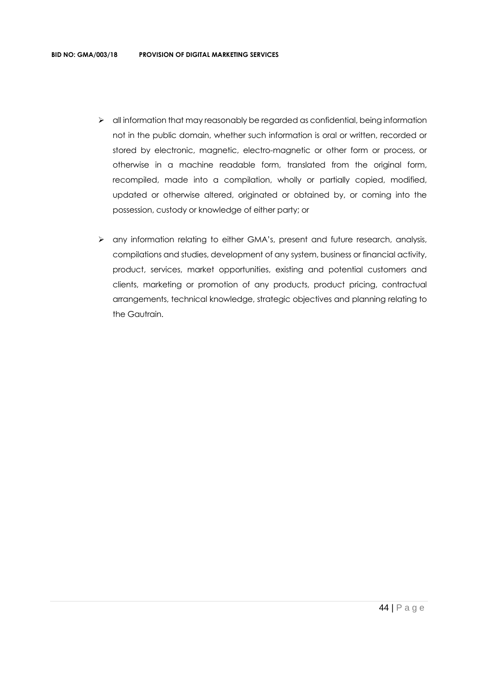- $\triangleright$  all information that may reasonably be regarded as confidential, being information not in the public domain, whether such information is oral or written, recorded or stored by electronic, magnetic, electro-magnetic or other form or process, or otherwise in a machine readable form, translated from the original form, recompiled, made into a compilation, wholly or partially copied, modified, updated or otherwise altered, originated or obtained by, or coming into the possession, custody or knowledge of either party; or
- ➢ any information relating to either GMA's, present and future research, analysis, compilations and studies, development of any system, business or financial activity, product, services, market opportunities, existing and potential customers and clients, marketing or promotion of any products, product pricing, contractual arrangements, technical knowledge, strategic objectives and planning relating to the Gautrain.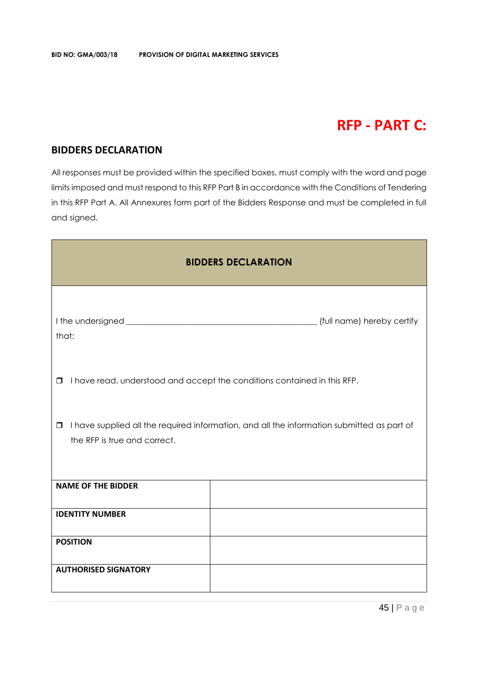# **RFP - PART C:**

## **BIDDERS DECLARATION**

All responses must be provided within the specified boxes, must comply with the word and page limits imposed and must respond to this RFP Part B in accordance with the Conditions of Tendering in this RFP Part A. All Annexures form part of the Bidders Response and must be completed in full and signed.

| <b>BIDDERS DECLARATION</b>                                                                                                           |                                                                          |  |  |  |  |
|--------------------------------------------------------------------------------------------------------------------------------------|--------------------------------------------------------------------------|--|--|--|--|
| that:                                                                                                                                |                                                                          |  |  |  |  |
| $\Box$                                                                                                                               | I have read, understood and accept the conditions contained in this RFP. |  |  |  |  |
| I have supplied all the required information, and all the information submitted as part of<br>$\Box$<br>the RFP is true and correct. |                                                                          |  |  |  |  |
| <b>NAME OF THE BIDDER</b>                                                                                                            |                                                                          |  |  |  |  |
| <b>IDENTITY NUMBER</b>                                                                                                               |                                                                          |  |  |  |  |
| <b>POSITION</b>                                                                                                                      |                                                                          |  |  |  |  |
| <b>AUTHORISED SIGNATORY</b>                                                                                                          |                                                                          |  |  |  |  |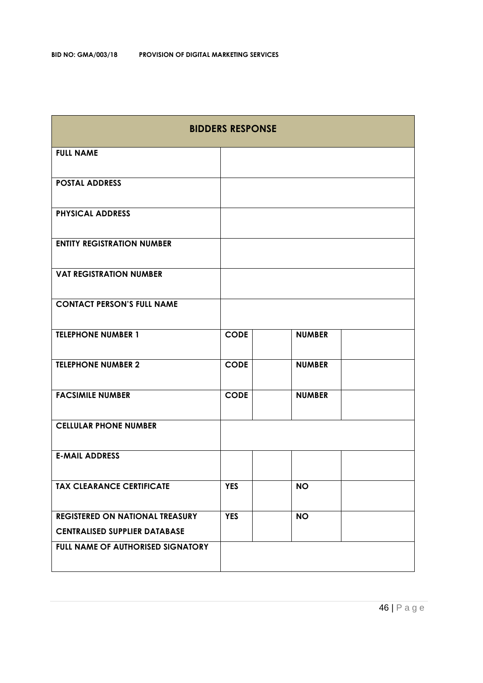| <b>BIDDERS RESPONSE</b>                                                 |             |               |  |
|-------------------------------------------------------------------------|-------------|---------------|--|
| <b>FULL NAME</b>                                                        |             |               |  |
| <b>POSTAL ADDRESS</b>                                                   |             |               |  |
| <b>PHYSICAL ADDRESS</b>                                                 |             |               |  |
| <b>ENTITY REGISTRATION NUMBER</b>                                       |             |               |  |
| <b>VAT REGISTRATION NUMBER</b>                                          |             |               |  |
| <b>CONTACT PERSON'S FULL NAME</b>                                       |             |               |  |
| <b>TELEPHONE NUMBER 1</b>                                               | <b>CODE</b> | <b>NUMBER</b> |  |
| <b>TELEPHONE NUMBER 2</b>                                               | <b>CODE</b> | <b>NUMBER</b> |  |
| <b>FACSIMILE NUMBER</b>                                                 | <b>CODE</b> | <b>NUMBER</b> |  |
| <b>CELLULAR PHONE NUMBER</b>                                            |             |               |  |
| <b>E-MAIL ADDRESS</b>                                                   |             |               |  |
| <b>TAX CLEARANCE CERTIFICATE</b>                                        | <b>YES</b>  | <b>NO</b>     |  |
| REGISTERED ON NATIONAL TREASURY<br><b>CENTRALISED SUPPLIER DATABASE</b> | <b>YES</b>  | <b>NO</b>     |  |
| FULL NAME OF AUTHORISED SIGNATORY                                       |             |               |  |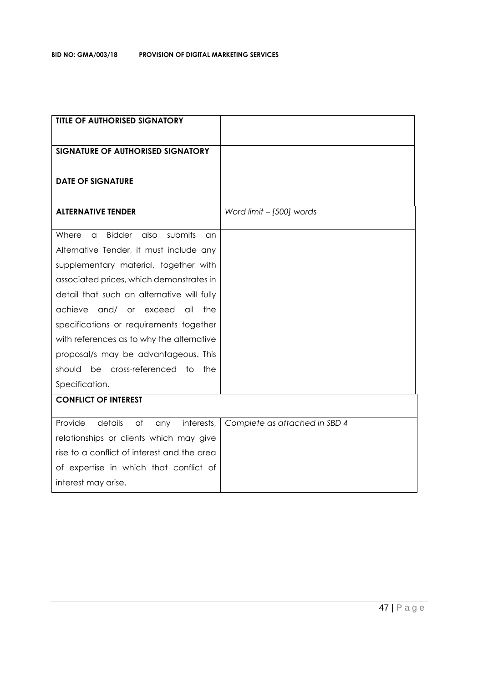| <b>TITLE OF AUTHORISED SIGNATORY</b>                 |                               |
|------------------------------------------------------|-------------------------------|
|                                                      |                               |
| SIGNATURE OF AUTHORISED SIGNATORY                    |                               |
|                                                      |                               |
| <b>DATE OF SIGNATURE</b>                             |                               |
|                                                      |                               |
| <b>ALTERNATIVE TENDER</b>                            | Word limit - [500] words      |
| <b>Bidder</b><br>submits<br>Where<br>also<br>a<br>an |                               |
| Alternative Tender, it must include any              |                               |
| supplementary material, together with                |                               |
| associated prices, which demonstrates in             |                               |
| detail that such an alternative will fully           |                               |
| achieve<br>and/ or exceed<br>all<br>the              |                               |
| specifications or requirements together              |                               |
| with references as to why the alternative            |                               |
| proposal/s may be advantageous. This                 |                               |
| be cross-referenced to<br>should<br>the              |                               |
| Specification.                                       |                               |
| <b>CONFLICT OF INTEREST</b>                          |                               |
| Provide<br>details<br>of<br>interests,<br>any        | Complete as attached in SBD 4 |
| relationships or clients which may give              |                               |
| rise to a conflict of interest and the area          |                               |
| of expertise in which that conflict of               |                               |
| interest may arise.                                  |                               |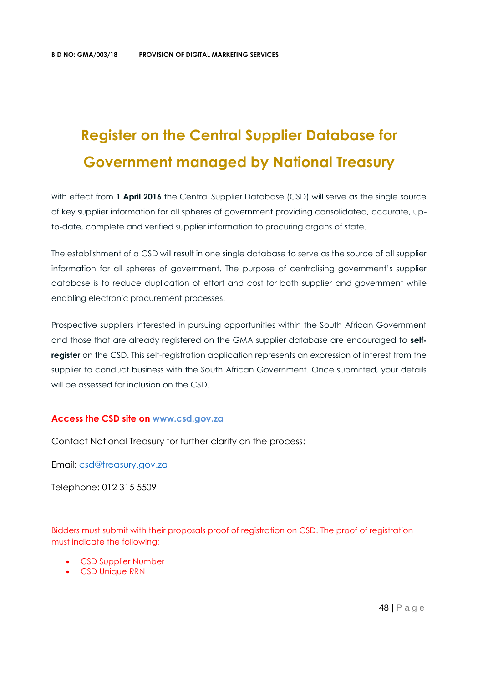# **Register on the Central Supplier Database for Government managed by National Treasury**

with effect from 1 April 2016 the Central Supplier Database (CSD) will serve as the single source of key supplier information for all spheres of government providing consolidated, accurate, upto-date, complete and verified supplier information to procuring organs of state.

The establishment of a CSD will result in one single database to serve as the source of all supplier information for all spheres of government. The purpose of centralising government's supplier database is to reduce duplication of effort and cost for both supplier and government while enabling electronic procurement processes.

Prospective suppliers interested in pursuing opportunities within the South African Government and those that are already registered on the GMA supplier database are encouraged to **selfregister** on the CSD. This self-registration application represents an expression of interest from the supplier to conduct business with the South African Government. Once submitted, your details will be assessed for inclusion on the CSD.

#### **Access the CSD site on [www.csd.gov.za](http://www.csd.gov.za/)**

Contact National Treasury for further clarity on the process:

Email: [csd@treasury.gov.za](mailto:csd@treasury.gov.za)

Telephone: 012 315 5509

Bidders must submit with their proposals proof of registration on CSD. The proof of registration must indicate the following:

- CSD Supplier Number
- CSD Unique RRN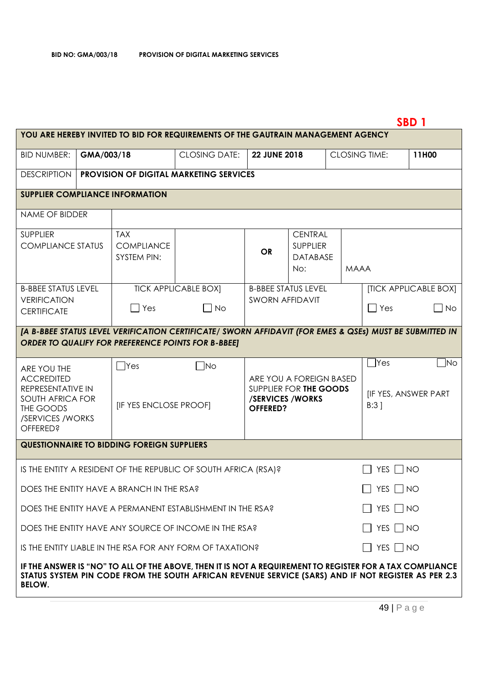# **SBD 1**

| <b>BID NUMBER:</b><br><b>CLOSING DATE:</b><br>GMA/003/18<br><b>22 JUNE 2018</b><br><b>CLOSING TIME:</b><br>11H00<br><b>DESCRIPTION</b><br><b>PROVISION OF DIGITAL MARKETING SERVICES</b><br><b>SUPPLIER COMPLIANCE INFORMATION</b><br><b>NAME OF BIDDER</b><br><b>TAX</b><br><b>CENTRAL</b><br><b>SUPPLIER</b><br><b>COMPLIANCE STATUS</b><br><b>COMPLIANCE</b><br><b>SUPPLIER</b><br><b>OR</b><br><b>SYSTEM PIN:</b><br><b>DATABASE</b><br>No:<br><b>MAAA</b><br><b>TICK APPLICABLE BOX]</b><br><b>[TICK APPLICABLE BOX]</b><br><b>B-BBEE STATUS LEVEL</b><br><b>B-BBEE STATUS LEVEL</b><br><b>VERIFICATION</b><br><b>SWORN AFFIDAVIT</b><br>$\blacksquare$ Yes<br>No<br>Yes<br>$\overline{\phantom{a}}$ No<br>$\mathsf{L}$<br><b>CERTIFICATE</b><br>[A B-BBEE STATUS LEVEL VERIFICATION CERTIFICATE/ SWORN AFFIDAVIT (FOR EMES & QSEs) MUST BE SUBMITTED IN<br><b>ORDER TO QUALIFY FOR PREFERENCE POINTS FOR B-BBEE]</b><br>]Yes<br>$\neg$ No<br>$\sqcap$ Yes<br>$\blacksquare$ No<br>ARE YOU THE<br><b>ACCREDITED</b><br>ARE YOU A FOREIGN BASED<br>REPRESENTATIVE IN<br>SUPPLIER FOR THE GOODS<br><b>IF YES, ANSWER PART</b><br><b>SOUTH AFRICA FOR</b><br>/SERVICES/WORKS<br>$B:3$ ]<br><b>[IF YES ENCLOSE PROOF]</b><br>THE GOODS<br><b>OFFERED?</b><br>/SERVICES / WORKS<br><b>OFFERED?</b><br><b>QUESTIONNAIRE TO BIDDING FOREIGN SUPPLIERS</b><br>YES $\Box$ NO<br>IS THE ENTITY A RESIDENT OF THE REPUBLIC OF SOUTH AFRICA (RSA)?<br>YES $\Box$ NO<br>DOES THE ENTITY HAVE A BRANCH IN THE RSA?<br>$\Box$ YES $\Box$ NO<br>DOES THE ENTITY HAVE A PERMANENT ESTABLISHMENT IN THE RSA?<br>$\Box$ YES $\Box$ NO<br>DOES THE ENTITY HAVE ANY SOURCE OF INCOME IN THE RSA?<br>$\Box$ YES $\Box$ NO<br>IS THE ENTITY LIABLE IN THE RSA FOR ANY FORM OF TAXATION?<br>STATUS SYSTEM PIN CODE FROM THE SOUTH AFRICAN REVENUE SERVICE (SARS) AND IF NOT REGISTER AS PER 2.3<br><b>BELOW.</b> | YOU ARE HEREBY INVITED TO BID FOR REQUIREMENTS OF THE GAUTRAIN MANAGEMENT AGENCY                         |  |  |  |  |  |  |  |
|-----------------------------------------------------------------------------------------------------------------------------------------------------------------------------------------------------------------------------------------------------------------------------------------------------------------------------------------------------------------------------------------------------------------------------------------------------------------------------------------------------------------------------------------------------------------------------------------------------------------------------------------------------------------------------------------------------------------------------------------------------------------------------------------------------------------------------------------------------------------------------------------------------------------------------------------------------------------------------------------------------------------------------------------------------------------------------------------------------------------------------------------------------------------------------------------------------------------------------------------------------------------------------------------------------------------------------------------------------------------------------------------------------------------------------------------------------------------------------------------------------------------------------------------------------------------------------------------------------------------------------------------------------------------------------------------------------------------------------------------------------------------------------------------------------------------------------------------------------------------------------------------------|----------------------------------------------------------------------------------------------------------|--|--|--|--|--|--|--|
|                                                                                                                                                                                                                                                                                                                                                                                                                                                                                                                                                                                                                                                                                                                                                                                                                                                                                                                                                                                                                                                                                                                                                                                                                                                                                                                                                                                                                                                                                                                                                                                                                                                                                                                                                                                                                                                                                               |                                                                                                          |  |  |  |  |  |  |  |
|                                                                                                                                                                                                                                                                                                                                                                                                                                                                                                                                                                                                                                                                                                                                                                                                                                                                                                                                                                                                                                                                                                                                                                                                                                                                                                                                                                                                                                                                                                                                                                                                                                                                                                                                                                                                                                                                                               |                                                                                                          |  |  |  |  |  |  |  |
|                                                                                                                                                                                                                                                                                                                                                                                                                                                                                                                                                                                                                                                                                                                                                                                                                                                                                                                                                                                                                                                                                                                                                                                                                                                                                                                                                                                                                                                                                                                                                                                                                                                                                                                                                                                                                                                                                               |                                                                                                          |  |  |  |  |  |  |  |
|                                                                                                                                                                                                                                                                                                                                                                                                                                                                                                                                                                                                                                                                                                                                                                                                                                                                                                                                                                                                                                                                                                                                                                                                                                                                                                                                                                                                                                                                                                                                                                                                                                                                                                                                                                                                                                                                                               |                                                                                                          |  |  |  |  |  |  |  |
|                                                                                                                                                                                                                                                                                                                                                                                                                                                                                                                                                                                                                                                                                                                                                                                                                                                                                                                                                                                                                                                                                                                                                                                                                                                                                                                                                                                                                                                                                                                                                                                                                                                                                                                                                                                                                                                                                               |                                                                                                          |  |  |  |  |  |  |  |
|                                                                                                                                                                                                                                                                                                                                                                                                                                                                                                                                                                                                                                                                                                                                                                                                                                                                                                                                                                                                                                                                                                                                                                                                                                                                                                                                                                                                                                                                                                                                                                                                                                                                                                                                                                                                                                                                                               |                                                                                                          |  |  |  |  |  |  |  |
|                                                                                                                                                                                                                                                                                                                                                                                                                                                                                                                                                                                                                                                                                                                                                                                                                                                                                                                                                                                                                                                                                                                                                                                                                                                                                                                                                                                                                                                                                                                                                                                                                                                                                                                                                                                                                                                                                               |                                                                                                          |  |  |  |  |  |  |  |
|                                                                                                                                                                                                                                                                                                                                                                                                                                                                                                                                                                                                                                                                                                                                                                                                                                                                                                                                                                                                                                                                                                                                                                                                                                                                                                                                                                                                                                                                                                                                                                                                                                                                                                                                                                                                                                                                                               |                                                                                                          |  |  |  |  |  |  |  |
|                                                                                                                                                                                                                                                                                                                                                                                                                                                                                                                                                                                                                                                                                                                                                                                                                                                                                                                                                                                                                                                                                                                                                                                                                                                                                                                                                                                                                                                                                                                                                                                                                                                                                                                                                                                                                                                                                               |                                                                                                          |  |  |  |  |  |  |  |
|                                                                                                                                                                                                                                                                                                                                                                                                                                                                                                                                                                                                                                                                                                                                                                                                                                                                                                                                                                                                                                                                                                                                                                                                                                                                                                                                                                                                                                                                                                                                                                                                                                                                                                                                                                                                                                                                                               |                                                                                                          |  |  |  |  |  |  |  |
|                                                                                                                                                                                                                                                                                                                                                                                                                                                                                                                                                                                                                                                                                                                                                                                                                                                                                                                                                                                                                                                                                                                                                                                                                                                                                                                                                                                                                                                                                                                                                                                                                                                                                                                                                                                                                                                                                               |                                                                                                          |  |  |  |  |  |  |  |
|                                                                                                                                                                                                                                                                                                                                                                                                                                                                                                                                                                                                                                                                                                                                                                                                                                                                                                                                                                                                                                                                                                                                                                                                                                                                                                                                                                                                                                                                                                                                                                                                                                                                                                                                                                                                                                                                                               |                                                                                                          |  |  |  |  |  |  |  |
|                                                                                                                                                                                                                                                                                                                                                                                                                                                                                                                                                                                                                                                                                                                                                                                                                                                                                                                                                                                                                                                                                                                                                                                                                                                                                                                                                                                                                                                                                                                                                                                                                                                                                                                                                                                                                                                                                               |                                                                                                          |  |  |  |  |  |  |  |
|                                                                                                                                                                                                                                                                                                                                                                                                                                                                                                                                                                                                                                                                                                                                                                                                                                                                                                                                                                                                                                                                                                                                                                                                                                                                                                                                                                                                                                                                                                                                                                                                                                                                                                                                                                                                                                                                                               |                                                                                                          |  |  |  |  |  |  |  |
|                                                                                                                                                                                                                                                                                                                                                                                                                                                                                                                                                                                                                                                                                                                                                                                                                                                                                                                                                                                                                                                                                                                                                                                                                                                                                                                                                                                                                                                                                                                                                                                                                                                                                                                                                                                                                                                                                               |                                                                                                          |  |  |  |  |  |  |  |
|                                                                                                                                                                                                                                                                                                                                                                                                                                                                                                                                                                                                                                                                                                                                                                                                                                                                                                                                                                                                                                                                                                                                                                                                                                                                                                                                                                                                                                                                                                                                                                                                                                                                                                                                                                                                                                                                                               | IF THE ANSWER IS "NO" TO ALL OF THE ABOVE, THEN IT IS NOT A REQUIREMENT TO REGISTER FOR A TAX COMPLIANCE |  |  |  |  |  |  |  |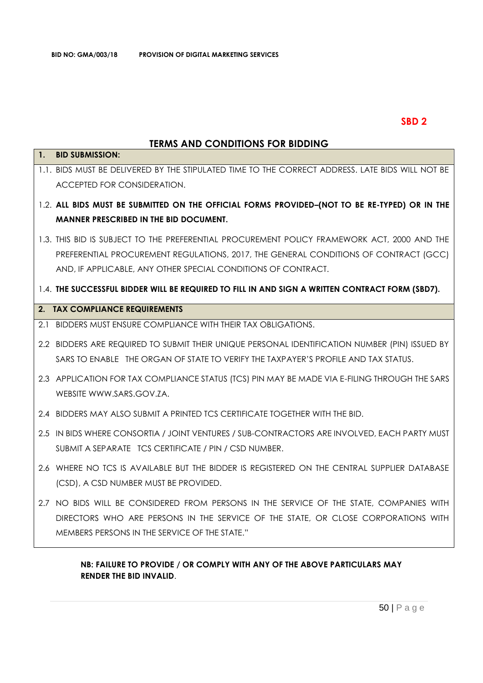## **SBD 2**

## **TERMS AND CONDITIONS FOR BIDDING**

| 1.             | טווששוט ווטוויטווטוואן טווא שווא<br><b>BID SUBMISSION:</b>                                       |
|----------------|--------------------------------------------------------------------------------------------------|
|                |                                                                                                  |
|                | 1.1. BIDS MUST BE DELIVERED BY THE STIPULATED TIME TO THE CORRECT ADDRESS. LATE BIDS WILL NOT BE |
|                | ACCEPTED FOR CONSIDERATION.                                                                      |
|                |                                                                                                  |
|                | 1.2. ALL BIDS MUST BE SUBMITTED ON THE OFFICIAL FORMS PROVIDED-(NOT TO BE RE-TYPED) OR IN THE    |
|                | MANNER PRESCRIBED IN THE BID DOCUMENT.                                                           |
|                | 1.3. THIS BID IS SUBJECT TO THE PREFERENTIAL PROCUREMENT POLICY FRAMEWORK ACT, 2000 AND THE      |
|                |                                                                                                  |
|                | PREFERENTIAL PROCUREMENT REGULATIONS, 2017, THE GENERAL CONDITIONS OF CONTRACT (GCC)             |
|                | AND, IF APPLICABLE, ANY OTHER SPECIAL CONDITIONS OF CONTRACT.                                    |
|                | 1.4. THE SUCCESSFUL BIDDER WILL BE REQUIRED TO FILL IN AND SIGN A WRITTEN CONTRACT FORM (SBD7).  |
|                |                                                                                                  |
| 2 <sub>1</sub> | <b>TAX COMPLIANCE REQUIREMENTS</b>                                                               |
| 2.1            | BIDDERS MUST ENSURE COMPLIANCE WITH THEIR TAX OBLIGATIONS.                                       |
|                |                                                                                                  |
|                | 2.2 BIDDERS ARE REQUIRED TO SUBMIT THEIR UNIQUE PERSONAL IDENTIFICATION NUMBER (PIN) ISSUED BY   |
|                | SARS TO ENABLE THE ORGAN OF STATE TO VERIFY THE TAXPAYER'S PROFILE AND TAX STATUS.               |
|                | 2.3 APPLICATION FOR TAX COMPLIANCE STATUS (TCS) PIN MAY BE MADE VIA E-FILING THROUGH THE SARS    |
|                | WEBSITE WWW.SARS.GOV.ZA.                                                                         |
|                |                                                                                                  |
|                | 2.4 BIDDERS MAY ALSO SUBMIT A PRINTED TCS CERTIFICATE TOGETHER WITH THE BID.                     |
|                |                                                                                                  |
|                | 2.5 IN BIDS WHERE CONSORTIA / JOINT VENTURES / SUB-CONTRACTORS ARE INVOLVED, EACH PARTY MUST     |
|                | SUBMIT A SEPARATE TCS CERTIFICATE / PIN / CSD NUMBER.                                            |
|                | 2.6 WHERE NO TCS IS AVAILABLE BUT THE BIDDER IS REGISTERED ON THE CENTRAL SUPPLIER DATABASE      |
|                |                                                                                                  |
|                | (CSD), A CSD NUMBER MUST BE PROVIDED.                                                            |
|                | 2.7 NO BIDS WILL BE CONSIDERED FROM PERSONS IN THE SERVICE OF THE STATE, COMPANIES WITH          |
|                | DIRECTORS WHO ARE PERSONS IN THE SERVICE OF THE STATE, OR CLOSE CORPORATIONS WITH                |
|                |                                                                                                  |
|                | MEMBERS PERSONS IN THE SERVICE OF THE STATE."                                                    |
|                |                                                                                                  |

## **NB: FAILURE TO PROVIDE / OR COMPLY WITH ANY OF THE ABOVE PARTICULARS MAY RENDER THE BID INVALID**.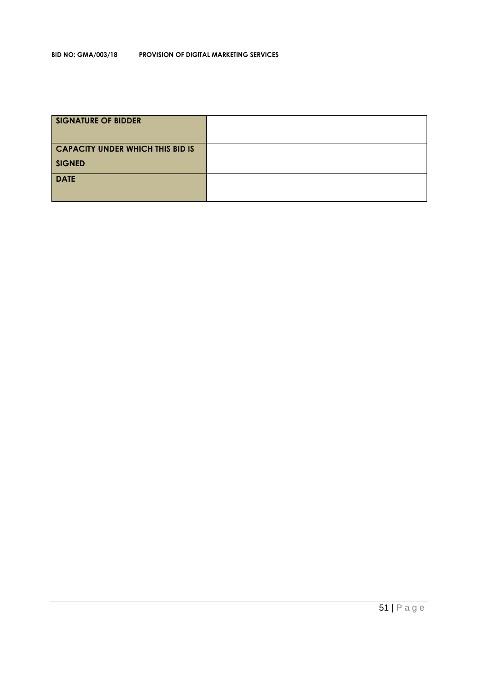| <b>SIGNATURE OF BIDDER</b>              |  |
|-----------------------------------------|--|
| <b>CAPACITY UNDER WHICH THIS BID IS</b> |  |
| <b>SIGNED</b>                           |  |
| <b>DATE</b>                             |  |
|                                         |  |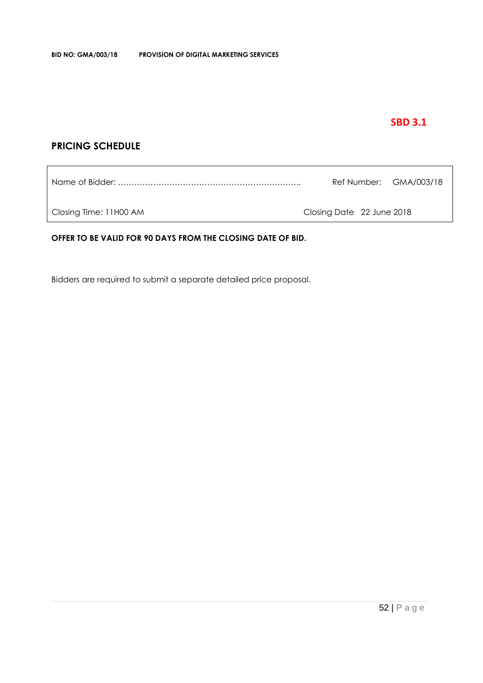## **SBD 3.1**

## **PRICING SCHEDULE**

|                        |                           | Ref Number: GMA/003/18 |
|------------------------|---------------------------|------------------------|
| Closing Time: 11H00 AM | Closing Date 22 June 2018 |                        |

#### **OFFER TO BE VALID FOR 90 DAYS FROM THE CLOSING DATE OF BID.**

Bidders are required to submit a separate detailed price proposal.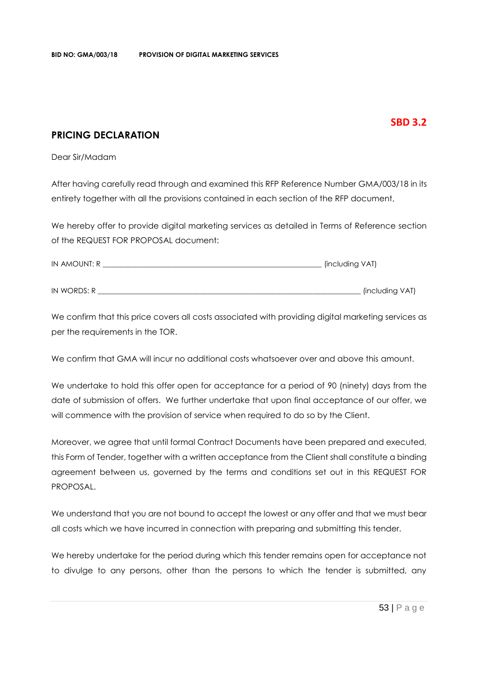## **SBD 3.2**

## **PRICING DECLARATION**

Dear Sir/Madam

After having carefully read through and examined this RFP Reference Number GMA/003/18 in its entirety together with all the provisions contained in each section of the RFP document,

We hereby offer to provide digital marketing services as detailed in Terms of Reference section of the REQUEST FOR PROPOSAL document:

| IN AMOUNT: R | (including VAT) |
|--------------|-----------------|
|              |                 |
| IN WORDS: R  | (including VAT) |

We confirm that this price covers all costs associated with providing digital marketing services as per the requirements in the TOR.

We confirm that GMA will incur no additional costs whatsoever over and above this amount.

We undertake to hold this offer open for acceptance for a period of 90 (ninety) days from the date of submission of offers. We further undertake that upon final acceptance of our offer, we will commence with the provision of service when required to do so by the Client.

Moreover, we agree that until formal Contract Documents have been prepared and executed, this Form of Tender, together with a written acceptance from the Client shall constitute a binding agreement between us, governed by the terms and conditions set out in this REQUEST FOR PROPOSAL.

We understand that you are not bound to accept the lowest or any offer and that we must bear all costs which we have incurred in connection with preparing and submitting this tender.

We hereby undertake for the period during which this tender remains open for acceptance not to divulge to any persons, other than the persons to which the tender is submitted, any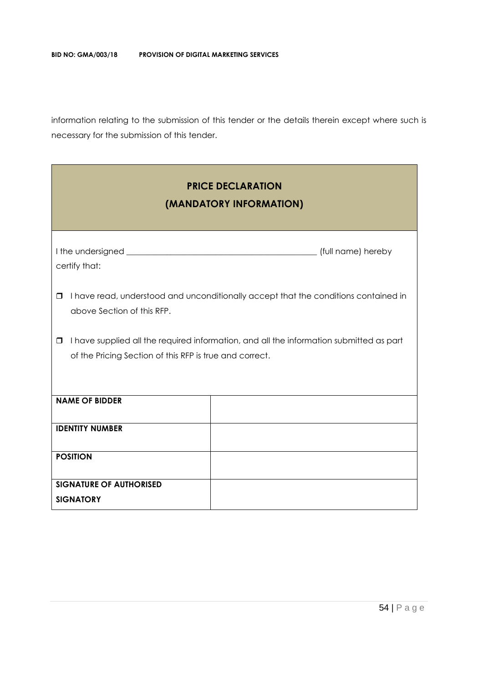information relating to the submission of this tender or the details therein except where such is necessary for the submission of this tender.

# **PRICE DECLARATION (MANDATORY INFORMATION)**

| certify that:                                                                                                                                           | (full name) hereby                                                                  |  |  |  |
|---------------------------------------------------------------------------------------------------------------------------------------------------------|-------------------------------------------------------------------------------------|--|--|--|
| □<br>above Section of this RFP.                                                                                                                         | I have read, understood and unconditionally accept that the conditions contained in |  |  |  |
| I have supplied all the required information, and all the information submitted as part<br>□<br>of the Pricing Section of this RFP is true and correct. |                                                                                     |  |  |  |
| <b>NAME OF BIDDER</b>                                                                                                                                   |                                                                                     |  |  |  |
| <b>IDENTITY NUMBER</b>                                                                                                                                  |                                                                                     |  |  |  |
| <b>POSITION</b>                                                                                                                                         |                                                                                     |  |  |  |
| <b>SIGNATURE OF AUTHORISED</b>                                                                                                                          |                                                                                     |  |  |  |
| <b>SIGNATORY</b>                                                                                                                                        |                                                                                     |  |  |  |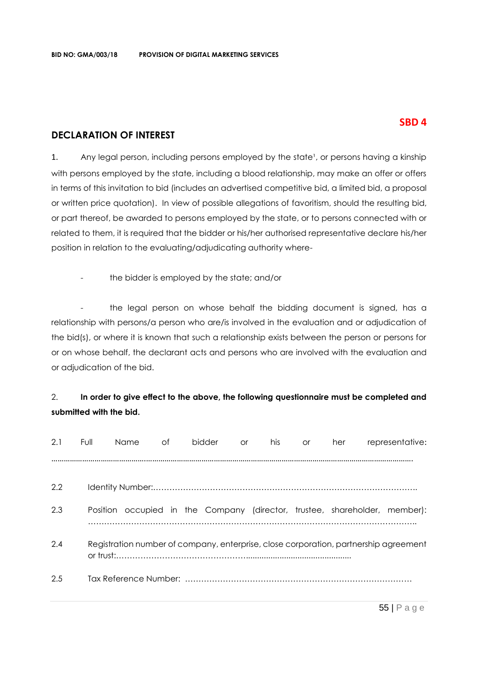## **SBD 4**

## **DECLARATION OF INTEREST**

1. Any legal person, including persons employed by the state<sup>1</sup>, or persons having a kinship with persons employed by the state, including a blood relationship, may make an offer or offers in terms of this invitation to bid (includes an advertised competitive bid, a limited bid, a proposal or written price quotation). In view of possible allegations of favoritism, should the resulting bid, or part thereof, be awarded to persons employed by the state, or to persons connected with or related to them, it is required that the bidder or his/her authorised representative declare his/her position in relation to the evaluating/adjudicating authority where-

- the bidder is employed by the state; and/or

the legal person on whose behalf the bidding document is signed, has a relationship with persons/a person who are/is involved in the evaluation and or adjudication of the bid(s), or where it is known that such a relationship exists between the person or persons for or on whose behalf, the declarant acts and persons who are involved with the evaluation and or adjudication of the bid.

## 2. **In order to give effect to the above, the following questionnaire must be completed and submitted with the bid.**

| 2.1 | Full | Name | of | <b>bidder</b>                                                                        | or | his | <b>or</b> | her | representative: |
|-----|------|------|----|--------------------------------------------------------------------------------------|----|-----|-----------|-----|-----------------|
|     |      |      |    |                                                                                      |    |     |           |     |                 |
| 2.2 |      |      |    |                                                                                      |    |     |           |     |                 |
| 2.3 |      |      |    | Position occupied in the Company (director, trustee, shareholder, member):           |    |     |           |     |                 |
| 2.4 |      |      |    | Registration number of company, enterprise, close corporation, partnership agreement |    |     |           |     |                 |
| 2.5 |      |      |    |                                                                                      |    |     |           |     |                 |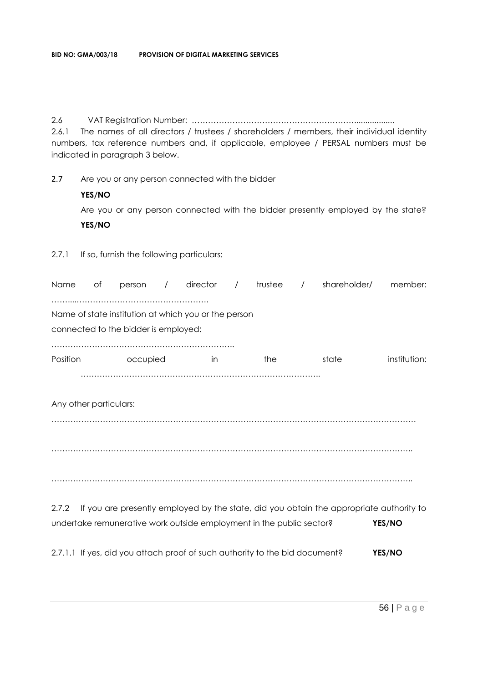2.6 VAT Registration Number: ……………………………………………………..................

2.6.1 The names of all directors / trustees / shareholders / members, their individual identity numbers, tax reference numbers and, if applicable, employee / PERSAL numbers must be indicated in paragraph 3 below.

2.7 Are you or any person connected with the bidder

#### **YES/NO**

Are you or any person connected with the bidder presently employed by the state? **YES/NO**

## 2.7.1 If so, furnish the following particulars:

| Name                   | Оf | person                               | $\overline{\phantom{a}}$ | director<br>$\overline{\phantom{a}}$                                 | trustee / | shareholder/                                                                            | member:      |
|------------------------|----|--------------------------------------|--------------------------|----------------------------------------------------------------------|-----------|-----------------------------------------------------------------------------------------|--------------|
|                        |    |                                      |                          |                                                                      |           |                                                                                         |              |
|                        |    |                                      |                          | Name of state institution at which you or the person                 |           |                                                                                         |              |
|                        |    | connected to the bidder is employed: |                          |                                                                      |           |                                                                                         |              |
|                        |    |                                      |                          |                                                                      |           |                                                                                         |              |
| Position               |    | occupied                             |                          | in                                                                   | the       | state                                                                                   | institution: |
|                        |    |                                      |                          |                                                                      |           |                                                                                         |              |
| Any other particulars: |    |                                      |                          |                                                                      |           |                                                                                         |              |
|                        |    |                                      |                          |                                                                      |           |                                                                                         |              |
|                        |    |                                      |                          |                                                                      |           |                                                                                         |              |
|                        |    |                                      |                          |                                                                      |           |                                                                                         |              |
|                        |    |                                      |                          |                                                                      |           |                                                                                         |              |
|                        |    |                                      |                          |                                                                      |           |                                                                                         |              |
|                        |    |                                      |                          |                                                                      |           |                                                                                         |              |
| 2.7.2                  |    |                                      |                          |                                                                      |           | If you are presently employed by the state, did you obtain the appropriate authority to |              |
|                        |    |                                      |                          | undertake remunerative work outside employment in the public sector? |           |                                                                                         | YES/NO       |

2.7.1.1 If yes, did you attach proof of such authority to the bid document? **YES/NO**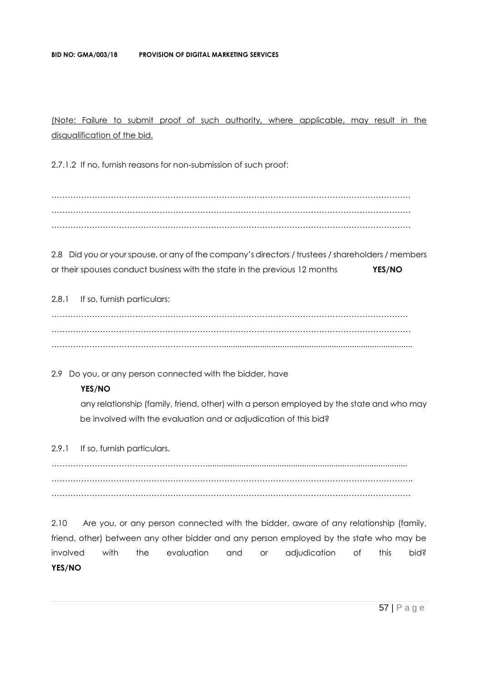(Note: Failure to submit proof of such authority, where applicable, may result in the disqualification of the bid.

2.7.1.2 If no, furnish reasons for non-submission of such proof:

……………………………………………………………………………………………………………………. ……………………………………………………………………………………………………………………. …………………………………………………………………………………………………………………….

2.8 Did you or your spouse, or any of the company's directors / trustees / shareholders / members or their spouses conduct business with the state in the previous 12 months **YES/NO**

2.8.1 If so, furnish particulars:

…………………………………………………………………………………………………………………… ……………………………………………………………………………………………………………………. ……………………………………………………….....................................................................................

2.9 Do you, or any person connected with the bidder, have

#### **YES/NO**

any relationship (family, friend, other) with a person employed by the state and who may be involved with the evaluation and or adjudication of this bid?

2.9.1 If so, furnish particulars.

………………………………………………….......................................................................................... . The contract of the contract of the contract of the contract of the contract of the contract of the contract of the contract of the contract of the contract of the contract of the contract of the contract of the contrac …………………………………………………………………………………………………………………….

2.10 Are you, or any person connected with the bidder, aware of any relationship (family, friend, other) between any other bidder and any person employed by the state who may be involved with the evaluation and or adjudication of this bid? **YES/NO**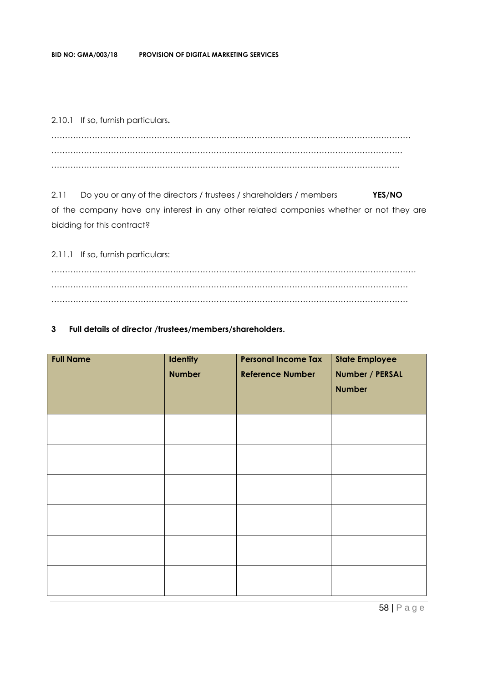2.10.1 If so, furnish particulars**.**

……………………………………………………………………………………………………………………. …………………………………………………………………………………………………………………. …………………………………………………………………………………………………………………

2.11 Do you or any of the directors / trustees / shareholders / members **YES/NO** of the company have any interest in any other related companies whether or not they are bidding for this contract?

2.11.1 If so, furnish particulars: ……………………………………………………………………………………………………………………… …………………………………………………………………………………………………………………… ……………………………………………………………………………………………………………………

#### **3 Full details of director /trustees/members/shareholders.**

| <b>Full Name</b> | Identity<br><b>Number</b> | <b>Personal Income Tax</b><br><b>Reference Number</b> | <b>State Employee</b><br>Number / PERSAL<br><b>Number</b> |
|------------------|---------------------------|-------------------------------------------------------|-----------------------------------------------------------|
|                  |                           |                                                       |                                                           |
|                  |                           |                                                       |                                                           |
|                  |                           |                                                       |                                                           |
|                  |                           |                                                       |                                                           |
|                  |                           |                                                       |                                                           |
|                  |                           |                                                       |                                                           |

58 | P a g e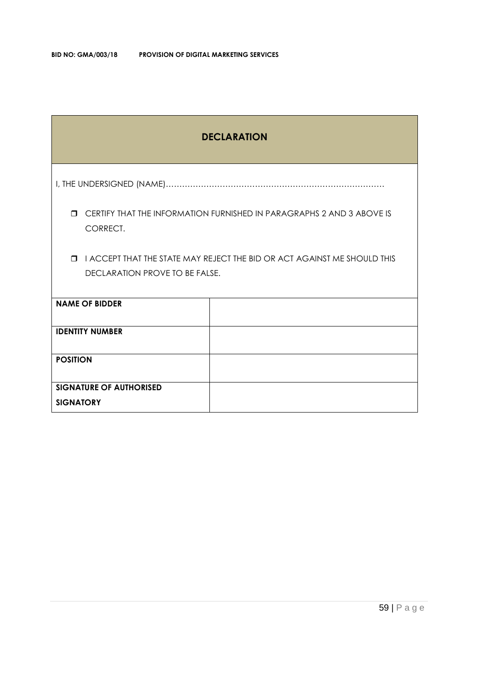| <b>DECLARATION</b>                                                                                                   |                                                                       |  |  |  |  |  |
|----------------------------------------------------------------------------------------------------------------------|-----------------------------------------------------------------------|--|--|--|--|--|
|                                                                                                                      |                                                                       |  |  |  |  |  |
| $\Box$<br>CORRECT.                                                                                                   | CERTIFY THAT THE INFORMATION FURNISHED IN PARAGRAPHS 2 AND 3 ABOVE IS |  |  |  |  |  |
| I ACCEPT THAT THE STATE MAY REJECT THE BID OR ACT AGAINST ME SHOULD THIS<br>$\Box$<br>DECLARATION PROVE TO BE FALSE. |                                                                       |  |  |  |  |  |
| <b>NAME OF BIDDER</b>                                                                                                |                                                                       |  |  |  |  |  |
| <b>IDENTITY NUMBER</b>                                                                                               |                                                                       |  |  |  |  |  |
| <b>POSITION</b>                                                                                                      |                                                                       |  |  |  |  |  |
| <b>SIGNATURE OF AUTHORISED</b><br><b>SIGNATORY</b>                                                                   |                                                                       |  |  |  |  |  |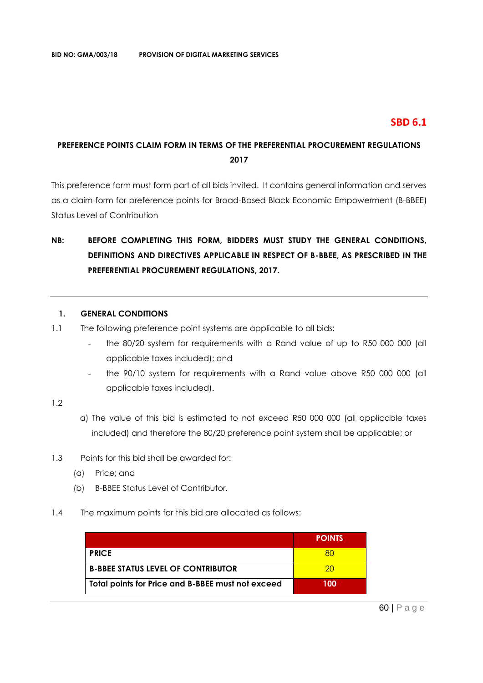## **SBD 6.1**

## **PREFERENCE POINTS CLAIM FORM IN TERMS OF THE PREFERENTIAL PROCUREMENT REGULATIONS 2017**

This preference form must form part of all bids invited. It contains general information and serves as a claim form for preference points for Broad-Based Black Economic Empowerment (B-BBEE) Status Level of Contribution

# **NB: BEFORE COMPLETING THIS FORM, BIDDERS MUST STUDY THE GENERAL CONDITIONS, DEFINITIONS AND DIRECTIVES APPLICABLE IN RESPECT OF B-BBEE, AS PRESCRIBED IN THE PREFERENTIAL PROCUREMENT REGULATIONS, 2017.**

#### **1. GENERAL CONDITIONS**

- 1.1 The following preference point systems are applicable to all bids:
	- the 80/20 system for requirements with a Rand value of up to R50 000 000 (all applicable taxes included); and
	- the 90/10 system for requirements with a Rand value above R50 000 000 (all applicable taxes included).

#### 1.2

- a) The value of this bid is estimated to not exceed R50 000 000 (all applicable taxes included) and therefore the 80/20 preference point system shall be applicable; or
- 1.3 Points for this bid shall be awarded for:
	- (a) Price; and
	- (b) B-BBEE Status Level of Contributor.
- 1.4 The maximum points for this bid are allocated as follows:

|                                                   | <b>POINTS</b> |
|---------------------------------------------------|---------------|
| <b>PRICE</b>                                      |               |
| <b>B-BBEE STATUS LEVEL OF CONTRIBUTOR</b>         | 20.           |
| Total points for Price and B-BBEE must not exceed | 100           |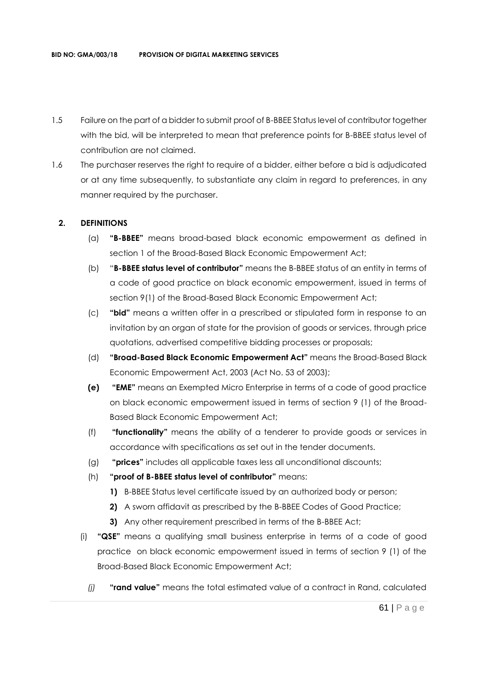- 1.5 Failure on the part of a bidder to submit proof of B-BBEE Status level of contributor together with the bid, will be interpreted to mean that preference points for B-BBEE status level of contribution are not claimed.
- 1.6 The purchaser reserves the right to require of a bidder, either before a bid is adjudicated or at any time subsequently, to substantiate any claim in regard to preferences, in any manner required by the purchaser.

#### **2. DEFINITIONS**

- (a) **"B-BBEE"** means broad-based black economic empowerment as defined in section 1 of the Broad-Based Black Economic Empowerment Act;
- (b) "**B-BBEE status level of contributor"** means the B-BBEE status of an entity in terms of a code of good practice on black economic empowerment, issued in terms of section 9(1) of the Broad-Based Black Economic Empowerment Act;
- (c) **"bid"** means a written offer in a prescribed or stipulated form in response to an invitation by an organ of state for the provision of goods or services, through price quotations, advertised competitive bidding processes or proposals;
- (d) **"Broad-Based Black Economic Empowerment Act"** means the Broad-Based Black Economic Empowerment Act, 2003 (Act No. 53 of 2003);
- **(e) "EME"** means an Exempted Micro Enterprise in terms of a code of good practice on black economic empowerment issued in terms of section 9 (1) of the Broad-Based Black Economic Empowerment Act;
- (f) **"functionality"** means the ability of a tenderer to provide goods or services in accordance with specifications as set out in the tender documents.
- (g) **"prices"** includes all applicable taxes less all unconditional discounts;
- (h) **"proof of B-BBEE status level of contributor"** means:
	- **1)** B-BBEE Status level certificate issued by an authorized body or person;
	- **2)** A sworn affidavit as prescribed by the B-BBEE Codes of Good Practice;
	- **3)** Any other requirement prescribed in terms of the B-BBEE Act;
- (i) **"QSE"** means a qualifying small business enterprise in terms of a code of good practice on black economic empowerment issued in terms of section 9 (1) of the Broad-Based Black Economic Empowerment Act;
	- *(j)* **"rand value"** means the total estimated value of a contract in Rand, calculated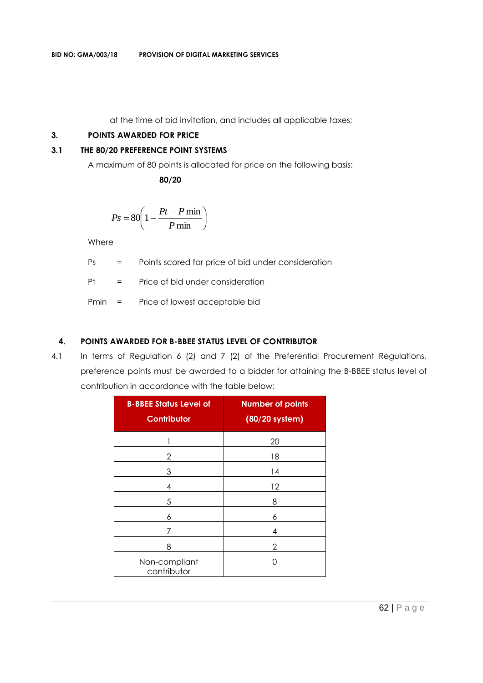at the time of bid invitation, and includes all applicable taxes;

#### **3. POINTS AWARDED FOR PRICE**

#### **3.1 THE 80/20 PREFERENCE POINT SYSTEMS**

A maximum of 80 points is allocated for price on the following basis:

 **80/20**

$$
Ps = 80 \left( 1 - \frac{Pt - P \min}{P \min} \right)
$$

Where

Ps = Points scored for price of bid under consideration

Pt = Price of bid under consideration

Pmin = Price of lowest acceptable bid

#### **4. POINTS AWARDED FOR B-BBEE STATUS LEVEL OF CONTRIBUTOR**

4.1 In terms of Regulation 6 (2) and 7 (2) of the Preferential Procurement Regulations, preference points must be awarded to a bidder for attaining the B-BBEE status level of contribution in accordance with the table below:

| <b>B-BBEE Status Level of</b><br><b>Contributor</b> | <b>Number of points</b><br>(80/20 system) |
|-----------------------------------------------------|-------------------------------------------|
|                                                     | 20                                        |
| 2                                                   | 18                                        |
| 3                                                   | 14                                        |
| 4                                                   | 12                                        |
| 5                                                   | 8                                         |
| 6                                                   | 6                                         |
|                                                     | 4                                         |
| 8                                                   | 2                                         |
| Non-compliant<br>contributor                        |                                           |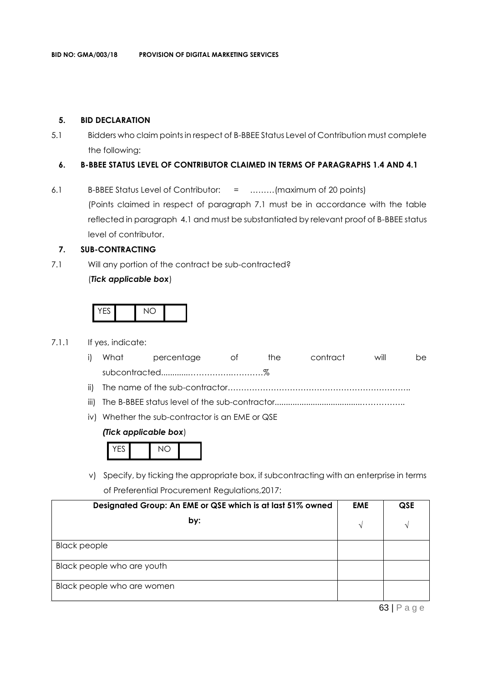#### **5. BID DECLARATION**

5.1 Bidders who claim points in respect of B-BBEE Status Level of Contribution must complete the following:

#### **6. B-BBEE STATUS LEVEL OF CONTRIBUTOR CLAIMED IN TERMS OF PARAGRAPHS 1.4 AND 4.1**

6.1 B-BBEE Status Level of Contributor: = ………(maximum of 20 points) (Points claimed in respect of paragraph 7.1 must be in accordance with the table reflected in paragraph 4.1 and must be substantiated by relevant proof of B-BBEE status level of contributor.

#### **7. SUB-CONTRACTING**

7.1 Will any portion of the contract be sub-contracted? (*Tick applicable box*)





- 7.1.1 If yes, indicate:
	- i) What percentage of the contract will be subcontracted............…………….…………%
	- ii) The name of the sub-contractor…………………………………………………………..
	- iii) The B-BBEE status level of the sub-contractor......................................……………..
	- iv) Whether the sub-contractor is an EME or QSE

#### *(Tick applicable box*)

| V <sub>0</sub> |  |  |
|----------------|--|--|
|----------------|--|--|

v) Specify, by ticking the appropriate box, if subcontracting with an enterprise in terms of Preferential Procurement Regulations,2017:

| Designated Group: An EME or QSE which is at last 51% owned | <b>EME</b> | <b>QSE</b>           |
|------------------------------------------------------------|------------|----------------------|
| by:                                                        |            | N                    |
| <b>Black people</b>                                        |            |                      |
| Black people who are youth                                 |            |                      |
| Black people who are women                                 |            |                      |
|                                                            |            | $\sim$ $\sim$ $\sim$ |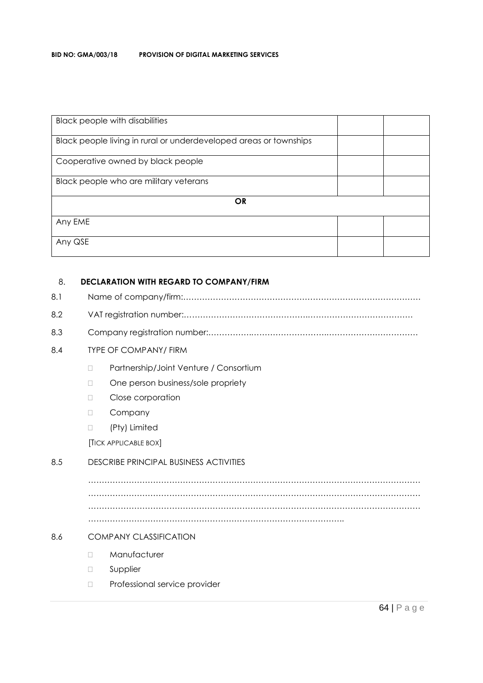| <b>Black people with disabilities</b>                             |  |  |  |  |
|-------------------------------------------------------------------|--|--|--|--|
| Black people living in rural or underdeveloped areas or townships |  |  |  |  |
| Cooperative owned by black people                                 |  |  |  |  |
| Black people who are military veterans                            |  |  |  |  |
| <b>OR</b>                                                         |  |  |  |  |
| Any EME                                                           |  |  |  |  |
| Any QSE                                                           |  |  |  |  |

#### 8. **DECLARATION WITH REGARD TO COMPANY/FIRM**

| 8.1 |  |
|-----|--|
|-----|--|

- 8.2 VAT registration number:……………………………………….…………………………………
- 8.3 Company registration number:…………….……………………….…………………………….

#### 8.4 TYPE OF COMPANY/ FIRM

- D Partnership/Joint Venture / Consortium
- □ One person business/sole propriety
- D Close corporation
- D Company
- (Pty) Limited

[TICK APPLICABLE BOX]

#### 8.5 DESCRIBE PRINCIPAL BUSINESS ACTIVITIES

…………………………………………………………………………………………………………… …………………………………………………………………………………………………………… …………………………………………………………………………………………………………… …………………………………………………………………………………..

#### 8.6 COMPANY CLASSIFICATION

- D Manufacturer
- D Supplier
- D Professional service provider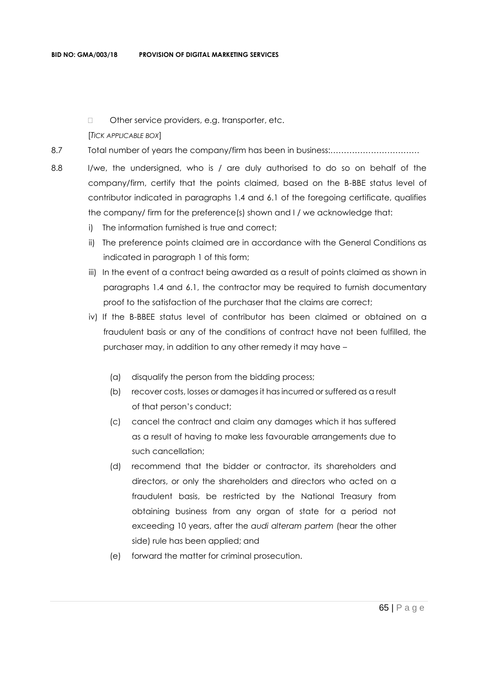□ Other service providers, e.g. transporter, etc.

#### [*TICK APPLICABLE BOX*]

- 8.7 Total number of years the company/firm has been in business:……………………………
- 8.8 I/we, the undersigned, who is / are duly authorised to do so on behalf of the company/firm, certify that the points claimed, based on the B-BBE status level of contributor indicated in paragraphs 1.4 and 6.1 of the foregoing certificate, qualifies the company/ firm for the preference(s) shown and I / we acknowledge that:
	- i) The information furnished is true and correct;
	- ii) The preference points claimed are in accordance with the General Conditions as indicated in paragraph 1 of this form;
	- iii) In the event of a contract being awarded as a result of points claimed as shown in paragraphs 1.4 and 6.1, the contractor may be required to furnish documentary proof to the satisfaction of the purchaser that the claims are correct;
	- iv) If the B-BBEE status level of contributor has been claimed or obtained on a fraudulent basis or any of the conditions of contract have not been fulfilled, the purchaser may, in addition to any other remedy it may have –
		- (a) disqualify the person from the bidding process;
		- (b) recover costs, losses or damages it has incurred or suffered as a result of that person's conduct;
		- (c) cancel the contract and claim any damages which it has suffered as a result of having to make less favourable arrangements due to such cancellation;
		- (d) recommend that the bidder or contractor, its shareholders and directors, or only the shareholders and directors who acted on a fraudulent basis, be restricted by the National Treasury from obtaining business from any organ of state for a period not exceeding 10 years, after the *audi alteram partem* (hear the other side) rule has been applied; and
		- (e) forward the matter for criminal prosecution.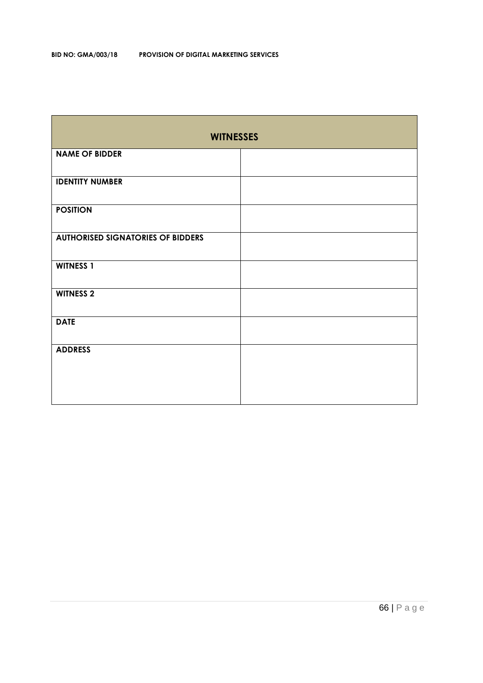| <b>WITNESSES</b>                         |  |  |  |  |  |
|------------------------------------------|--|--|--|--|--|
| <b>NAME OF BIDDER</b>                    |  |  |  |  |  |
| <b>IDENTITY NUMBER</b>                   |  |  |  |  |  |
| <b>POSITION</b>                          |  |  |  |  |  |
| <b>AUTHORISED SIGNATORIES OF BIDDERS</b> |  |  |  |  |  |
| <b>WITNESS 1</b>                         |  |  |  |  |  |
| <b>WITNESS 2</b>                         |  |  |  |  |  |
| <b>DATE</b>                              |  |  |  |  |  |
| <b>ADDRESS</b>                           |  |  |  |  |  |
|                                          |  |  |  |  |  |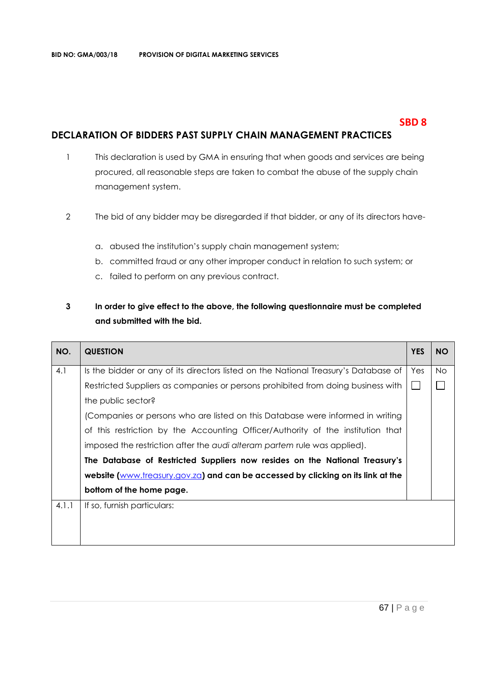## **SBD 8**

## **DECLARATION OF BIDDERS PAST SUPPLY CHAIN MANAGEMENT PRACTICES**

- 1 This declaration is used by GMA in ensuring that when goods and services are being procured, all reasonable steps are taken to combat the abuse of the supply chain management system.
- 2 The bid of any bidder may be disregarded if that bidder, or any of its directors have
	- a. abused the institution's supply chain management system;
	- b. committed fraud or any other improper conduct in relation to such system; or
	- c. failed to perform on any previous contract.

## **3 In order to give effect to the above, the following questionnaire must be completed and submitted with the bid.**

| NO.   | <b>QUESTION</b>                                                                     | <b>YES</b> | <b>NO</b> |  |  |
|-------|-------------------------------------------------------------------------------------|------------|-----------|--|--|
| 4.1   | Is the bidder or any of its directors listed on the National Treasury's Database of | Yes        | No.       |  |  |
|       | Restricted Suppliers as companies or persons prohibited from doing business with    |            |           |  |  |
|       | the public sector?                                                                  |            |           |  |  |
|       | (Companies or persons who are listed on this Database were informed in writing      |            |           |  |  |
|       | of this restriction by the Accounting Officer/Authority of the institution that     |            |           |  |  |
|       | imposed the restriction after the audi alteram partem rule was applied).            |            |           |  |  |
|       | The Database of Restricted Suppliers now resides on the National Treasury's         |            |           |  |  |
|       | website (www.treasury.gov.za) and can be accessed by clicking on its link at the    |            |           |  |  |
|       | bottom of the home page.                                                            |            |           |  |  |
| 4.1.1 | If so, furnish particulars:                                                         |            |           |  |  |
|       |                                                                                     |            |           |  |  |
|       |                                                                                     |            |           |  |  |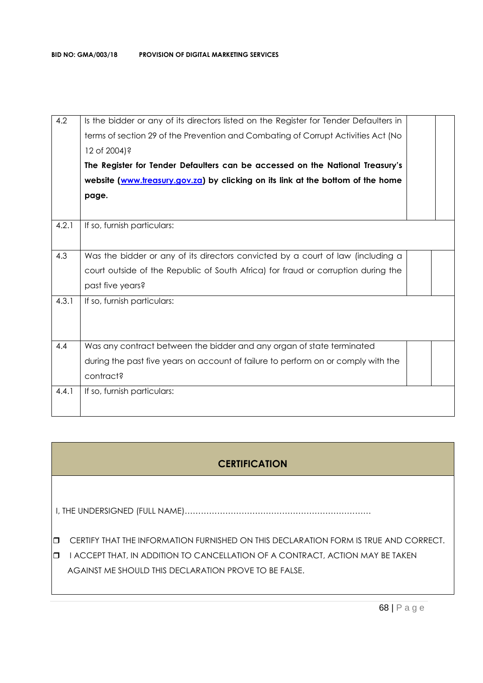| 4.2   | Is the bidder or any of its directors listed on the Register for Tender Defaulters in<br>terms of section 29 of the Prevention and Combating of Corrupt Activities Act (No<br>12 of 2004)?<br>The Register for Tender Defaulters can be accessed on the National Treasury's<br>website (www.treasury.gov.za) by clicking on its link at the bottom of the home<br>page. |  |
|-------|-------------------------------------------------------------------------------------------------------------------------------------------------------------------------------------------------------------------------------------------------------------------------------------------------------------------------------------------------------------------------|--|
|       |                                                                                                                                                                                                                                                                                                                                                                         |  |
| 4.2.1 | If so, furnish particulars:                                                                                                                                                                                                                                                                                                                                             |  |
| 4.3   | Was the bidder or any of its directors convicted by a court of law (including a                                                                                                                                                                                                                                                                                         |  |
|       | court outside of the Republic of South Africa) for fraud or corruption during the                                                                                                                                                                                                                                                                                       |  |
|       | past five years?                                                                                                                                                                                                                                                                                                                                                        |  |
| 4.3.1 | If so, furnish particulars:                                                                                                                                                                                                                                                                                                                                             |  |
| 4.4   | Was any contract between the bidder and any organ of state terminated                                                                                                                                                                                                                                                                                                   |  |
|       | during the past five years on account of failure to perform on or comply with the                                                                                                                                                                                                                                                                                       |  |
|       | contract?                                                                                                                                                                                                                                                                                                                                                               |  |
| 4.4.1 | If so, furnish particulars:                                                                                                                                                                                                                                                                                                                                             |  |

# **CERTIFICATION**

I, THE UNDERSIGNED (FULL NAME)……………………………………………………………

**CERTIFY THAT THE INFORMATION FURNISHED ON THIS DECLARATION FORM IS TRUE AND CORRECT.** 

**I HACCEPT THAT, IN ADDITION TO CANCELLATION OF A CONTRACT, ACTION MAY BE TAKEN** AGAINST ME SHOULD THIS DECLARATION PROVE TO BE FALSE.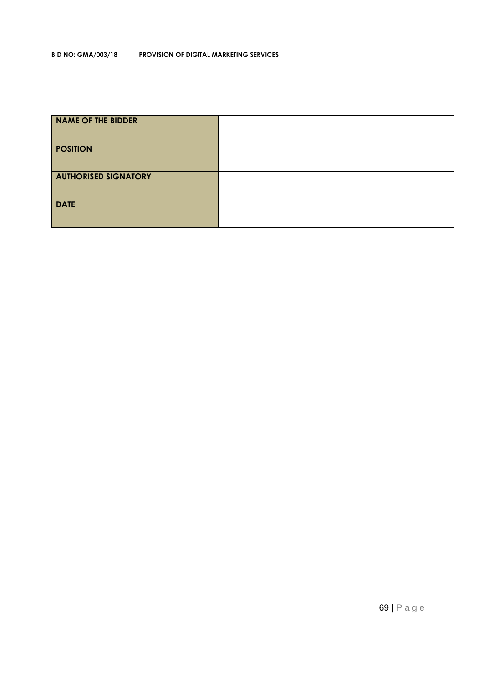#### **BID NO: GMA/003/18 PROVISION OF DIGITAL MARKETING SERVICES**

| <b>NAME OF THE BIDDER</b>   |  |
|-----------------------------|--|
| <b>POSITION</b>             |  |
| <b>AUTHORISED SIGNATORY</b> |  |
| <b>DATE</b>                 |  |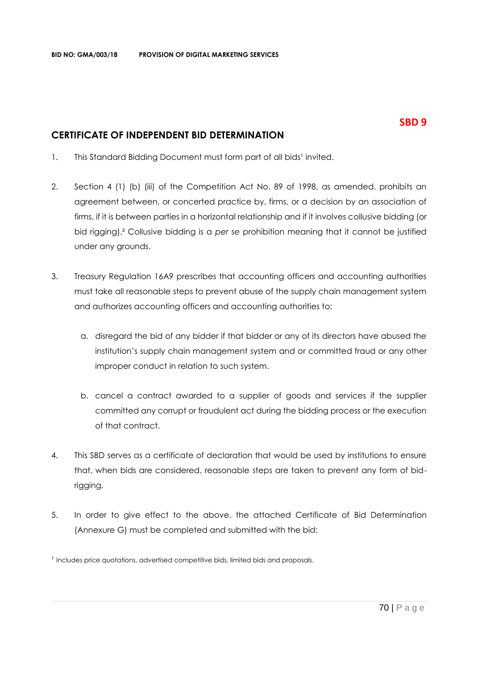## **CERTIFICATE OF INDEPENDENT BID DETERMINATION**

- 1. This Standard Bidding Document must form part of all bids<sup>1</sup> invited.
- 2. Section 4 (1) (b) (iii) of the Competition Act No. 89 of 1998, as amended, prohibits an agreement between, or concerted practice by, firms, or a decision by an association of firms, if it is between parties in a horizontal relationship and if it involves collusive bidding (or bid rigging).² Collusive bidding is a *per se* prohibition meaning that it cannot be justified under any grounds.
- 3. Treasury Regulation 16A9 prescribes that accounting officers and accounting authorities must take all reasonable steps to prevent abuse of the supply chain management system and authorizes accounting officers and accounting authorities to:
	- a. disregard the bid of any bidder if that bidder or any of its directors have abused the institution's supply chain management system and or committed fraud or any other improper conduct in relation to such system.
	- b. cancel a contract awarded to a supplier of goods and services if the supplier committed any corrupt or fraudulent act during the bidding process or the execution of that contract.
- 4. This SBD serves as a certificate of declaration that would be used by institutions to ensure that, when bids are considered, reasonable steps are taken to prevent any form of bidrigging.
- 5. In order to give effect to the above, the attached Certificate of Bid Determination (Annexure G) must be completed and submitted with the bid:

 $<sup>1</sup>$  Includes price quotations, advertised competitive bids, limited bids and proposals.</sup>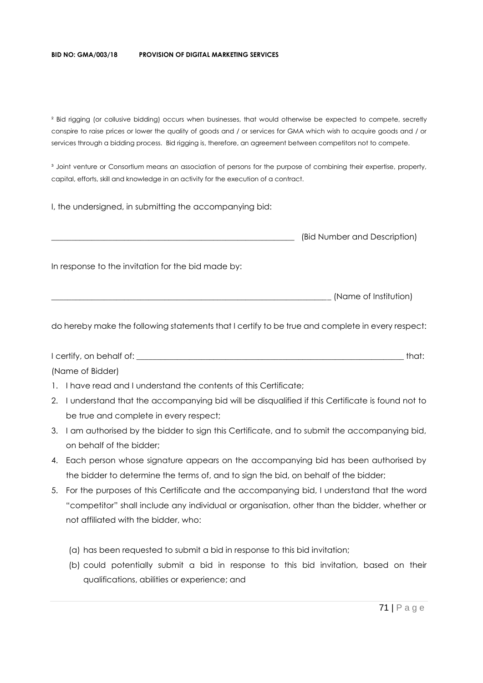#### **BID NO: GMA/003/18 PROVISION OF DIGITAL MARKETING SERVICES**

² Bid rigging (or collusive bidding) occurs when businesses, that would otherwise be expected to compete, secretly conspire to raise prices or lower the quality of goods and / or services for GMA which wish to acquire goods and / or services through a bidding process. Bid rigging is, therefore, an agreement between competitors not to compete.

<sup>3</sup> Joint venture or Consortium means an association of persons for the purpose of combining their expertise, property, capital, efforts, skill and knowledge in an activity for the execution of a contract.

I, the undersigned, in submitting the accompanying bid:

|                                                    | (Bid Number and Description) |
|----------------------------------------------------|------------------------------|
| In response to the invitation for the bid made by: |                              |
|                                                    | (Name of Institution)        |

do hereby make the following statements that I certify to be true and complete in every respect:

I certify, on behalf of: \_\_\_\_\_\_\_\_\_\_\_\_\_\_\_\_\_\_\_\_\_\_\_\_\_\_\_\_\_\_\_\_\_\_\_\_\_\_\_\_\_\_\_\_\_\_\_\_\_\_\_\_\_\_\_\_\_\_\_\_\_\_\_\_\_\_ that: (Name of Bidder)

- 1. I have read and I understand the contents of this Certificate;
- 2. I understand that the accompanying bid will be disqualified if this Certificate is found not to be true and complete in every respect;
- 3. I am authorised by the bidder to sign this Certificate, and to submit the accompanying bid, on behalf of the bidder;
- 4. Each person whose signature appears on the accompanying bid has been authorised by the bidder to determine the terms of, and to sign the bid, on behalf of the bidder;
- 5. For the purposes of this Certificate and the accompanying bid, I understand that the word "competitor" shall include any individual or organisation, other than the bidder, whether or not affiliated with the bidder, who:
	- (a) has been requested to submit a bid in response to this bid invitation;
	- (b) could potentially submit a bid in response to this bid invitation, based on their qualifications, abilities or experience; and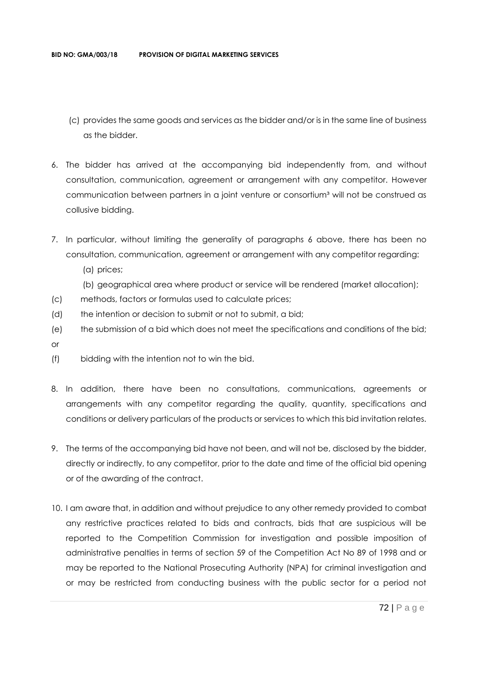- (c) provides the same goods and services as the bidder and/or is in the same line of business as the bidder.
- 6. The bidder has arrived at the accompanying bid independently from, and without consultation, communication, agreement or arrangement with any competitor. However communication between partners in a joint venture or consortium<sup>3</sup> will not be construed as collusive bidding.
- 7. In particular, without limiting the generality of paragraphs 6 above, there has been no consultation, communication, agreement or arrangement with any competitor regarding:
	- (a) prices;
	- (b) geographical area where product or service will be rendered (market allocation);
- (c) methods, factors or formulas used to calculate prices;
- (d) the intention or decision to submit or not to submit, a bid;
- (e) the submission of a bid which does not meet the specifications and conditions of the bid; or
- (f) bidding with the intention not to win the bid.
- 8. In addition, there have been no consultations, communications, agreements or arrangements with any competitor regarding the quality, quantity, specifications and conditions or delivery particulars of the products or services to which this bid invitation relates.
- 9. The terms of the accompanying bid have not been, and will not be, disclosed by the bidder, directly or indirectly, to any competitor, prior to the date and time of the official bid opening or of the awarding of the contract.
- 10. I am aware that, in addition and without prejudice to any other remedy provided to combat any restrictive practices related to bids and contracts, bids that are suspicious will be reported to the Competition Commission for investigation and possible imposition of administrative penalties in terms of section 59 of the Competition Act No 89 of 1998 and or may be reported to the National Prosecuting Authority (NPA) for criminal investigation and or may be restricted from conducting business with the public sector for a period not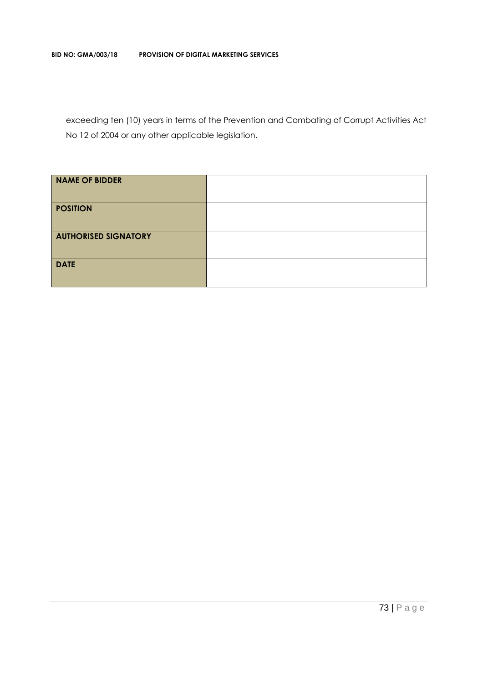exceeding ten (10) years in terms of the Prevention and Combating of Corrupt Activities Act No 12 of 2004 or any other applicable legislation.

| <b>NAME OF BIDDER</b>       |  |
|-----------------------------|--|
| <b>POSITION</b>             |  |
| <b>AUTHORISED SIGNATORY</b> |  |
| <b>DATE</b>                 |  |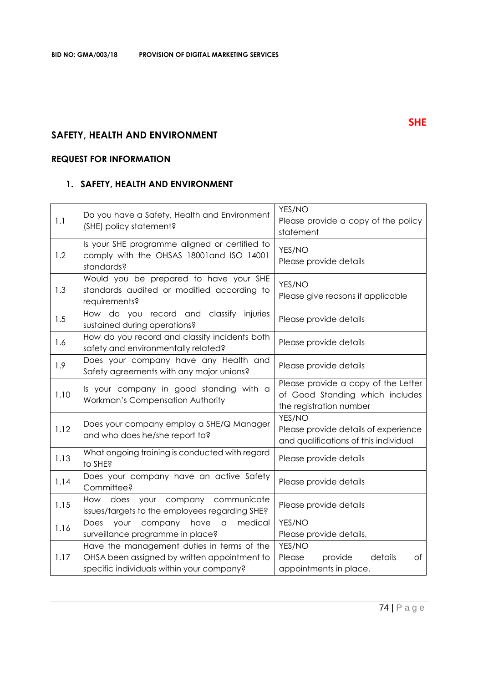# **SAFETY, HEALTH AND ENVIRONMENT**

# **REQUEST FOR INFORMATION**

# **1. SAFETY, HEALTH AND ENVIRONMENT**

| 1.1  | Do you have a Safety, Health and Environment<br>(SHE) policy statement?                                                                 | YES/NO<br>Please provide a copy of the policy<br>statement                                        |
|------|-----------------------------------------------------------------------------------------------------------------------------------------|---------------------------------------------------------------------------------------------------|
| 1.2  | Is your SHE programme aligned or certified to<br>comply with the OHSAS 18001 and ISO 14001<br>standards?                                | YES/NO<br>Please provide details                                                                  |
| 1.3  | Would you be prepared to have your SHE<br>standards audited or modified according to<br>requirements?                                   | YES/NO<br>Please give reasons if applicable                                                       |
| 1.5  | How do you record and classify<br>injuries<br>sustained during operations?                                                              | Please provide details                                                                            |
| 1.6  | How do you record and classify incidents both<br>safety and environmentally related?                                                    | Please provide details                                                                            |
| 1.9  | Does your company have any Health and<br>Safety agreements with any major unions?                                                       | Please provide details                                                                            |
| 1.10 | Is your company in good standing with a<br>Workman's Compensation Authority                                                             | Please provide a copy of the Letter<br>of Good Standing which includes<br>the registration number |
| 1.12 | Does your company employ a SHE/Q Manager<br>and who does he/she report to?                                                              | YES/NO<br>Please provide details of experience<br>and qualifications of this individual           |
| 1.13 | What ongoing training is conducted with regard<br>to SHE?                                                                               | Please provide details                                                                            |
| 1.14 | Does your company have an active Safety<br>Committee?                                                                                   | Please provide details                                                                            |
| 1.15 | How does your company<br>communicate<br>issues/targets to the employees regarding SHE?                                                  | Please provide details                                                                            |
| 1.16 | have<br>medical<br>Does your company<br>$\hbox{\tt\small d}$<br>surveillance programme in place?                                        | YES/NO<br>Please provide details,                                                                 |
| 1.17 | Have the management duties in terms of the<br>OHSA been assigned by written appointment to<br>specific individuals within your company? | YES/NO<br>Please<br>provide<br>details<br>оf<br>appointments in place.                            |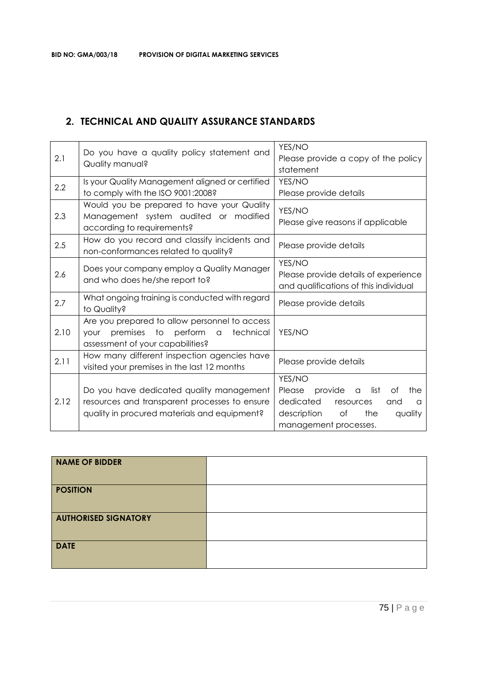# **2. TECHNICAL AND QUALITY ASSURANCE STANDARDS**

| Do you have a quality policy statement and |                                                             | YES/NO                                             |  |
|--------------------------------------------|-------------------------------------------------------------|----------------------------------------------------|--|
| 2.1<br>Quality manual?                     | Please provide a copy of the policy                         |                                                    |  |
|                                            | statement                                                   |                                                    |  |
| 2.2                                        | Is your Quality Management aligned or certified             | YES/NO                                             |  |
|                                            | to comply with the ISO 9001:2008?                           | Please provide details                             |  |
|                                            | Would you be prepared to have your Quality                  | YES/NO                                             |  |
| 2.3                                        | Management system audited or modified                       | Please give reasons if applicable                  |  |
|                                            | according to requirements?                                  |                                                    |  |
| 2.5                                        | How do you record and classify incidents and                |                                                    |  |
|                                            | non-conformances related to quality?                        | Please provide details                             |  |
|                                            |                                                             | YES/NO                                             |  |
| 2.6                                        | Does your company employ a Quality Manager                  | Please provide details of experience               |  |
|                                            | and who does he/she report to?                              | and qualifications of this individual              |  |
| 2.7                                        | What ongoing training is conducted with regard              | Please provide details                             |  |
|                                            | to Quality?                                                 |                                                    |  |
|                                            | Are you prepared to allow personnel to access               |                                                    |  |
| 2.10                                       | premises to perform<br>technical<br>$\alpha$<br><b>your</b> | YES/NO                                             |  |
|                                            | assessment of your capabilities?                            |                                                    |  |
| 2.11                                       | How many different inspection agencies have                 | Please provide details                             |  |
|                                            | visited your premises in the last 12 months                 |                                                    |  |
|                                            |                                                             | YES/NO                                             |  |
|                                            | Do you have dedicated quality management                    | provide<br>list<br>the<br>Please<br>Οf<br>$\alpha$ |  |
| 2.12                                       | resources and transparent processes to ensure               | dedicated<br>resources<br>and<br>a                 |  |
|                                            | quality in procured materials and equipment?                | description<br>the<br>of<br>quality                |  |
|                                            |                                                             | management processes.                              |  |

| NAME OF BIDDER              |  |
|-----------------------------|--|
| <b>POSITION</b>             |  |
| <b>AUTHORISED SIGNATORY</b> |  |
| <b>DATE</b>                 |  |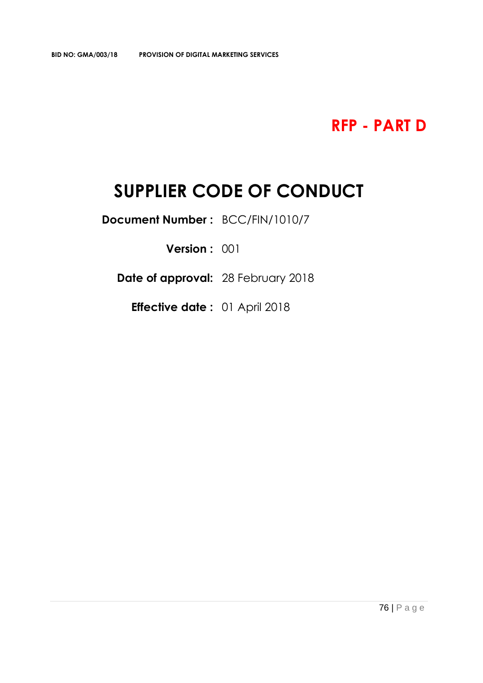**RFP - PART D**

# **SUPPLIER CODE OF CONDUCT**

**Document Number :** BCC/FIN/1010/7

**Version :** 001

**Date of approval:** 28 February 2018

**Effective date :** 01 April 2018

76 | P a g e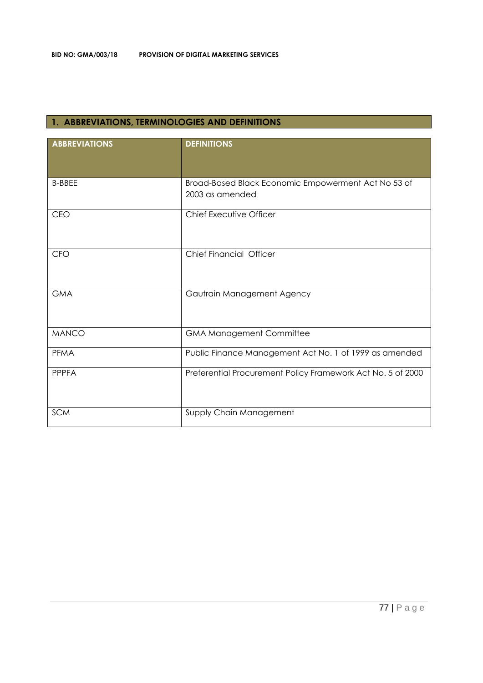# **1. ABBREVIATIONS, TERMINOLOGIES AND DEFINITIONS**

| <b>ABBREVIATIONS</b> | <b>DEFINITIONS</b>                                                     |
|----------------------|------------------------------------------------------------------------|
| <b>B-BBEE</b>        | Broad-Based Black Economic Empowerment Act No 53 of<br>2003 as amended |
| <b>CEO</b>           | <b>Chief Executive Officer</b>                                         |
| <b>CFO</b>           | <b>Chief Financial Officer</b>                                         |
| <b>GMA</b>           | Gautrain Management Agency                                             |
| <b>MANCO</b>         | <b>GMA Management Committee</b>                                        |
| <b>PFMA</b>          | Public Finance Management Act No. 1 of 1999 as amended                 |
| PPPFA                | Preferential Procurement Policy Framework Act No. 5 of 2000            |
| <b>SCM</b>           | Supply Chain Management                                                |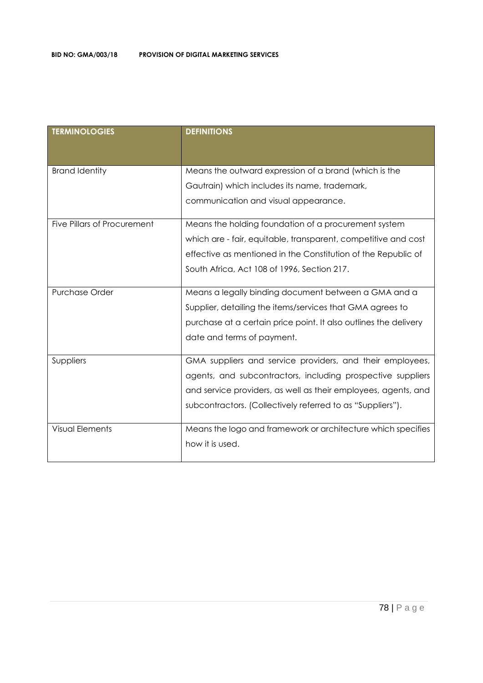| <b>TERMINOLOGIES</b>        | <b>DEFINITIONS</b>                                               |
|-----------------------------|------------------------------------------------------------------|
| <b>Brand Identity</b>       | Means the outward expression of a brand (which is the            |
|                             | Gautrain) which includes its name, trademark,                    |
|                             | communication and visual appearance.                             |
| Five Pillars of Procurement | Means the holding foundation of a procurement system             |
|                             | which are - fair, equitable, transparent, competitive and cost   |
|                             | effective as mentioned in the Constitution of the Republic of    |
|                             | South Africa, Act 108 of 1996, Section 217.                      |
| Purchase Order              | Means a legally binding document between a GMA and a             |
|                             | Supplier, detailing the items/services that GMA agrees to        |
|                             | purchase at a certain price point. It also outlines the delivery |
|                             | date and terms of payment.                                       |
| Suppliers                   | GMA suppliers and service providers, and their employees,        |
|                             | agents, and subcontractors, including prospective suppliers      |
|                             | and service providers, as well as their employees, agents, and   |
|                             | subcontractors. (Collectively referred to as "Suppliers").       |
| <b>Visual Elements</b>      | Means the logo and framework or architecture which specifies     |
|                             | how it is used.                                                  |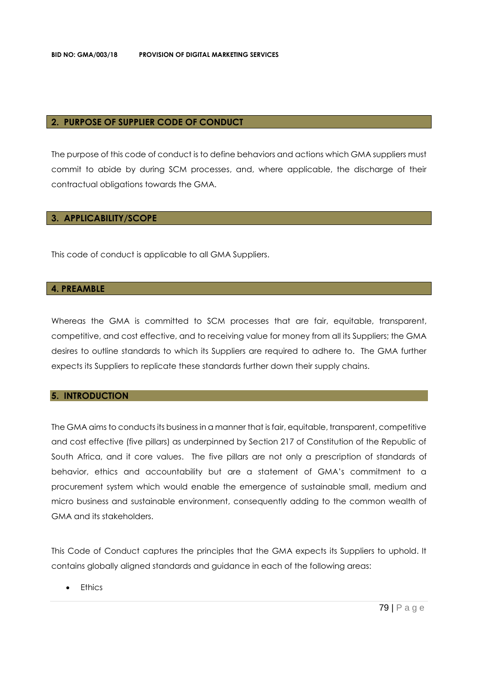## **2. PURPOSE OF SUPPLIER CODE OF CONDUCT**

The purpose of this code of conduct is to define behaviors and actions which GMA suppliers must commit to abide by during SCM processes, and, where applicable, the discharge of their contractual obligations towards the GMA.

# **3. APPLICABILITY/SCOPE**

This code of conduct is applicable to all GMA Suppliers.

# **4. PREAMBLE**

Whereas the GMA is committed to SCM processes that are fair, equitable, transparent, competitive, and cost effective, and to receiving value for money from all its Suppliers; the GMA desires to outline standards to which its Suppliers are required to adhere to. The GMA further expects its Suppliers to replicate these standards further down their supply chains.

# **5. INTRODUCTION**

The GMA aims to conducts its business in a manner that is fair, equitable, transparent, competitive and cost effective (five pillars) as underpinned by Section 217 of Constitution of the Republic of South Africa, and it core values. The five pillars are not only a prescription of standards of behavior, ethics and accountability but are a statement of GMA's commitment to a procurement system which would enable the emergence of sustainable small, medium and micro business and sustainable environment, consequently adding to the common wealth of GMA and its stakeholders.

This Code of Conduct captures the principles that the GMA expects its Suppliers to uphold. It contains globally aligned standards and guidance in each of the following areas:

• Ethics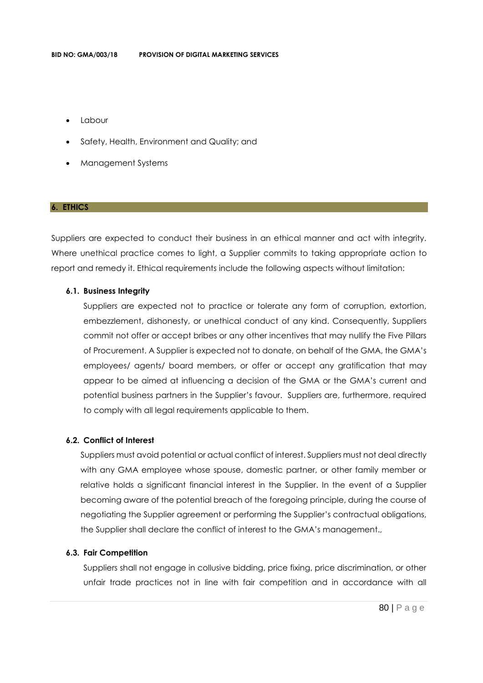- Labour
- Safety, Health, Environment and Quality; and
- Management Systems

#### **6. ETHICS**

Suppliers are expected to conduct their business in an ethical manner and act with integrity. Where unethical practice comes to light, a Supplier commits to taking appropriate action to report and remedy it. Ethical requirements include the following aspects without limitation:

#### **6.1. Business Integrity**

Suppliers are expected not to practice or tolerate any form of corruption, extortion, embezzlement, dishonesty, or unethical conduct of any kind. Consequently, Suppliers commit not offer or accept bribes or any other incentives that may nullify the Five Pillars of Procurement. A Supplier is expected not to donate, on behalf of the GMA, the GMA's employees/ agents/ board members, or offer or accept any gratification that may appear to be aimed at influencing a decision of the GMA or the GMA's current and potential business partners in the Supplier's favour. Suppliers are, furthermore, required to comply with all legal requirements applicable to them.

## **6.2. Conflict of Interest**

Suppliers must avoid potential or actual conflict of interest. Suppliers must not deal directly with any GMA employee whose spouse, domestic partner, or other family member or relative holds a significant financial interest in the Supplier. In the event of a Supplier becoming aware of the potential breach of the foregoing principle, during the course of negotiating the Supplier agreement or performing the Supplier's contractual obligations, the Supplier shall declare the conflict of interest to the GMA's management.,

#### **6.3. Fair Competition**

Suppliers shall not engage in collusive bidding, price fixing, price discrimination, or other unfair trade practices not in line with fair competition and in accordance with all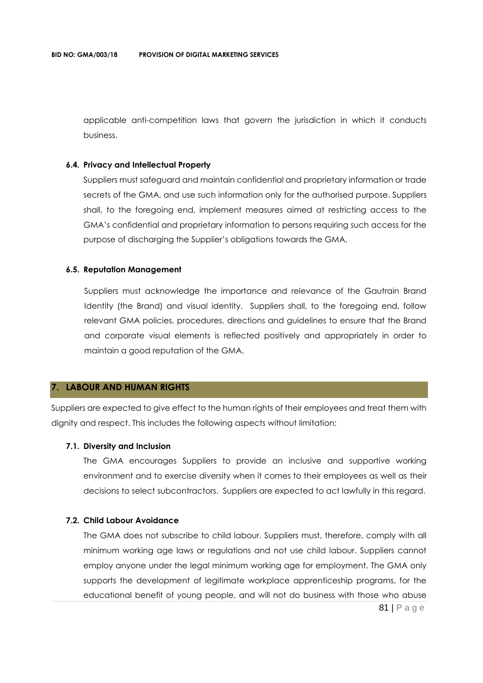applicable anti-competition laws that govern the jurisdiction in which it conducts business.

# **6.4. Privacy and Intellectual Property**

Suppliers must safeguard and maintain confidential and proprietary information or trade secrets of the GMA, and use such information only for the authorised purpose. Suppliers shall, to the foregoing end, implement measures aimed at restricting access to the GMA's confidential and proprietary information to persons requiring such access for the purpose of discharging the Supplier's obligations towards the GMA.

#### **6.5. Reputation Management**

Suppliers must acknowledge the importance and relevance of the Gautrain Brand Identity (the Brand) and visual identity. Suppliers shall, to the foregoing end, follow relevant GMA policies, procedures, directions and guidelines to ensure that the Brand and corporate visual elements is reflected positively and appropriately in order to maintain a good reputation of the GMA.

# **7. LABOUR AND HUMAN RIGHTS**

Suppliers are expected to give effect to the human rights of their employees and treat them with dignity and respect. This includes the following aspects without limitation:

#### **7.1. Diversity and Inclusion**

The GMA encourages Suppliers to provide an inclusive and supportive working environment and to exercise diversity when it comes to their employees as well as their decisions to select subcontractors. Suppliers are expected to act lawfully in this regard.

# **7.2. Child Labour Avoidance**

81 | P a g e The GMA does not subscribe to child labour. Suppliers must, therefore, comply with all minimum working age laws or regulations and not use child labour. Suppliers cannot employ anyone under the legal minimum working age for employment. The GMA only supports the development of legitimate workplace apprenticeship programs, for the educational benefit of young people, and will not do business with those who abuse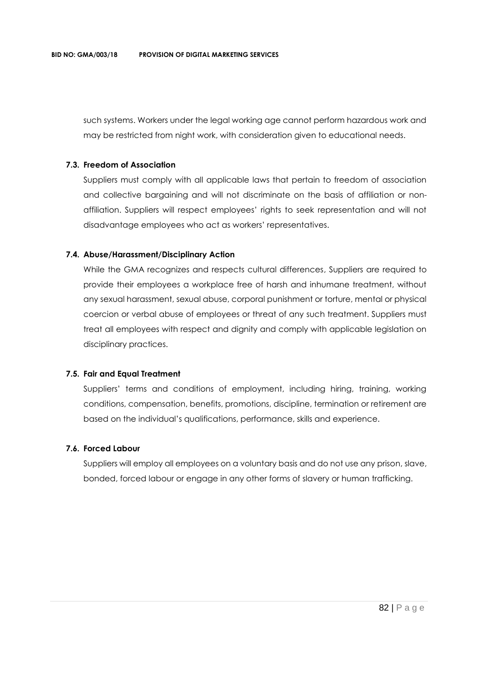such systems. Workers under the legal working age cannot perform hazardous work and may be restricted from night work, with consideration given to educational needs.

# **7.3. Freedom of Association**

Suppliers must comply with all applicable laws that pertain to freedom of association and collective bargaining and will not discriminate on the basis of affiliation or nonaffiliation. Suppliers will respect employees' rights to seek representation and will not disadvantage employees who act as workers' representatives.

### **7.4. Abuse/Harassment/Disciplinary Action**

While the GMA recognizes and respects cultural differences, Suppliers are required to provide their employees a workplace free of harsh and inhumane treatment, without any sexual harassment, sexual abuse, corporal punishment or torture, mental or physical coercion or verbal abuse of employees or threat of any such treatment. Suppliers must treat all employees with respect and dignity and comply with applicable legislation on disciplinary practices.

#### **7.5. Fair and Equal Treatment**

Suppliers' terms and conditions of employment, including hiring, training, working conditions, compensation, benefits, promotions, discipline, termination or retirement are based on the individual's qualifications, performance, skills and experience.

#### **7.6. Forced Labour**

Suppliers will employ all employees on a voluntary basis and do not use any prison, slave, bonded, forced labour or engage in any other forms of slavery or human trafficking.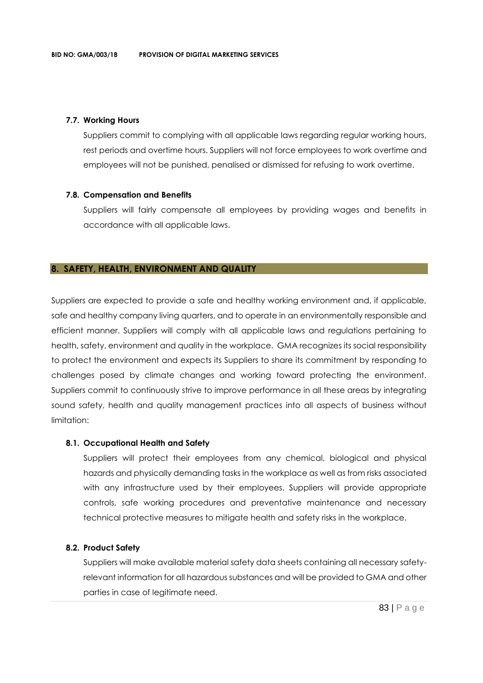## **7.7. Working Hours**

Suppliers commit to complying with all applicable laws regarding regular working hours, rest periods and overtime hours. Suppliers will not force employees to work overtime and employees will not be punished, penalised or dismissed for refusing to work overtime.

### **7.8. Compensation and Benefits**

Suppliers will fairly compensate all employees by providing wages and benefits in accordance with all applicable laws.

### **8. SAFETY, HEALTH, ENVIRONMENT AND QUALITY**

Suppliers are expected to provide a safe and healthy working environment and, if applicable, safe and healthy company living quarters, and to operate in an environmentally responsible and efficient manner. Suppliers will comply with all applicable laws and regulations pertaining to health, safety, environment and quality in the workplace. GMA recognizes its social responsibility to protect the environment and expects its Suppliers to share its commitment by responding to challenges posed by climate changes and working toward protecting the environment. Suppliers commit to continuously strive to improve performance in all these areas by integrating sound safety, health and quality management practices into all aspects of business without limitation:

#### **8.1. Occupational Health and Safety**

Suppliers will protect their employees from any chemical, biological and physical hazards and physically demanding tasks in the workplace as well as from risks associated with any infrastructure used by their employees. Suppliers will provide appropriate controls, safe working procedures and preventative maintenance and necessary technical protective measures to mitigate health and safety risks in the workplace.

#### **8.2. Product Safety**

Suppliers will make available material safety data sheets containing all necessary safetyrelevant information for all hazardous substances and will be provided to GMA and other parties in case of legitimate need.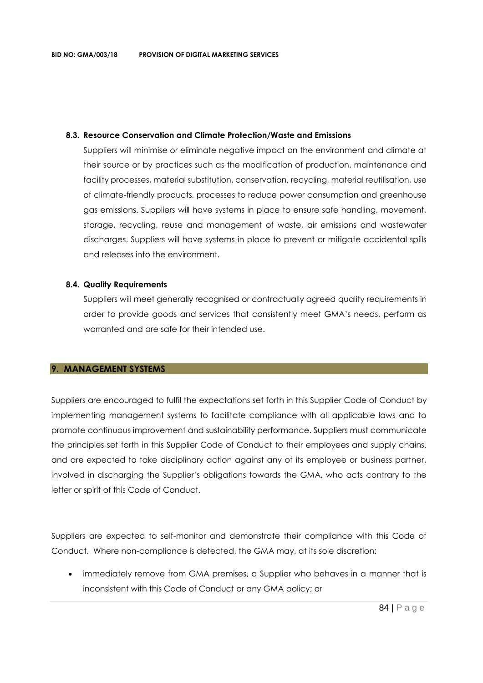## **8.3. Resource Conservation and Climate Protection/Waste and Emissions**

Suppliers will minimise or eliminate negative impact on the environment and climate at their source or by practices such as the modification of production, maintenance and facility processes, material substitution, conservation, recycling, material reutilisation, use of climate-friendly products, processes to reduce power consumption and greenhouse gas emissions. Suppliers will have systems in place to ensure safe handling, movement, storage, recycling, reuse and management of waste, air emissions and wastewater discharges. Suppliers will have systems in place to prevent or mitigate accidental spills and releases into the environment.

### **8.4. Quality Requirements**

Suppliers will meet generally recognised or contractually agreed quality requirements in order to provide goods and services that consistently meet GMA's needs, perform as warranted and are safe for their intended use.

# **9. MANAGEMENT SYSTEMS**

Suppliers are encouraged to fulfil the expectations set forth in this Supplier Code of Conduct by implementing management systems to facilitate compliance with all applicable laws and to promote continuous improvement and sustainability performance. Suppliers must communicate the principles set forth in this Supplier Code of Conduct to their employees and supply chains, and are expected to take disciplinary action against any of its employee or business partner, involved in discharging the Supplier's obligations towards the GMA, who acts contrary to the letter or spirit of this Code of Conduct.

Suppliers are expected to self-monitor and demonstrate their compliance with this Code of Conduct. Where non-compliance is detected, the GMA may, at its sole discretion:

• immediately remove from GMA premises, a Supplier who behaves in a manner that is inconsistent with this Code of Conduct or any GMA policy; or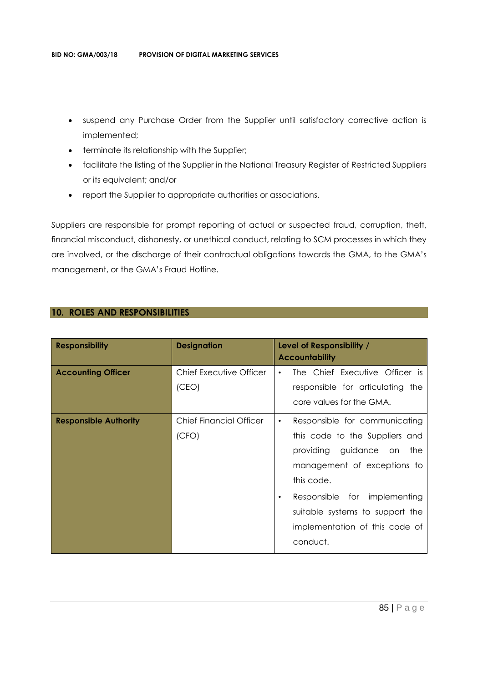- suspend any Purchase Order from the Supplier until satisfactory corrective action is implemented;
- terminate its relationship with the Supplier;
- facilitate the listing of the Supplier in the National Treasury Register of Restricted Suppliers or its equivalent; and/or
- report the Supplier to appropriate authorities or associations.

Suppliers are responsible for prompt reporting of actual or suspected fraud, corruption, theft, financial misconduct, dishonesty, or unethical conduct, relating to SCM processes in which they are involved, or the discharge of their contractual obligations towards the GMA, to the GMA's management, or the GMA's Fraud Hotline.

# **10. ROLES AND RESPONSIBILITIES**

| <b>Responsibility</b>        | <b>Designation</b>               | Level of Responsibility /<br><b>Accountability</b>                                                                                                                                                                                                                           |
|------------------------------|----------------------------------|------------------------------------------------------------------------------------------------------------------------------------------------------------------------------------------------------------------------------------------------------------------------------|
| <b>Accounting Officer</b>    | Chief Executive Officer<br>(CEO) | The Chief Executive Officer is<br>$\bullet$<br>responsible for articulating the<br>core values for the GMA.                                                                                                                                                                  |
| <b>Responsible Authority</b> | Chief Financial Officer<br>(CFO) | Responsible for communicating<br>٠<br>this code to the Suppliers and<br>providing guidance on the<br>management of exceptions to<br>this code.<br>Responsible for implementing<br>$\bullet$<br>suitable systems to support the<br>implementation of this code of<br>conduct. |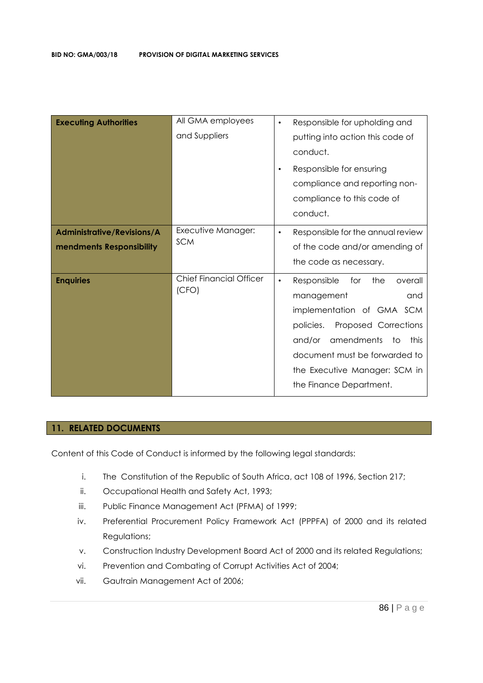| <b>Executing Authorities</b>                                  | All GMA employees<br>and Suppliers      | Responsible for upholding and<br>$\bullet$<br>putting into action this code of<br>conduct.<br>Responsible for ensuring<br>$\bullet$<br>compliance and reporting non-<br>compliance to this code of<br>conduct.                                                                |
|---------------------------------------------------------------|-----------------------------------------|-------------------------------------------------------------------------------------------------------------------------------------------------------------------------------------------------------------------------------------------------------------------------------|
| <b>Administrative/Revisions/A</b><br>mendments Responsibility | Executive Manager:<br><b>SCM</b>        | Responsible for the annual review<br>$\bullet$<br>of the code and/or amending of<br>the code as necessary.                                                                                                                                                                    |
| <b>Enquiries</b>                                              | <b>Chief Financial Officer</b><br>(CFO) | Responsible<br>the<br>for<br>overall<br>$\bullet$<br>and<br>management<br>implementation of GMA SCM<br>Proposed Corrections<br>policies.<br>amendments<br>and/or<br>to t<br>this<br>document must be forwarded to<br>the Executive Manager: SCM in<br>the Finance Department. |

# **11. RELATED DOCUMENTS**

Content of this Code of Conduct is informed by the following legal standards:

- i. The Constitution of the Republic of South Africa, act 108 of 1996, Section 217;
- ii. Occupational Health and Safety Act, 1993;
- iii. Public Finance Management Act (PFMA) of 1999;
- iv. Preferential Procurement Policy Framework Act (PPPFA) of 2000 and its related Regulations;
- v. Construction Industry Development Board Act of 2000 and its related Regulations;
- vi. Prevention and Combating of Corrupt Activities Act of 2004;
- vii. Gautrain Management Act of 2006;